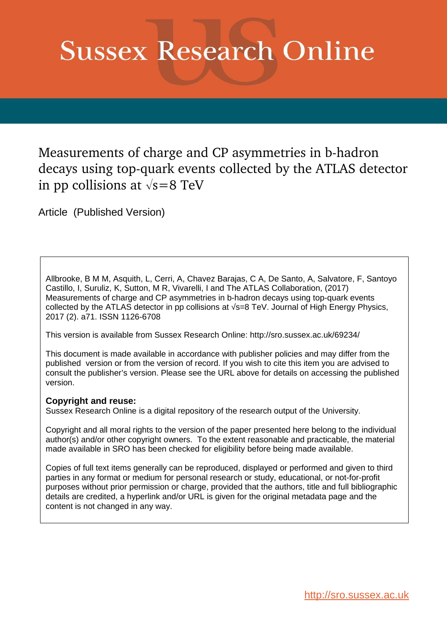# **Sussex Research Online**

Measurements of charge and CP asymmetries in b-hadron decays using top-quark events collected by the ATLAS detector in pp collisions at  $\sqrt{s}=8$  TeV

Article (Published Version)

Allbrooke, B M M, Asquith, L, Cerri, A, Chavez Barajas, C A, De Santo, A, Salvatore, F, Santoyo Castillo, I, Suruliz, K, Sutton, M R, Vivarelli, I and The ATLAS Collaboration, (2017) Measurements of charge and CP asymmetries in b-hadron decays using top-quark events collected by the ATLAS detector in pp collisions at √s=8 TeV. Journal of High Energy Physics, 2017 (2). a71. ISSN 1126-6708

This version is available from Sussex Research Online: http://sro.sussex.ac.uk/69234/

This document is made available in accordance with publisher policies and may differ from the published version or from the version of record. If you wish to cite this item you are advised to consult the publisher's version. Please see the URL above for details on accessing the published version.

# **Copyright and reuse:**

Sussex Research Online is a digital repository of the research output of the University.

Copyright and all moral rights to the version of the paper presented here belong to the individual author(s) and/or other copyright owners. To the extent reasonable and practicable, the material made available in SRO has been checked for eligibility before being made available.

Copies of full text items generally can be reproduced, displayed or performed and given to third parties in any format or medium for personal research or study, educational, or not-for-profit purposes without prior permission or charge, provided that the authors, title and full bibliographic details are credited, a hyperlink and/or URL is given for the original metadata page and the content is not changed in any way.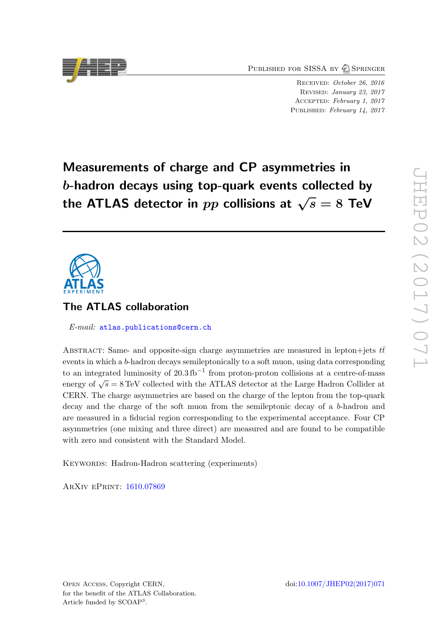PUBLISHED FOR SISSA BY 2 SPRINGER

RECEIVED: October 26, 2016 Revised : January 23, 2017 ACCEPTED: February 1, 2017 PUBLISHED: February 14, 2017

# Measurements of charge and CP asymmetries in b-hadron decays using top-quark events collected by the ATLAS detector in  $pp$  collisions at  $\sqrt{s}=8$  TeV

# The ATLAS collaboration

E-mail: [atlas.publications@cern.ch](mailto:atlas.publications@cern.ch)

ABSTRACT: Same- and opposite-sign charge asymmetries are measured in lepton+jets  $t\bar{t}$ events in which a b-hadron decays semileptonically to a soft muon, using data corresponding to an integrated luminosity of  $20.3 \text{ fb}^{-1}$  from proton-proton collisions at a centre-of-mass energy of  $\sqrt{s} = 8 \,\text{TeV}$  collected with the ATLAS detector at the Large Hadron Collider at CERN. The charge asymmetries are based on the charge of the lepton from the top-quark decay and the charge of the soft muon from the semileptonic decay of a b-hadron and are measured in a fiducial region corresponding to the experimental acceptance. Four CP asymmetries (one mixing and three direct) are measured and are found to be compatible with zero and consistent with the Standard Model.

<span id="page-1-0"></span>KEYWORDS: Hadron-Hadron scattering (experiments)

ArXiv ePrint: [1610.07869](https://arxiv.org/abs/1610.07869)

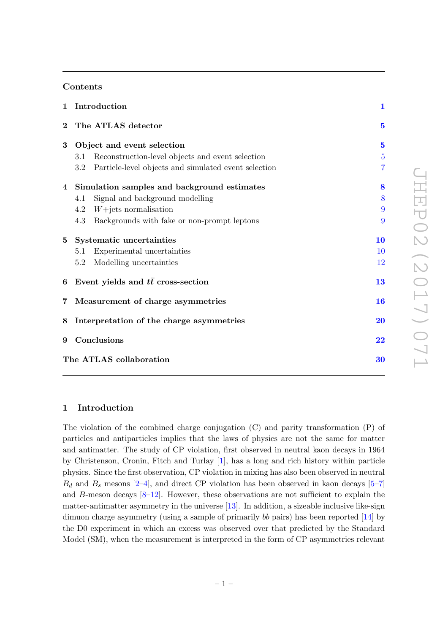# Contents

|                 | 1 Introduction                                              | $\mathbf{1}$            |  |  |  |  |
|-----------------|-------------------------------------------------------------|-------------------------|--|--|--|--|
| $\bf{2}$        | The ATLAS detector                                          | $\overline{\mathbf{5}}$ |  |  |  |  |
| 3               | Object and event selection                                  | $\overline{\mathbf{5}}$ |  |  |  |  |
|                 | Reconstruction-level objects and event selection<br>3.1     | $\overline{5}$          |  |  |  |  |
|                 | Particle-level objects and simulated event selection<br>3.2 | $\overline{7}$          |  |  |  |  |
|                 | 4 Simulation samples and background estimates               | 8                       |  |  |  |  |
|                 | Signal and background modelling<br>4.1                      | 8                       |  |  |  |  |
|                 | 4.2<br>$W+{\text{jets}}$ normalisation                      | 9                       |  |  |  |  |
|                 | Backgrounds with fake or non-prompt leptons<br>4.3          | 9                       |  |  |  |  |
| $5\overline{)}$ | Systematic uncertainties                                    | 10                      |  |  |  |  |
|                 | Experimental uncertainties<br>5.1                           | 10                      |  |  |  |  |
|                 | 5.2<br>Modelling uncertainties                              | 12                      |  |  |  |  |
| 6               | Event yields and $t\bar{t}$ cross-section                   | 13                      |  |  |  |  |
| 7               | Measurement of charge asymmetries                           | 16                      |  |  |  |  |
| 8               | Interpretation of the charge asymmetries                    | 20                      |  |  |  |  |
| 9               | Conclusions                                                 |                         |  |  |  |  |
|                 | The ATLAS collaboration                                     | 30                      |  |  |  |  |

# 1 Introduction

<span id="page-2-3"></span><span id="page-2-2"></span><span id="page-2-1"></span><span id="page-2-0"></span>The violation of the combined charge conjugation (C) and parity transformation (P) of particles and antiparticles implies that the laws of physics are not the same for matter and antimatter. The study of CP violation, first observed in neutral kaon decays in 1964 by Christenson, Cronin, Fitch and Turlay [ [1\]](#page-24-0), has a long and rich history within particle physics. Since the first observation, CP violation in mixing has also been observed in neutral  $B_d$  and  $B_s$  mesons [\[2](#page-24-1)[–4\]](#page-24-2), and direct CP violation has been observed in kaon decays [\[5](#page-24-3)[–7\]](#page-24-4) and B-meson decays [ [8](#page-24-5) [–12\]](#page-24-6). However, these observations are not sufficient to explain the matter-antimatter asymmetry in the universe [\[13\]](#page-24-7). In addition, a sizeable inclusive like-sign dimuon charge asymmetry (using a sample of primarily bb pairs) has been reported [\[14\]](#page-24-8) by the D0 experiment in which an excess was observed over that predicted by the Standard Model (SM), when the measurement is interpreted in the form of CP asymmetries relevant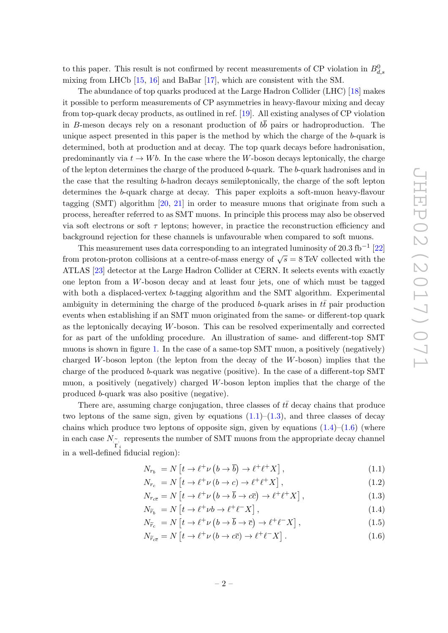<span id="page-3-0"></span>to this paper. This result is not confirmed by recent measurements of CP violation in  $B_{d,s}^0$ mixing from LHCb [\[15](#page-24-9) , [16\]](#page-24-10) and BaBar [\[17\]](#page-24-11), which are consistent with the SM.

The abundance of top quarks produced at the Large Hadron Collider (LHC) [\[18\]](#page-24-12) makes it possible to perform measurements of CP asymmetries in heavy-flavour mixing and decay from top-quark decay products, as outlined in ref. [\[19\]](#page-24-13). All existing analyses of CP violation in B-meson decays rely on a resonant production of b b pairs or hadroproduction. The unique aspect presented in this paper is the method by which the charge of the b-quark is determined, both at production and at decay. The top quark decays before hadronisation, predominantly via  $t \to Wb$ . In the case where the W-boson decays leptonically, the charge of the lepton determines the charge of the produced b-quark. The b-quark hadronises and in the case that the resulting b-hadron decays semileptonically, the charge of the soft lepton determines the b-quark charge at decay. This paper exploits a soft-muon heavy-flavour tagging (SMT) algorithm [\[20](#page-25-0) , [21\]](#page-25-1) in order to measure muons that originate from such a process, hereafter referred to as SMT muons. In principle this process may also be observed via soft electrons or soft  $\tau$  leptons; however, in practice the reconstruction efficiency and background rejection for these channels is unfavourable when compared to soft muons.

This measurement uses data corresponding to an integrated luminosity of 20.3 fb<sup>-1</sup> [\[22](#page-25-2)] from proton-proton collisions at a centre-of-mass energy of  $\sqrt{s} = 8$  TeV collected with the ATLAS [\[23\]](#page-25-3) detector at the Large Hadron Collider at CERN. It selects events with exactly one lepton from a W-boson decay and at least four jets, one of which must be tagged with both a displaced-vertex *b*-tagging algorithm and the SMT algorithm. Experimental ambiguity in determining the charge of the produced b-quark arises in  $t\bar{t}$  pair production events when establishing if an SMT muon originated from the same- or different-top quark as the leptonically decaying W-boson. This can be resolved experimentally and corrected for as part of the unfolding procedure. An illustration of same- and different-top SMT muons is shown in figure [1.](#page-3-0) In the case of a same-top SMT muon, a positively (negatively) charged W-boson lepton (the lepton from the decay of the W-boson) implies that the charge of the produced b-quark was negative (positive). In the case of a different-top SMT muon, a positively (negatively) charged W-boson lepton implies that the charge of the produced b-quark was also positive (negative).

There are, assuming charge conjugation, three classes of  $t\bar{t}$  decay chains that produce two leptons of the same sign, given by equations  $(1.1)$ – $(1.3)$ , and three classes of decay chains which produce two leptons of opposite sign, given by equations  $(1.4)$ – $(1.6)$  (where in each case N  $\tilde{r}_i$  represents the number of SMT muons from the appropriate decay channel  $\frac{1}{i}$  in a well-defined fiducial region):

$$
N_{r_b} = N \left[ t \to \ell^+ \nu \left( b \to \overline{b} \right) \to \ell^+ \ell^+ X \right], \tag{1.1}
$$

$$
N_{r_c} = N \left[ t \to \ell^+ \nu \left( b \to c \right) \to \ell^+ \ell^+ X \right], \tag{1.2}
$$

$$
N_{r_{c\overline{c}}} = N \left[ t \to \ell^+ \nu \left( b \to \overline{b} \to c\overline{c} \right) \to \ell^+ \ell^+ X \right], \tag{1.3}
$$

$$
N_{\widetilde{r}_b} = N \left[ t \to \ell^+ \nu b \to \ell^+ \ell^- X \right], \tag{1.4}
$$

$$
N_{\tilde{r}_c} = N \left[ t \to \ell^+ \nu \left( b \to \bar{b} \to \bar{c} \right) \to \ell^+ \ell^- X \right], \tag{1.5}
$$

$$
N_{\widetilde{r}_{c\overline{c}}} = N \left[ t \to \ell^+ \nu \left( b \to c\overline{c} \right) \to \ell^+ \ell^- X \right]. \tag{1.6}
$$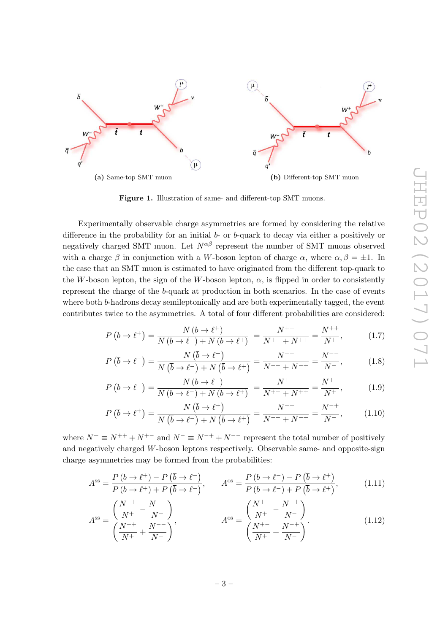

Figure 1. Illustration of same- and different-top SMT muons.

Experimentally observable charge asymmetries are formed by considering the relative difference in the probability for an initial b- or b-quark to decay via either a positively or negatively charged SMT muon. Let  $N^{\alpha\beta}$  represent the number of SMT muons observed with a charge  $\beta$  in conjunction with a W-boson lepton of charge  $\alpha$ , where  $\alpha, \beta = \pm 1$ . In the case that an SMT muon is estimated to have originated from the different top-quark to the W-boson lepton, the sign of the W-boson lepton,  $\alpha$ , is flipped in order to consistently represent the charge of the b-quark at production in both scenarios. In the case of events where both b-hadrons decay semileptonically and are both experimentally tagged, the event contributes twice to the asymmetries. A total of four different probabilities are considered:

$$
P(b \to \ell^+) = \frac{N(b \to \ell^+)}{N(b \to \ell^-) + N(b \to \ell^+)} = \frac{N^{++}}{N^{+-} + N^{++}} = \frac{N^{++}}{N^+},\tag{1.7}
$$

$$
P(\bar{b} \to \ell^-) = \frac{N(\bar{b} \to \ell^-)}{N(\bar{b} \to \ell^-) + N(\bar{b} \to \ell^+)} = \frac{N^{--}}{N^{--} + N^{-+}} = \frac{N^{--}}{N^{-}},
$$
(1.8)

<span id="page-4-0"></span>
$$
P(b \to l^-) = \frac{N(b \to l^-)}{N(b \to l^-) + N(b \to l^+)} = \frac{N^{+-}}{N^{+-} + N^{++}} = \frac{N^{+-}}{N^+},
$$
(1.9)

<span id="page-4-1"></span>
$$
P(\bar{b} \to \ell^+) = \frac{N(\bar{b} \to \ell^+)}{N(\bar{b} \to \ell^-) + N(\bar{b} \to \ell^+)} = \frac{N^{-+}}{N^{--} + N^{-+}} = \frac{N^{-+}}{N^{-}},\tag{1.10}
$$

where  $N^+ \equiv N^{++} + N^{+-}$  and  $N^- \equiv N^{-+} + N^{--}$  represent the total number of positively and negatively charged W-boson leptons respectively. Observable same- and opposite-sign charge asymmetries may be formed from the probabilities:

$$
A^{\rm ss} = \frac{P(b \to \ell^{+}) - P(\bar{b} \to \ell^{-})}{P(b \to \ell^{+}) + P(\bar{b} \to \ell^{-})}, \qquad A^{\rm os} = \frac{P(b \to \ell^{-}) - P(\bar{b} \to \ell^{+})}{P(b \to \ell^{-}) + P(\bar{b} \to \ell^{+})}, \tag{1.11}
$$

$$
A^{\rm ss} = \frac{\left(\frac{N^{++}}{N^{+}} - \frac{N^{--}}{N^{-}}\right)}{\left(\frac{N^{++}}{N^{+}} + \frac{N^{--}}{N^{-}}\right)}, \qquad A^{\rm os} = \frac{\left(\frac{N^{+-}}{N^{+}} - \frac{N^{-+}}{N^{-}}\right)}{\left(\frac{N^{+-}}{N^{+}} + \frac{N^{-+}}{N^{-}}\right)}.
$$
\n(1.12)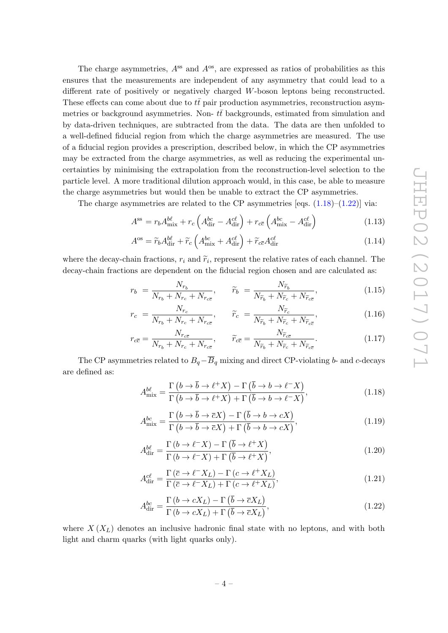<span id="page-5-0"></span>The charge asymmetries,  $A^{ss}$  and  $A^{os}$ , are expressed as ratios of probabilities as this ensures that the measurements are independent of any asymmetry that could lead to a different rate of positively or negatively charged W-boson leptons being reconstructed. These effects can come about due to  $t\bar{t}$  pair production asymmetries, reconstruction asymmetries or background asymmetries. Non-  $t\bar{t}$  backgrounds, estimated from simulation and by data-driven techniques, are subtracted from the data. The data are then unfolded to a well-defined fiducial region from which the charge asymmetries are measured. The use of a fiducial region provides a prescription, described below, in which the CP asymmetries may be extracted from the charge asymmetries, as well as reducing the experimental uncertainties by minimising the extrapolation from the reconstruction-level selection to the particle level. A more traditional dilution approach would, in this case, be able to measure the charge asymmetries but would then be unable to extract the CP asymmetries.

The charge asymmetries are related to the CP asymmetries [eqs.  $(1.18)$ – $(1.22)$ ] via:

$$
A^{\rm ss} = r_b A_{\rm mix}^{b\ell} + r_c \left( A_{\rm dir}^{bc} - A_{\rm dir}^{c\ell} \right) + r_{c\bar{c}} \left( A_{\rm mix}^{bc} - A_{\rm dir}^{c\ell} \right)
$$
 (1.13)

$$
A^{\rm os} = \widetilde{r}_b A_{\rm dir}^{b\ell} + \widetilde{r}_c \left( A_{\rm mix}^{bc} + A_{\rm dir}^{c\ell} \right) + \widetilde{r}_{c\bar{c}} A_{\rm dir}^{c\ell} \tag{1.14}
$$

<span id="page-5-1"></span>where the decay-chain fractions,  $r_i$  and  $\tilde{r}_i$ , represent the relative rates of each channel. The decay-chain fractions are dependent on the fiducial region chosen and are calculated as:

$$
r_b = \frac{N_{r_b}}{N_{r_b} + N_{r_c} + N_{r_{c\overline{c}}}}, \qquad \widetilde{r}_b = \frac{N_{\widetilde{r}_b}}{N_{\widetilde{r}_b} + N_{\widetilde{r}_c} + N_{\widetilde{r}_{c\overline{c}}}}, \qquad (1.15)
$$

$$
r_c = \frac{N_{r_c}}{N_{r_b} + N_{r_c} + N_{r_{c\overline{c}}}}, \qquad \tilde{r}_c = \frac{N_{\tilde{r}_c}}{N_{\tilde{r}_b} + N_{\tilde{r}_c} + N_{\tilde{r}_{c\overline{c}}}},
$$
(1.16)

$$
r_{c\overline{c}} = \frac{N_{r_{c\overline{c}}}}{N_{r_b} + N_{r_c} + N_{r_{c\overline{c}}}}, \qquad \widetilde{r}_{c\overline{c}} = \frac{N_{\widetilde{r}_{c\overline{c}}}}{N_{\widetilde{r}_b} + N_{\widetilde{r}_c} + N_{\widetilde{r}_{c\overline{c}}}}.
$$
(1.17)

<span id="page-5-2"></span>The CP asymmetries related to  $B_q - B_q$  mixing and direct CP-violating b- and c-decays are defined as:

$$
A_{\text{mix}}^{b\ell} = \frac{\Gamma\left(b \to \bar{b} \to \ell^{+}X\right) - \Gamma\left(\bar{b} \to b \to \ell^{-}X\right)}{\Gamma\left(b \to \bar{b} \to \ell^{+}X\right) + \Gamma\left(\bar{b} \to b \to \ell^{-}X\right)},\tag{1.18}
$$

$$
A_{\text{mix}}^{bc} = \frac{\Gamma\left(b \to \bar{b} \to \bar{c}X\right) - \Gamma\left(\bar{b} \to b \to cX\right)}{\Gamma\left(b \to \bar{b} \to \bar{c}X\right) + \Gamma\left(\bar{b} \to b \to cX\right)},\tag{1.19}
$$

$$
A_{\text{dir}}^{b\ell} = \frac{\Gamma(b \to \ell^- X) - \Gamma(\bar{b} \to \ell^+ X)}{\Gamma(b \to \ell^- X) + \Gamma(\bar{b} \to \ell^+ X)},
$$
\n(1.20)

$$
A_{\text{dir}}^{c\ell} = \frac{\Gamma\left(\bar{c} \to \ell^- X_L\right) - \Gamma\left(c \to \ell^+ X_L\right)}{\Gamma\left(\bar{c} \to \ell^- X_L\right) + \Gamma\left(c \to \ell^+ X_L\right)},\tag{1.21}
$$

$$
A_{\text{dir}}^{bc} = \frac{\Gamma(b \to cX_L) - \Gamma(\bar{b} \to \bar{c}X_L)}{\Gamma(b \to cX_L) + \Gamma(\bar{b} \to \bar{c}X_L)},
$$
\n(1.22)

<span id="page-5-3"></span>where  $X(X_L)$  denotes an inclusive hadronic final state with no leptons, and with both light and charm quarks (with light quarks only).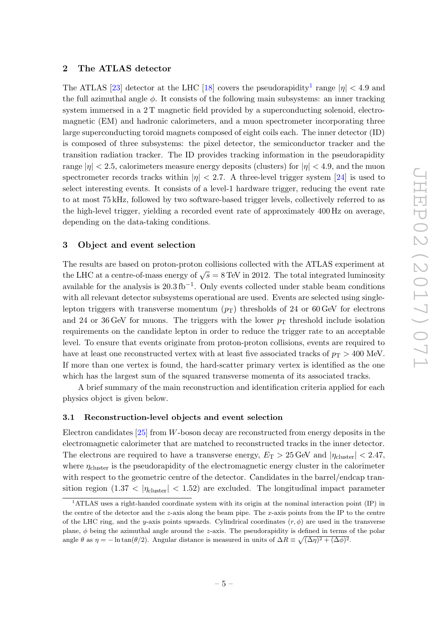# 2 The ATLAS detector

The ATLAS [\[23\]](#page-25-3) detector at the LHC [\[18\]](#page-24-12) covers the pseudorapidity<sup>[1](#page-5-3)</sup> range  $|\eta| < 4.9$  and the full azimuthal angle  $\phi$ . It consists of the following main subsystems: an inner tracking system immersed in a 2 T magnetic field provided by a superconducting solenoid, electromagnetic (EM) and hadronic calorimeters, and a muon spectrometer incorporating three large superconducting toroid magnets composed of eight coils each. The inner detector (ID) is composed of three subsystems: the pixel detector, the semiconductor tracker and the transition radiation tracker. The ID provides tracking information in the pseudorapidity range  $|\eta|$  < 2.5, calorimeters measure energy deposits (clusters) for  $|\eta|$  < 4.9, and the muon spectrometer records tracks within  $|\eta| < 2.7$ . A three-level trigger system [\[24\]](#page-25-4) is used to select interesting events. It consists of a level-1 hardware trigger, reducing the event rate to at most 75 kHz, followed by two software-based trigger levels, collectively referred to as the high-level trigger, yielding a recorded event rate of approximately 400 Hz on average, depending on the data-taking conditions.

# 3 Object and event selection

The results are based on proton-proton collisions collected with the ATLAS experiment at the LHC at a centre-of-mass energy of  $\sqrt{s} = 8$  TeV in 2012. The total integrated luminosity available for the analysis is  $20.3 \text{ fb}^{-1}$ . Only events collected under stable beam conditions with all relevant detector subsystems operational are used. Events are selected using singlelepton triggers with transverse momentum  $(p_T)$  thresholds of 24 or 60 GeV for electrons and 24 or 36 GeV for muons. The triggers with the lower  $p<sub>T</sub>$  threshold include isolation requirements on the candidate lepton in order to reduce the trigger rate to an acceptable level. To ensure that events originate from proton-proton collisions, events are required to have at least one reconstructed vertex with at least five associated tracks of  $p_T > 400$  MeV. If more than one vertex is found, the hard-scatter primary vertex is identified as the one which has the largest sum of the squared transverse momenta of its associated tracks.

A brief summary of the main reconstruction and identification criteria applied for each physics object is given below.

# 3.1 Reconstruction-level objects and event selection

Electron candidates [\[25\]](#page-25-5) from W-boson decay are reconstructed from energy deposits in the electromagnetic calorimeter that are matched to reconstructed tracks in the inner detector. The electrons are required to have a transverse energy,  $E_T > 25 \,\text{GeV}$  and  $|\eta_{\text{cluster}}| < 2.47$ , where  $\eta_{\text{cluster}}$  is the pseudorapidity of the electromagnetic energy cluster in the calorimeter with respect to the geometric centre of the detector. Candidates in the barrel/endcap transition region  $(1.37 < |\eta_{\text{cluster}}| < 1.52)$  are excluded. The longitudinal impact parameter

<sup>1</sup>ATLAS uses a right-handed coordinate system with its origin at the nominal interaction point (IP) in the centre of the detector and the z-axis along the beam pipe. The x-axis points from the IP to the centre of the LHC ring, and the y-axis points upwards. Cylindrical coordinates  $(r, \phi)$  are used in the transverse plane, φ being the azimuthal angle around the z-axis. The pseudorapidity is defined in terms of the polar angle  $\theta$  as  $\eta = -\ln \tan(\theta/2)$ . Angular distance is measured in units of  $\Delta R = \sqrt{(\Delta \eta)^2 + (\Delta \phi)^2}$ .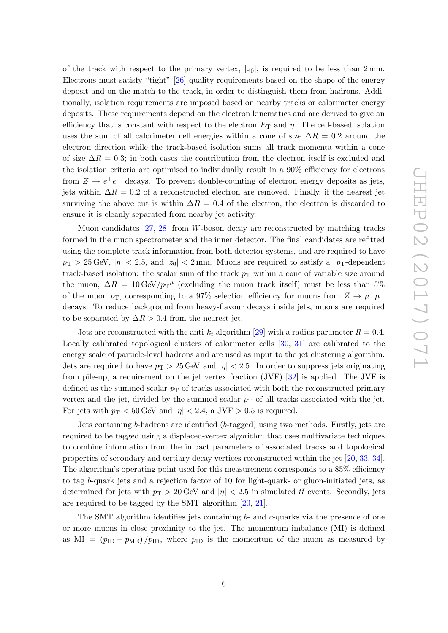of the track with respect to the primary vertex,  $|z_0|$ , is required to be less than  $2 \text{ mm}$ . Electrons must satisfy "tight" [\[26\]](#page-25-6) quality requirements based on the shape of the energy deposit and on the match to the track, in order to distinguish them from hadrons. Additionally, isolation requirements are imposed based on nearby tracks or calorimeter energy deposits. These requirements depend on the electron kinematics and are derived to give an efficiency that is constant with respect to the electron  $E_T$  and  $\eta$ . The cell-based isolation uses the sum of all calorimeter cell energies within a cone of size  $\Delta R = 0.2$  around the electron direction while the track-based isolation sums all track momenta within a cone of size  $\Delta R = 0.3$ ; in both cases the contribution from the electron itself is excluded and the isolation criteria are optimised to individually result in a 90% efficiency for electrons from  $Z \to e^+e^-$  decays. To prevent double-counting of electron energy deposits as jets, jets within  $\Delta R = 0.2$  of a reconstructed electron are removed. Finally, if the nearest jet surviving the above cut is within  $\Delta R = 0.4$  of the electron, the electron is discarded to ensure it is cleanly separated from nearby jet activity.

<span id="page-7-0"></span>Muon candidates [\[27](#page-25-7) , [28\]](#page-25-8) from W-boson decay are reconstructed by matching tracks formed in the muon spectrometer and the inner detector. The final candidates are refitted using the complete track information from both detector systems, and are required to have  $p_{\rm T} > 25$  GeV,  $|\eta| < 2.5$ , and  $|z_0| < 2$  mm. Muons are required to satisfy a  $p_{\rm T}$ -dependent track-based isolation: the scalar sum of the track  $p<sub>T</sub>$  within a cone of variable size around the muon,  $\Delta R = 10 \,\text{GeV}/p_T^{\mu}$  (excluding the muon track itself) must be less than 5% of the muon  $p_T$ , corresponding to a 97% selection efficiency for muons from  $Z \to \mu^+\mu^$ decays. To reduce background from heavy-flavour decays inside jets, muons are required to be separated by  $\Delta R > 0.4$  from the nearest jet.

Jets are reconstructed with the anti- $k_t$  algorithm [\[29\]](#page-25-9) with a radius parameter  $R = 0.4$ . Locally calibrated topological clusters of calorimeter cells  $[30, 31]$  $[30, 31]$  are calibrated to the energy scale of particle-level hadrons and are used as input to the jet clustering algorithm. Jets are required to have  $p_T > 25 \,\text{GeV}$  and  $|\eta| < 2.5$ . In order to suppress jets originating from pile-up, a requirement on the jet vertex fraction (JVF) [\[32\]](#page-25-12) is applied. The JVF is defined as the summed scalar  $p_T$  of tracks associated with both the reconstructed primary vertex and the jet, divided by the summed scalar  $p<sub>T</sub>$  of all tracks associated with the jet. For jets with  $p_T < 50$  GeV and  $|\eta| < 2.4$ , a JVF  $> 0.5$  is required.

Jets containing b-hadrons are identified ( b-tagged) using two methods. Firstly, jets are required to be tagged using a displaced-vertex algorithm that uses multivariate techniques to combine information from the impact parameters of associated tracks and topological properties of secondary and tertiary decay vertices reconstructed within the jet [\[20](#page-25-0), [33](#page-25-13), [34\]](#page-25-14). The algorithm's operating point used for this measurement corresponds to a  $85\%$  efficiency to tag b-quark jets and a rejection factor of 10 for light-quark- or gluon-initiated jets, as determined for jets with  $p_T > 20$  GeV and  $|\eta| < 2.5$  in simulated  $t\bar{t}$  events. Secondly, jets are required to be tagged by the SMT algorithm [\[20](#page-25-0), [21\]](#page-25-1).

The SMT algorithm identifies jets containing b- and c-quarks via the presence of one or more muons in close proximity to the jet. The momentum imbalance (MI) is defined as  $\text{MI} = (p_{\text{ID}} - p_{\text{ME}})/p_{\text{ID}}$ , where  $p_{\text{ID}}$  is the momentum of the muon as measured by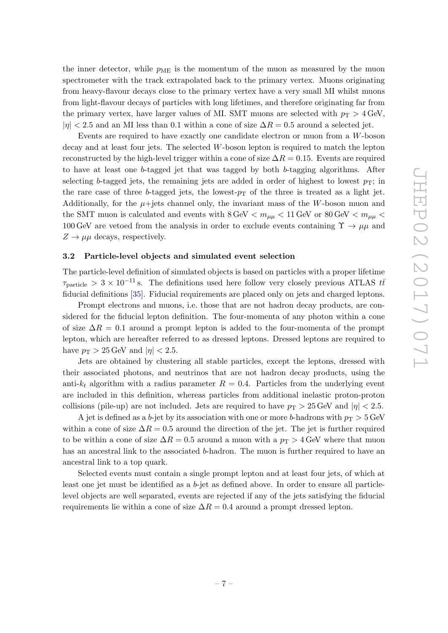<span id="page-8-1"></span><span id="page-8-0"></span>the inner detector, while  $p_{\text{ME}}$  is the momentum of the muon as measured by the muon spectrometer with the track extrapolated back to the primary vertex. Muons originating from heavy-flavour decays close to the primary vertex have a very small MI whilst muons from light-flavour decays of particles with long lifetimes, and therefore originating far from the primary vertex, have larger values of MI. SMT muons are selected with  $p_T > 4 \text{ GeV}$ ,  $|\eta| < 2.5$  and an MI less than 0.1 within a cone of size  $\Delta R = 0.5$  around a selected jet.

Events are required to have exactly one candidate electron or muon from a W-boson decay and at least four jets. The selected W-boson lepton is required to match the lepton reconstructed by the high-level trigger within a cone of size  $\Delta R = 0.15$ . Events are required to have at least one b-tagged jet that was tagged by both b-tagging algorithms. After selecting b-tagged jets, the remaining jets are added in order of highest to lowest  $p_T$ ; in the rare case of three b-tagged jets, the lowest- $p<sub>T</sub>$  of the three is treated as a light jet. Additionally, for the  $\mu$ +jets channel only, the invariant mass of the W-boson muon and the SMT muon is calculated and events with  $8 \,\text{GeV} < m_{\mu\mu} < 11 \,\text{GeV}$  or  $80 \,\text{GeV} < m_{\mu\mu} <$ 100 GeV are vetoed from the analysis in order to exclude events containing  $\Upsilon \to \mu\mu$  and  $Z \rightarrow \mu\mu$  decays, respectively.

### 3.2 Particle-level objects and simulated event selection

The particle-level definition of simulated objects is based on particles with a proper lifetime  $\tau_{\text{particle}} > 3 \times 10^{-11} \text{ s}$ . The definitions used here follow very closely previous ATLAS  $t\bar{t}$ fiducial definitions [\[35\]](#page-25-15). Fiducial requirements are placed only on jets and charged leptons.

Prompt electrons and muons, i.e. those that are not hadron decay products, are considered for the fiducial lepton definition. The four-momenta of any photon within a cone of size  $\Delta R = 0.1$  around a prompt lepton is added to the four-momenta of the prompt lepton, which are hereafter referred to as dressed leptons. Dressed leptons are required to have  $p_T > 25$  GeV and  $|\eta| < 2.5$ .

Jets are obtained by clustering all stable particles, except the leptons, dressed with their associated photons, and neutrinos that are not hadron decay products, using the anti- $k_t$  algorithm with a radius parameter  $R = 0.4$ . Particles from the underlying event are included in this definition, whereas particles from additional inelastic proton-proton collisions (pile-up) are not included. Jets are required to have  $p_T > 25 \,\text{GeV}$  and  $|\eta| < 2.5$ .

A jet is defined as a b-jet by its association with one or more b-hadrons with  $p_T > 5 \,\text{GeV}$ within a cone of size  $\Delta R = 0.5$  around the direction of the jet. The jet is further required to be within a cone of size  $\Delta R = 0.5$  around a muon with a  $p_T > 4$  GeV where that muon has an ancestral link to the associated b-hadron. The muon is further required to have an ancestral link to a top quark.

Selected events must contain a single prompt lepton and at least four jets, of which at least one jet must be identified as a b-jet as defined above. In order to ensure all particlelevel objects are well separated, events are rejected if any of the jets satisfying the fiducial requirements lie within a cone of size  $\Delta R = 0.4$  around a prompt dressed lepton.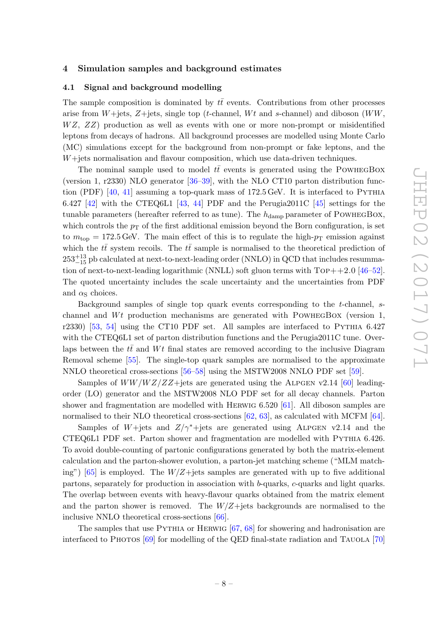# 4 Simulation samples and background estimates

### 4.1 Signal and background modelling

The sample composition is dominated by  $t\bar{t}$  events. Contributions from other processes arise from W+jets, Z+jets, single top ( t-channel, W t and s-channel) and diboson (WW , W Z , ZZ) production as well as events with one or more non-prompt or misidentified leptons from decays of hadrons. All background processes are modelled using Monte Carlo (MC) simulations except for the background from non-prompt or fake leptons, and the W+jets normalisation and flavour composition, which use data-driven techniques.

The nominal sample used to model  $t\bar{t}$  events is generated using the POWHEGBOX (version 1, r2330) NLO generator [\[36](#page-25-16) [–39\]](#page-26-0), with the NLO CT10 parton distribution function (PDF)  $[40, 41]$  $[40, 41]$  assuming a top-quark mass of 172.5 GeV. It is interfaced to PYTHIA 6.427  $[42]$  with the CTEQ6L1  $[43, 44]$  $[43, 44]$  PDF and the Perugia2011C  $[45]$  settings for the tunable parameters (hereafter referred to as tune). The  $h_{\text{damp}}$  parameter of POWHEGBOX, which controls the  $p_T$  of the first additional emission beyond the Born configuration, is set to  $m_{\text{top}} = 172.5 \,\text{GeV}$ . The main effect of this is to regulate the high- $p_{\text{T}}$  emission against which the  $t\bar{t}$  system recoils. The  $t\bar{t}$  sample is normalised to the theoretical prediction of  $253^{+13}_{-15}$  pb calculated at next-to-next-leading order (NNLO) in QCD that includes resummation of next-to-next-leading logarithmic (NNLL) soft gluon terms with  $Top++2.0$  [\[46–](#page-26-7)[52\]](#page-26-8). The quoted uncertainty includes the scale uncertainty and the uncertainties from PDF and  $\alpha$ <sub>S</sub> choices.

<span id="page-9-0"></span>Background samples of single top quark events corresponding to the *t*-channel, *s*channel and  $Wt$  production mechanisms are generated with POWHEGBOX (version 1, r2330) [\[53](#page-26-9) , [54\]](#page-26-10) using the CT10 PDF set. All samples are interfaced to Pythia 6.427 with the CTEQ6L1 set of parton distribution functions and the Perugia2011C tune. Overlaps between the  $t\bar{t}$  and Wt final states are removed according to the inclusive Diagram Removal scheme [\[55\]](#page-27-0). The single-top quark samples are normalised to the approximate NNLO theoretical cross-sections [\[56](#page-27-1) [–58\]](#page-27-2) using the MSTW2008 NNLO PDF set [\[59\]](#page-27-3).

Samples of  $WW/WZ/ZZ +$ jets are generated using the ALPGEN v2.14 [\[60\]](#page-27-4) leadingorder (LO) generator and the MSTW2008 NLO PDF set for all decay channels. Parton shower and fragmentation are modelled with Herwig 6.520 [\[61\]](#page-27-5). All diboson samples are normalised to their NLO theoretical cross-sections [\[62](#page-27-6), [63\]](#page-27-7), as calculated with MCFM [\[64\]](#page-27-8).

<span id="page-9-1"></span>Samples of W+jets and  $Z/\gamma^*$ +jets are generated using ALPGEN v2.14 and the CTEQ6L1 PDF set. Parton shower and fragmentation are modelled with Pythia 6.426. To avoid double-counting of partonic configurations generated by both the matrix-element calculation and the parton-shower evolution, a parton-jet matching scheme ("MLM match-ing") [\[65\]](#page-27-9) is employed. The  $W/Z +$ jets samples are generated with up to five additional partons, separately for production in association with b-quarks, c-quarks and light quarks. The overlap between events with heavy-flavour quarks obtained from the matrix element and the parton shower is removed. The  $W/Z +$ jets backgrounds are normalised to the inclusive NNLO theoretical cross-sections [\[66\]](#page-27-10).

The samples that use PYTHIA or HERWIG  $[67, 68]$  $[67, 68]$  $[67, 68]$  for showering and hadronisation are interfaced to Photos  $[69]$  for modelling of the QED final-state radiation and TAUOLA  $[70]$  $[70]$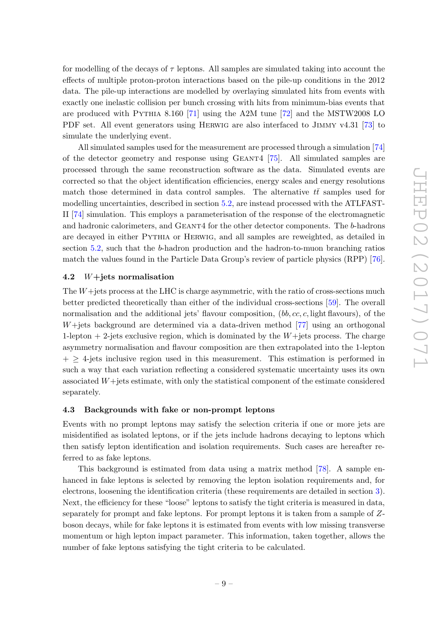<span id="page-10-0"></span>for modelling of the decays of  $\tau$  leptons. All samples are simulated taking into account the effects of multiple proton-proton interactions based on the pile-up conditions in the 2012 data. The pile-up interactions are modelled by overlaying simulated hits from events with exactly one inelastic collision per bunch crossing with hits from minimum-bias events that are produced with Pythia 8.160 [\[71\]](#page-27-15) using the A2M tune [\[72\]](#page-27-16) and the MSTW2008 LO PDF set. All event generators using Herwig are also interfaced to Jimmy v4.31 [\[73\]](#page-28-0) to simulate the underlying event.

<span id="page-10-1"></span>All simulated samples used for the measurement are processed through a simulation [\[74](#page-28-1) ] of the detector geometry and response using GEANT4 [\[75\]](#page-28-2). All simulated samples are processed through the same reconstruction software as the data. Simulated events are corrected so that the object identification efficiencies, energy scales and energy resolutions match those determined in data control samples. The alternative  $t\bar{t}$  samples used for modelling uncertainties, described in section [5.2,](#page-12-0) are instead processed with the ATLFAST-II [\[74\]](#page-28-1) simulation. This employs a parameterisation of the response of the electromagnetic and hadronic calorimeters, and GEANT4 for the other detector components. The b-hadrons are decayed in either PYTHIA or HERWIG, and all samples are reweighted, as detailed in section [5.2,](#page-12-0) such that the b-hadron production and the hadron-to-muon branching ratios match the values found in the Particle Data Group's review of particle physics (RPP) [\[76\]](#page-28-3).

#### 4.2  $W+$ jets normalisation

The W+jets process at the LHC is charge asymmetric, with the ratio of cross-sections much better predicted theoretically than either of the individual cross-sections [\[59\]](#page-27-3). The overall normalisation and the additional jets' flavour composition,  $(bb, cc, c$ , light flavours), of the W+jets background are determined via a data-driven method [\[77\]](#page-28-4) using an orthogonal 1-lepton  $+$  2-jets exclusive region, which is dominated by the  $W+$ jets process. The charge asymmetry normalisation and flavour composition are then extrapolated into the 1-lepton  $+ \geq 4$ -jets inclusive region used in this measurement. This estimation is performed in such a way that each variation reflecting a considered systematic uncertainty uses its own associated W+jets estimate, with only the statistical component of the estimate considered separately.

# 4.3 Backgrounds with fake or non-prompt leptons

Events with no prompt leptons may satisfy the selection criteria if one or more jets are misidentified as isolated leptons, or if the jets include hadrons decaying to leptons which then satisfy lepton identification and isolation requirements. Such cases are hereafter referred to as fake leptons.

This background is estimated from data using a matrix method [\[78\]](#page-28-5). A sample enhanced in fake leptons is selected by removing the lepton isolation requirements and, for electrons, loosening the identification criteria (these requirements are detailed in section [3\)](#page-5-1). Next, the efficiency for these "loose" leptons to satisfy the tight criteria is measured in data, separately for prompt and fake leptons. For prompt leptons it is taken from a sample of Zboson decays, while for fake leptons it is estimated from events with low missing transverse momentum or high lepton impact parameter. This information, taken together, allows the number of fake leptons satisfying the tight criteria to be calculated.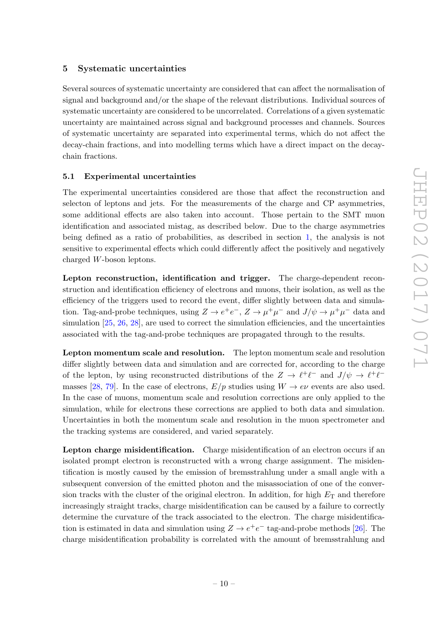# 5 Systematic uncertainties

Several sources of systematic uncertainty are considered that can affect the normalisation of signal and background and/or the shape of the relevant distributions. Individual sources of systematic uncertainty are considered to be uncorrelated. Correlations of a given systematic uncertainty are maintained across signal and background processes and channels. Sources of systematic uncertainty are separated into experimental terms, which do not affect the decay-chain fractions, and into modelling terms which have a direct impact on the decaychain fractions.

# 5.1 Experimental uncertainties

The experimental uncertainties considered are those that affect the reconstruction and selecton of leptons and jets. For the measurements of the charge and CP asymmetries, some additional effects are also taken into account. Those pertain to the SMT muon identification and associated mistag, as described below. Due to the charge asymmetries being defined as a ratio of probabilities, as described in section [1,](#page-1-0) the analysis is not sensitive to experimental effects which could differently affect the positively and negatively charged W-boson leptons.

Lepton reconstruction, identification and trigger. The charge-dependent reconstruction and identification efficiency of electrons and muons, their isolation, as well as the efficiency of the triggers used to record the event, differ slightly between data and simulation. Tag-and-probe techniques, using  $Z \to e^+e^-$ ,  $Z \to \mu^+\mu^-$  and  $J/\psi \to \mu^+\mu^-$  data and simulation [\[25](#page-25-5), [26](#page-25-6), [28\]](#page-25-8), are used to correct the simulation efficiencies, and the uncertainties associated with the tag-and-probe techniques are propagated through to the results.

Lepton momentum scale and resolution. The lepton momentum scale and resolution differ slightly between data and simulation and are corrected for, according to the charge of the lepton, by using reconstructed distributions of the  $Z \to \ell^+ \ell^-$  and  $J/\psi \to \ell^+ \ell^-$ masses [\[28](#page-25-8), [79\]](#page-28-6). In the case of electrons,  $E/p$  studies using  $W \to e\nu$  events are also used. In the case of muons, momentum scale and resolution corrections are only applied to the simulation, while for electrons these corrections are applied to both data and simulation. Uncertainties in both the momentum scale and resolution in the muon spectrometer and the tracking systems are considered, and varied separately.

Lepton charge misidentification. Charge misidentification of an electron occurs if an isolated prompt electron is reconstructed with a wrong charge assignment. The misidentification is mostly caused by the emission of bremsstrahlung under a small angle with a subsequent conversion of the emitted photon and the misassociation of one of the conversion tracks with the cluster of the original electron. In addition, for high  $E_T$  and therefore increasingly straight tracks, charge misidentification can be caused by a failure to correctly determine the curvature of the track associated to the electron. The charge misidentification is estimated in data and simulation using  $Z \to e^+e^-$  tag-and-probe methods [\[26\]](#page-25-6). The charge misidentification probability is correlated with the amount of bremsstrahlung and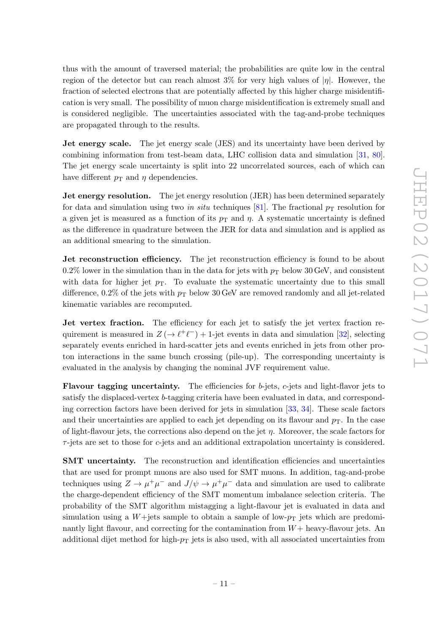thus with the amount of traversed material; the probabilities are quite low in the central region of the detector but can reach almost  $3\%$  for very high values of  $|\eta|$ . However, the fraction of selected electrons that are potentially affected by this higher charge misidentification is very small. The possibility of muon charge misidentification is extremely small and is considered negligible. The uncertainties associated with the tag-and-probe techniques are propagated through to the results.

Jet energy scale. The jet energy scale (JES) and its uncertainty have been derived by combining information from test-beam data, LHC collision data and simulation [\[31](#page-25-11), [80\]](#page-28-7). The jet energy scale uncertainty is split into 22 uncorrelated sources, each of which can have different  $p_T$  and  $\eta$  dependencies.

<span id="page-12-0"></span>**Jet energy resolution.** The jet energy resolution (JER) has been determined separately for data and simulation using two *in situ* techniques [\[81\]](#page-28-8). The fractional  $p_T$  resolution for a given jet is measured as a function of its  $p<sub>T</sub>$  and  $\eta$ . A systematic uncertainty is defined as the difference in quadrature between the JER for data and simulation and is applied as an additional smearing to the simulation.

Jet reconstruction efficiency. The jet reconstruction efficiency is found to be about 0.2% lower in the simulation than in the data for jets with  $p_T$  below 30 GeV, and consistent with data for higher jet  $p_T$ . To evaluate the systematic uncertainty due to this small difference, 0.2% of the jets with  $p_{\rm T}$  below 30 GeV are removed randomly and all jet-related kinematic variables are recomputed.

Jet vertex fraction. The efficiency for each jet to satisfy the jet vertex fraction requirement is measured in  $Z(\rightarrow \ell^+\ell^-) + 1$ -jet events in data and simulation [\[32\]](#page-25-12), selecting separately events enriched in hard-scatter jets and events enriched in jets from other proton interactions in the same bunch crossing (pile-up). The corresponding uncertainty is evaluated in the analysis by changing the nominal JVF requirement value.

**Flavour tagging uncertainty.** The efficiencies for  $b$ -jets,  $c$ -jets and light-flavor jets to satisfy the displaced-vertex b-tagging criteria have been evaluated in data, and corresponding correction factors have been derived for jets in simulation [\[33,](#page-25-13) [34\]](#page-25-14). These scale factors and their uncertainties are applied to each jet depending on its flavour and  $p<sub>T</sub>$ . In the case of light-flavour jets, the corrections also depend on the jet  $\eta$ . Moreover, the scale factors for  $\tau$ -jets are set to those for  $c$ -jets and an additional extrapolation uncertainty is considered.

**SMT** uncertainty. The reconstruction and identification efficiencies and uncertainties that are used for prompt muons are also used for SMT muons. In addition, tag-and-probe techniques using  $Z \to \mu^+ \mu^-$  and  $J/\psi \to \mu^+ \mu^-$  data and simulation are used to calibrate the charge-dependent efficiency of the SMT momentum imbalance selection criteria. The probability of the SMT algorithm mistagging a light-flavour jet is evaluated in data and simulation using a  $W +$ jets sample to obtain a sample of low- $p_T$  jets which are predominantly light flavour, and correcting for the contamination from  $W+$  heavy-flavour jets. An additional dijet method for high- $p<sub>T</sub>$  jets is also used, with all associated uncertainties from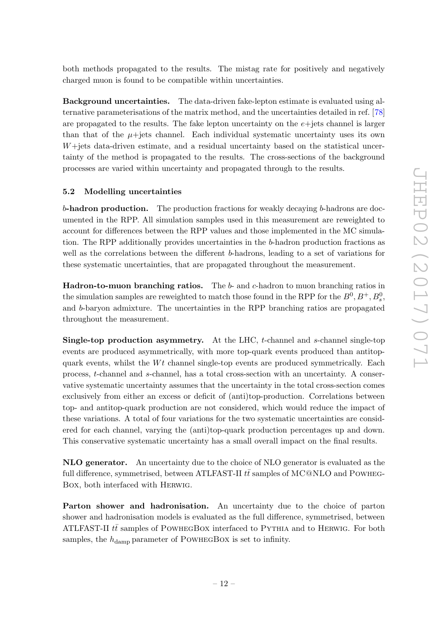<span id="page-13-1"></span>both methods propagated to the results. The mistag rate for positively and negatively charged muon is found to be compatible within uncertainties.

Background uncertainties. The data-driven fake-lepton estimate is evaluated using alternative parameterisations of the matrix method, and the uncertainties detailed in ref. [\[78\]](#page-28-5) are propagated to the results. The fake lepton uncertainty on the  $e+{\rm jets}$  channel is larger than that of the  $\mu$ +jets channel. Each individual systematic uncertainty uses its own  $W +$ jets data-driven estimate, and a residual uncertainty based on the statistical uncertainty of the method is propagated to the results. The cross-sections of the background processes are varied within uncertainty and propagated through to the results.

### 5.2 Modelling uncertainties

b-hadron production. The production fractions for weakly decaying b-hadrons are documented in the RPP. All simulation samples used in this measurement are reweighted to account for differences between the RPP values and those implemented in the MC simulation. The RPP additionally provides uncertainties in the b-hadron production fractions as well as the correlations between the different b-hadrons, leading to a set of variations for these systematic uncertainties, that are propagated throughout the measurement.

Hadron-to-muon branching ratios. The b- and c-hadron to muon branching ratios in the simulation samples are reweighted to match those found in the RPP for the  $B^0, B^+, B_s^0$ , and b-baryon admixture. The uncertainties in the RPP branching ratios are propagated throughout the measurement.

<span id="page-13-0"></span>Single-top production asymmetry. At the LHC, t-channel and s-channel single-top events are produced asymmetrically, with more top-quark events produced than antitopquark events, whilst the  $Wt$  channel single-top events are produced symmetrically. Each process, t-channel and s-channel, has a total cross-section with an uncertainty. A conservative systematic uncertainty assumes that the uncertainty in the total cross-section comes exclusively from either an excess or deficit of (anti)top-production. Correlations between top- and antitop-quark production are not considered, which would reduce the impact of these variations. A total of four variations for the two systematic uncertainties are considered for each channel, varying the (anti)top-quark production percentages up and down. This conservative systematic uncertainty has a small overall impact on the final results.

NLO generator. An uncertainty due to the choice of NLO generator is evaluated as the full difference, symmetrised, between ATLFAST-II  $t\bar{t}$  samples of MC@NLO and POWHEG-Box, both interfaced with Herwig.

Parton shower and hadronisation. An uncertainty due to the choice of parton shower and hadronisation models is evaluated as the full difference, symmetrised, between ATLFAST-II  $t\bar{t}$  samples of POWHEGBOX interfaced to PYTHIA and to HERWIG. For both samples, the  $h_{\text{damp}}$  parameter of POWHEGBOX is set to infinity.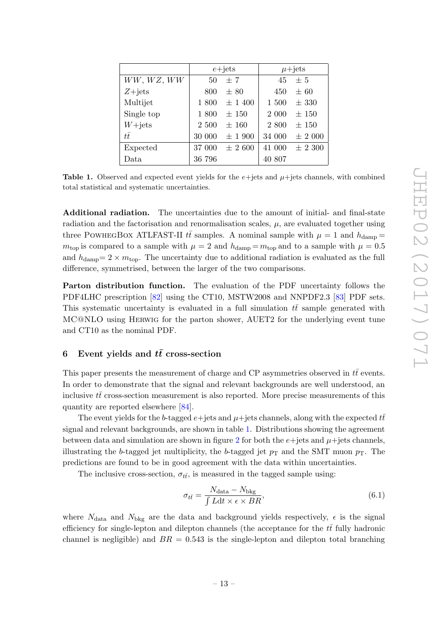<span id="page-14-0"></span>

|                  |        | $e + jets$  | $\mu + \text{jets}$ |                    |  |
|------------------|--------|-------------|---------------------|--------------------|--|
| WW, WZ, WW       | 50     | ±7          | 45                  | $\pm 5$            |  |
| $Z + jets$       | 800    | $\pm 80$    | 450                 | $\pm 60$           |  |
| Multijet         | 1 800  | $\pm$ 1 400 | 1 500               | $\pm$ 330          |  |
| Single top       | 1 800  | $\pm 150$   | 2 0 0 0             | $\pm$ 150          |  |
| $W+{\rm jets}$   | 2 500  | $\pm 160$   | 2 800               | $\pm 150$          |  |
| $t\bar{t}$       | 30 000 | $\pm$ 1 900 | 34 000              | $\pm$ 2 000        |  |
| Expected         | 37 000 | $\pm 2600$  |                     | 41 000 $\pm$ 2 300 |  |
| $_{\text{Data}}$ | 36 796 |             | 40 807              |                    |  |

**Table 1.** Observed and expected event yields for the  $e +$ jets and  $\mu$ +jets channels, with combined total statistical and systematic uncertainties.

Additional radiation. The uncertainties due to the amount of initial- and final-state radiation and the factorisation and renormalisation scales,  $\mu$ , are evaluated together using three POWHEGBOX ATLFAST-II  $t\bar{t}$  samples. A nominal sample with  $\mu = 1$  and  $h_{\text{damp}} =$  $m_{\text{top}}$  is compared to a sample with  $\mu = 2$  and  $h_{\text{damp}} = m_{\text{top}}$  and to a sample with  $\mu = 0.5$ and  $h_{\text{damp}} = 2 \times m_{\text{top}}$ . The uncertainty due to additional radiation is evaluated as the full difference, symmetrised, between the larger of the two comparisons.

Parton distribution function. The evaluation of the PDF uncertainty follows the PDF4LHC prescription [\[82\]](#page-28-9) using the CT10, MSTW2008 and NNPDF2.3 [\[83\]](#page-28-10) PDF sets. This systematic uncertainty is evaluated in a full simulation  $t\bar{t}$  sample generated with MC@NLO using Herwig for the parton shower, AUET2 for the underlying event tune and CT10 as the nominal PDF.

# 6 Event yields and  $t\bar{t}$  cross-section

This paper presents the measurement of charge and CP asymmetries observed in  $t\bar{t}$  events. In order to demonstrate that the signal and relevant backgrounds are well understood, an inclusive  $t\bar{t}$  cross-section measurement is also reported. More precise measurements of this quantity are reported elsewhere [\[84\]](#page-28-11).

The event yields for the b-tagged  $e+{\text{jets}}}$  and  $\mu+{\text{jets}}$  channels, along with the expected  $t\bar{t}$ signal and relevant backgrounds, are shown in table [1.](#page-13-1) Distributions showing the agreement between data and simulation are shown in figure [2](#page-14-0) for both the  $e+{\rm jets}$  and  $\mu+{\rm jets}$  channels, illustrating the b-tagged jet multiplicity, the b-tagged jet  $p_T$  and the SMT muon  $p_T$ . The predictions are found to be in good agreement with the data within uncertainties.

The inclusive cross-section,  $\sigma_{t\bar{t}}$ , is measured in the tagged sample using:

$$
\sigma_{t\bar{t}} = \frac{N_{\text{data}} - N_{\text{bkg}}}{\int L \text{d}t \times \epsilon \times BR},\tag{6.1}
$$

where  $N_{data}$  and  $N_{bkg}$  are the data and background yields respectively,  $\epsilon$  is the signal efficiency for single-lepton and dilepton channels (the acceptance for the  $t\bar{t}$  fully hadronic channel is negligible) and  $BR = 0.543$  is the single-lepton and dilepton total branching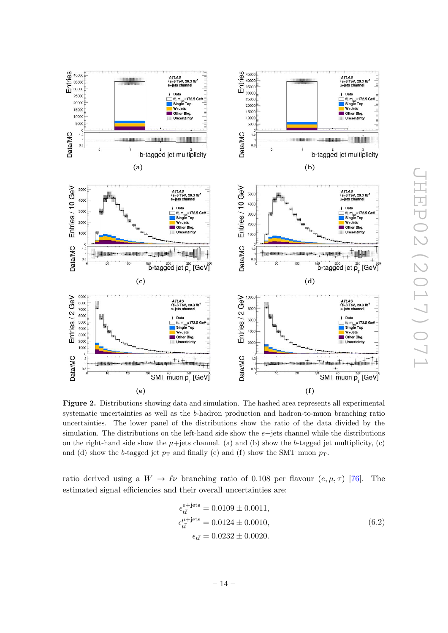<span id="page-15-0"></span>

Figure 2. Distributions showing data and simulation. The hashed area represents all experimental systematic uncertainties as well as the b-hadron production and hadron-to-muon branching ratio uncertainties. The lower panel of the distributions show the ratio of the data divided by the simulation. The distributions on the left-hand side show the  $e+{\rm jets}$  channel while the distributions on the right-hand side show the  $\mu$ +jets channel. (a) and (b) show the b-tagged jet multiplicity, (c) and (d) show the b-tagged jet  $p_T$  and finally (e) and (f) show the SMT muon  $p_T$ .

ratio derived using a  $W \to \ell \nu$  branching ratio of 0.108 per flavour  $(e, \mu, \tau)$  [\[76\]](#page-28-3). The estimated signal efficiencies and their overall uncertainties are:

$$
\epsilon_{t\bar{t}}^{\epsilon+jets} = 0.0109 \pm 0.0011,\n\epsilon_{t\bar{t}}^{\mu+jets} = 0.0124 \pm 0.0010,\n\epsilon_{t\bar{t}} = 0.0232 \pm 0.0020.
$$
\n(6.2)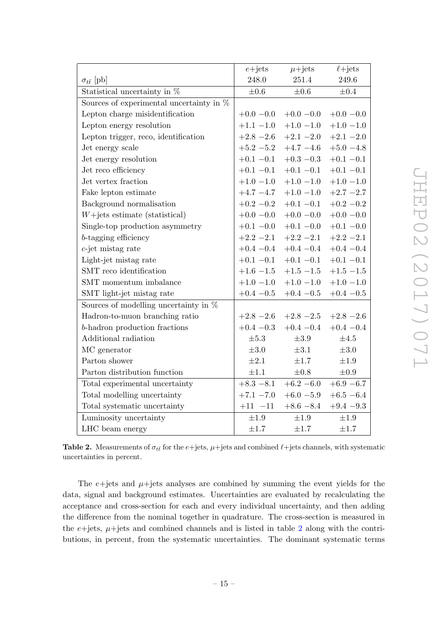<span id="page-16-0"></span>

|                                            | $e + jets$   | $\mu + \text{jets}$ | $\ell$ +jets |
|--------------------------------------------|--------------|---------------------|--------------|
| $\sigma_{t\bar{t}}$ [pb]                   | 248.0        | 251.4               | 249.6        |
| Statistical uncertainty in $%$             | $\pm 0.6$    | $\pm 0.6$           | $\pm 0.4$    |
| Sources of experimental uncertainty in $%$ |              |                     |              |
| Lepton charge misidentification            | $+0.0 - 0.0$ | $+0.0 - 0.0$        | $+0.0 - 0.0$ |
| Lepton energy resolution                   | $+1.1 -1.0$  | $+1.0 -1.0$         | $+1.0 -1.0$  |
| Lepton trigger, reco, identification       | $+2.8 - 2.6$ | $+2.1 - 2.0$        | $+2.1 - 2.0$ |
| Jet energy scale                           | $+5.2 - 5.2$ | $+4.7 - 4.6$        | $+5.0 -4.8$  |
| Jet energy resolution                      | $+0.1 - 0.1$ | $+0.3 - 0.3$        | $+0.1 - 0.1$ |
| Jet reco efficiency                        | $+0.1 - 0.1$ | $+0.1 - 0.1$        | $+0.1 - 0.1$ |
| Jet vertex fraction                        | $+1.0 -1.0$  | $+1.0 -1.0$         | $+1.0 -1.0$  |
| Fake lepton estimate                       | $+4.7 - 4.7$ | $+1.0 -1.0$         | $+2.7 - 2.7$ |
| Background normalisation                   | $+0.2 -0.2$  | $+0.1 - 0.1$        | $+0.2 -0.2$  |
| $W + \text{jets estimate (statistical)}$   | $+0.0 - 0.0$ | $+0.0 - 0.0$        | $+0.0 - 0.0$ |
| Single-top production asymmetry            | $+0.1 - 0.0$ | $+0.1 - 0.0$        | $+0.1 - 0.0$ |
| $b$ -tagging efficiency                    | $+2.2 -2.1$  | $+2.2 - 2.1$        | $+2.2 - 2.1$ |
| $c$ -jet mistag rate                       | $+0.4 -0.4$  | $+0.4 - 0.4$        | $+0.4 - 0.4$ |
| Light-jet mistag rate                      | $+0.1 - 0.1$ | $+0.1 - 0.1$        | $+0.1 - 0.1$ |
| SMT reco identification                    | $+1.6 -1.5$  | $+1.5 -1.5$         | $+1.5 -1.5$  |
| SMT momentum imbalance                     | $+1.0 -1.0$  | $+1.0 -1.0$         | $+1.0 -1.0$  |
| SMT light-jet mistag rate                  | $+0.4 -0.5$  | $+0.4 - 0.5$        | $+0.4 - 0.5$ |
| Sources of modelling uncertainty in $%$    |              |                     |              |
| Hadron-to-muon branching ratio             | $+2.8 - 2.6$ | $+2.8 - 2.5$        | $+2.8 - 2.6$ |
| b-hadron production fractions              | $+0.4 -0.3$  | $+0.4 -0.4$         | $+0.4 -0.4$  |
| Additional radiation                       | $\pm 5.3$    | $\pm 3.9$           | $\pm 4.5$    |
| MC generator                               | $\pm 3.0$    | $\pm 3.1$           | $\pm 3.0$    |
| Parton shower                              | $\pm 2.1$    | $\pm 1.7$           | $\pm 1.9$    |
| Parton distribution function               | $\pm 1.1$    | $\pm 0.8$           | $\pm 0.9$    |
| Total experimental uncertainty             | $+8.3 - 8.1$ | $+6.2 - 6.0$        | $+6.9 - 6.7$ |
| Total modelling uncertainty                | $+7.1 - 7.0$ | $+6.0 - 5.9$        | $+6.5 - 6.4$ |
| Total systematic uncertainty               | $+11 -11$    | $+8.6 - 8.4$        | $+9.4 - 9.3$ |
| Luminosity uncertainty                     | $\pm 1.9$    | $\pm 1.9$           | $\pm 1.9$    |
| LHC beam energy                            | $\pm 1.7$    | $\pm 1.7$           | $\pm 1.7$    |

**Table 2.** Measurements of  $\sigma_{t\bar{t}}$  for the  $e+{\rm jets}$ ,  $\mu+{\rm jets}$  and combined  $\ell+{\rm jets}$  channels, with systematic uncertainties in percent.

<span id="page-16-1"></span>The  $e+{\rm jets}$  and  $\mu+{\rm jets}$  analyses are combined by summing the event yields for the data, signal and background estimates. Uncertainties are evaluated by recalculating the acceptance and cross-section for each and every individual uncertainty, and then adding the difference from the nominal together in quadrature. The cross-section is measured in the  $e +$ jets,  $\mu +$ jets and combined channels and is listed in table [2](#page-15-0) along with the contributions, in percent, from the systematic uncertainties. The dominant systematic terms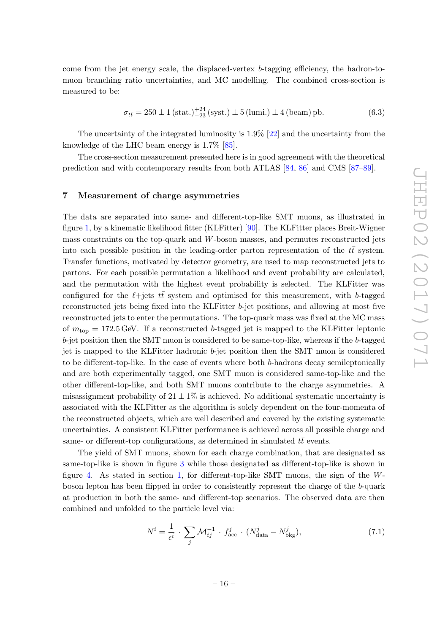<span id="page-17-0"></span>come from the jet energy scale, the displaced-vertex b-tagging efficiency, the hadron-tomuon branching ratio uncertainties, and MC modelling. The combined cross-section is measured to be:

$$
\sigma_{t\bar{t}} = 250 \pm 1 \, (\text{stat.})^{+24}_{-23} \, (\text{syst.}) \pm 5 \, (\text{lumi.}) \pm 4 \, (\text{beam}) \, \text{pb.} \tag{6.3}
$$

The uncertainty of the integrated luminosity is 1.9% [\[22\]](#page-25-2) and the uncertainty from the knowledge of the LHC beam energy is 1.7% [\[85\]](#page-28-12).

The cross-section measurement presented here is in good agreement with the theoretical prediction and with contemporary results from both ATLAS [\[84](#page-28-11) , [86\]](#page-28-13) and CMS [\[87](#page-28-14) [–89\]](#page-28-15).

# 7 Measurement of charge asymmetries

The data are separated into same- and different-top-like SMT muons, as illustrated in figure [1,](#page-3-0) by a kinematic likelihood fitter (KLFitter) [\[90\]](#page-29-0). The KLFitter places Breit-Wigner mass constraints on the top-quark and W-boson masses, and permutes reconstructed jets into each possible position in the leading-order parton representation of the  $t\bar{t}$  system. Transfer functions, motivated by detector geometry, are used to map reconstructed jets to partons. For each possible permutation a likelihood and event probability are calculated, and the permutation with the highest event probability is selected. The KLFitter was configured for the  $\ell$ +jets  $t\bar{t}$  system and optimised for this measurement, with b-tagged reconstructed jets being fixed into the KLFitter b-jet positions, and allowing at most five reconstructed jets to enter the permutations. The top-quark mass was fixed at the MC mass of  $m_{\text{top}} = 172.5 \,\text{GeV}$ . If a reconstructed b-tagged jet is mapped to the KLFitter leptonic b-jet position then the SMT muon is considered to be same-top-like, whereas if the b-tagged jet is mapped to the KLFitter hadronic b-jet position then the SMT muon is considered to be different-top-like. In the case of events where both b-hadrons decay semileptonically and are both experimentally tagged, one SMT muon is considered same-top-like and the other different-top-like, and both SMT muons contribute to the charge asymmetries. A misassignment probability of  $21 \pm 1\%$  is achieved. No additional systematic uncertainty is associated with the KLFitter as the algorithm is solely dependent on the four-momenta of the reconstructed objects, which are well described and covered by the existing systematic uncertainties. A consistent KLFitter performance is achieved across all possible charge and same- or different-top configurations, as determined in simulated  $t\bar{t}$  events.

The yield of SMT muons, shown for each charge combination, that are designated as same-top-like is shown in figure [3](#page-19-0) while those designated as different-top-like is shown in figure [4.](#page-19-1) As stated in section [1,](#page-1-0) for different-top-like SMT muons, the sign of the Wboson lepton has been flipped in order to consistently represent the charge of the b-quark at production in both the same- and different-top scenarios. The observed data are then combined and unfolded to the particle level via:

<span id="page-17-2"></span><span id="page-17-1"></span>
$$
N^{i} = \frac{1}{\epsilon^{i}} \cdot \sum_{j} \mathcal{M}_{ij}^{-1} \cdot f_{\text{acc}}^{j} \cdot (N_{\text{data}}^{j} - N_{\text{bkg}}^{j}), \tag{7.1}
$$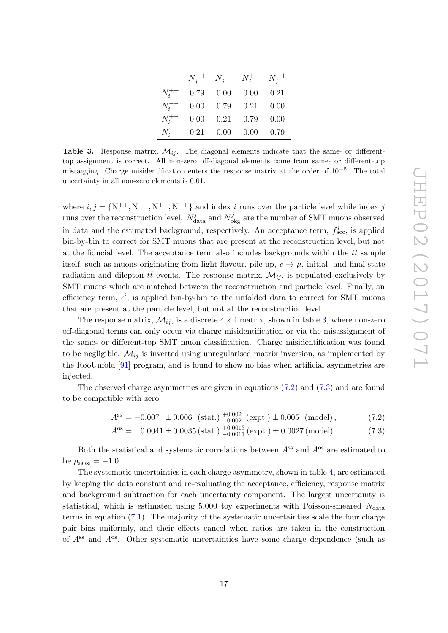|            | $N_i^-$ | $N_i^-$ | $N_i^+$ | $N_i$ |
|------------|---------|---------|---------|-------|
| $N_i^{++}$ | 0.79    | 0.00    | 0.00    | 0.21  |
| $N_i^-$    | 0.00    | 0.79    | 0.21    | 0.00  |
| $N_i^+$    | 0.00    | 0.21    | 0.79    | 0.00  |
|            | 0.21    | 0.00    | 0.00    | 0.79  |

<span id="page-18-0"></span>**Table 3.** Response matrix,  $\mathcal{M}_{ij}$ . The diagonal elements indicate that the same- or differenttop assignment is correct. All non-zero off-diagonal elements come from same- or different-top mistagging. Charge misidentification enters the response matrix at the order of  $10^{-5}$ . The total uncertainty in all non-zero elements is 0.01.

where  $i, j = \{N^{++}, N^{--}, N^{+-}, N^{-+}\}$  and index i runs over the particle level while index j runs over the reconstruction level.  $N_{\text{data}}^j$  and  $N_{\text{bkg}}^j$  are the number of SMT muons observed in data and the estimated background, respectively. An acceptance term,  $f_{\text{acc}}^j$ , is applied bin-by-bin to correct for SMT muons that are present at the reconstruction level, but not at the fiducial level. The acceptance term also includes backgrounds within the  $t\bar{t}$  sample itself, such as muons originating from light-flavour, pile-up,  $c \to \mu$ , initial- and final-state radiation and dilepton  $t\bar{t}$  events. The response matrix,  $\mathcal{M}_{ij}$ , is populated exclusively by SMT muons which are matched between the reconstruction and particle level. Finally, an efficiency term,  $\epsilon^i$ , is applied bin-by-bin to the unfolded data to correct for SMT muons that are present at the particle level, but not at the reconstruction level.

The response matrix,  $\mathcal{M}_{ij}$ , is a discrete  $4 \times 4$  matrix, shown in table [3,](#page-17-0) where non-zero off-diagonal terms can only occur via charge misidentification or via the misassignment of the same- or different-top SMT muon classification. Charge misidentification was found to be negligible.  $\mathcal{M}_{ij}$  is inverted using unregularised matrix inversion, as implemented by the RooUnfold [\[91\]](#page-29-1) program, and is found to show no bias when artificial asymmetries are injected.

The observed charge asymmetries are given in equations [\(7.2\)](#page-17-1) and [\(7.3\)](#page-17-2) and are found to be compatible with zero:

$$
A^{\rm ss} = -0.007 \pm 0.006 \text{ (stat.)}^{+0.002}_{-0.002} \text{ (expt.)} \pm 0.005 \text{ (model)}, \tag{7.2}
$$

$$
Aos = 0.0041 \pm 0.0035 \text{ (stat.)} \, ^{+0.0013}_{-0.0011} \text{(expt.)} \pm 0.0027 \text{ (model)} \,. \tag{7.3}
$$

Both the statistical and systematic correlations between  $A^{ss}$  and  $A^{os}$  are estimated to be  $\rho_{\rm ss, os} = -1.0$ .

The systematic uncertainties in each charge asymmetry, shown in table [4,](#page-18-0) are estimated by keeping the data constant and re-evaluating the acceptance, efficiency, response matrix and background subtraction for each uncertainty component. The largest uncertainty is statistical, which is estimated using  $5,000$  toy experiments with Poisson-smeared  $N_{data}$ terms in equation [\(7.1\)](#page-16-1). The majority of the systematic uncertainties scale the four charge pair bins uniformly, and their effects cancel when ratios are taken in the construction of  $A^{ss}$  and  $A^{os}$ . Other systematic uncertainties have some charge dependence (such as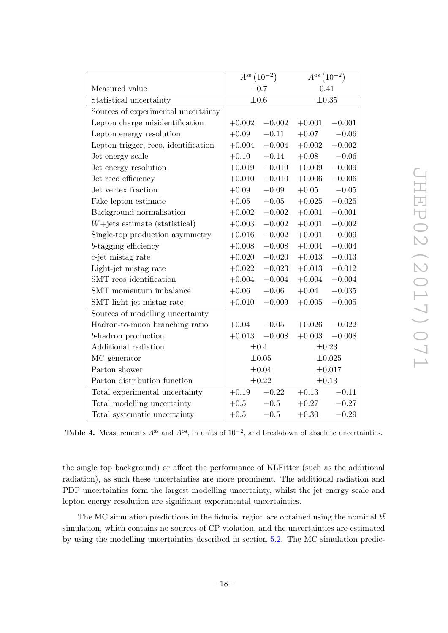<span id="page-19-1"></span><span id="page-19-0"></span>

|                                       | $A^{ss} (10^{-2})$ |                          |             | $A^{os}(10^{-2})$ |  |
|---------------------------------------|--------------------|--------------------------|-------------|-------------------|--|
| Measured value                        |                    | $-0.7$                   | 0.41        |                   |  |
| Statistical uncertainty               |                    | $\pm 0.6$                |             | $\pm 0.35$        |  |
| Sources of experimental uncertainty   |                    |                          |             |                   |  |
| Lepton charge misidentification       | $+0.002$           | $-0.002$                 | $+0.001$    | $-0.001$          |  |
| Lepton energy resolution              | $+0.09$            | $-0.11$                  | $+0.07$     | $-0.06$           |  |
| Lepton trigger, reco, identification  | $+0.004$           | $-0.004$                 | $+0.002$    | $-0.002$          |  |
| Jet energy scale                      | $+0.10$            | $-0.14$                  | $+0.08$     | $-0.06$           |  |
| Jet energy resolution                 | $+0.019$           | $-0.019$                 | $+0.009$    | $-0.009$          |  |
| Jet reco efficiency                   | $+0.010$           | $-0.010$                 | $+0.006$    | $-0.006$          |  |
| Jet vertex fraction                   | $+0.09$            | $-0.09$                  | $+0.05$     | $-0.05$           |  |
| Fake lepton estimate                  | $+0.05$            | $-0.05$                  | $+0.025$    | $-0.025$          |  |
| Background normalisation              | $+0.002$           | $-0.002$                 | $+0.001$    | $-0.001$          |  |
| $W+{\rm jets}$ estimate (statistical) | $+0.003$           | $-0.002$                 | $+0.001$    | $-0.002$          |  |
| Single-top production asymmetry       | $+0.016$           | $-0.002$                 | $+0.001$    | $-0.009$          |  |
| <i>b</i> -tagging efficiency          | $+0.008$           | $-0.008$                 | $+0.004$    | $-0.004$          |  |
| $c$ -jet mistag rate                  | $+0.020$           | $-0.020$                 | $+0.013$    | $-0.013$          |  |
| Light-jet mistag rate                 | $+0.022$           | $-0.023$                 | $+0.013$    | $-0.012$          |  |
| SMT reco identification               | $+0.004$           | $-0.004$                 | $+0.004$    | $-0.004$          |  |
| SMT momentum imbalance                | $+0.06$            | $-0.06$                  | $+0.04$     | $-0.035$          |  |
| SMT light-jet mistag rate             | $+0.010$           | $-0.009$                 | $+0.005$    | $-0.005$          |  |
| Sources of modelling uncertainty      |                    |                          |             |                   |  |
| Hadron-to-muon branching ratio        | $+0.04$            | $-0.05$                  | $+0.026$    | $-0.022$          |  |
| b-hadron production                   | $+0.013$           | $-0.008$                 | $+0.003$    | $-0.008$          |  |
| Additional radiation                  | $\pm 0.4$          |                          | $\pm 0.23$  |                   |  |
| MC generator                          |                    | $\pm 0.05$               | $\pm 0.025$ |                   |  |
| Parton shower                         |                    | $\pm 0.04$               | $\pm 0.017$ |                   |  |
| Parton distribution function          |                    | $\pm 0.22$<br>$\pm 0.13$ |             |                   |  |
| Total experimental uncertainty        | $+0.19$            | $-0.22$                  | $+0.13$     | $-0.11$           |  |
| Total modelling uncertainty           | $+0.5$             | $-0.5$                   | $+0.27$     | $-0.27$           |  |
| Total systematic uncertainty          | $+0.5$             | $-0.5$                   | $+0.30$     | $-0.29$           |  |

<span id="page-19-2"></span>Table 4. Measurements  $A^{ss}$  and  $A^{os}$ , in units of  $10^{-2}$ , and breakdown of absolute uncertainties.

<span id="page-19-3"></span>the single top background) or affect the performance of KLFitter (such as the additional radiation), as such these uncertainties are more prominent. The additional radiation and PDF uncertainties form the largest modelling uncertainty, whilst the jet energy scale and lepton energy resolution are significant experimental uncertainties.

The MC simulation predictions in the fiducial region are obtained using the nominal  $t\bar{t}$ simulation, which contains no sources of CP violation, and the uncertainties are estimated by using the modelling uncertainties described in section [5.2.](#page-12-0) The MC simulation predic-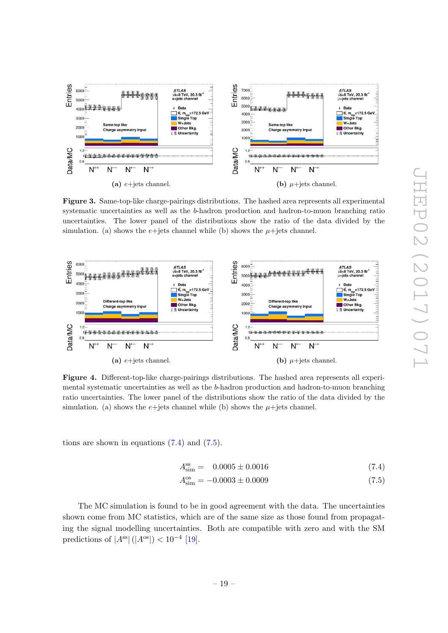<span id="page-20-1"></span>

<span id="page-20-0"></span>Figure 3. Same-top-like charge-pairings distributions. The hashed area represents all experimental systematic uncertainties as well as the b-hadron production and hadron-to-muon branching ratio uncertainties. The lower panel of the distributions show the ratio of the data divided by the simulation. (a) shows the  $e+{\rm jets}$  channel while (b) shows the  $\mu+{\rm jets}$  channel.



Figure 4. Different-top-like charge-pairings distributions. The hashed area represents all experimental systematic uncertainties as well as the b-hadron production and hadron-to-muon branching ratio uncertainties. The lower panel of the distributions show the ratio of the data divided by the simulation. (a) shows the  $e+{\rm jets}$  channel while (b) shows the  $\mu+{\rm jets}$  channel.

tions are shown in equations  $(7.4)$  and  $(7.5)$ .

$$
A_{\rm sim}^{\rm ss} = 0.0005 \pm 0.0016 \tag{7.4}
$$

$$
A_{\text{sim}}^{\text{os}} = -0.0003 \pm 0.0009 \tag{7.5}
$$

The MC simulation is found to be in good agreement with the data. The uncertainties shown come from MC statistics, which are of the same size as those found from propagating the signal modelling uncertainties. Both are compatible with zero and with the SM predictions of  $|A^{ss}| (|A^{os}|) < 10^{-4}$  [\[19\]](#page-24-13).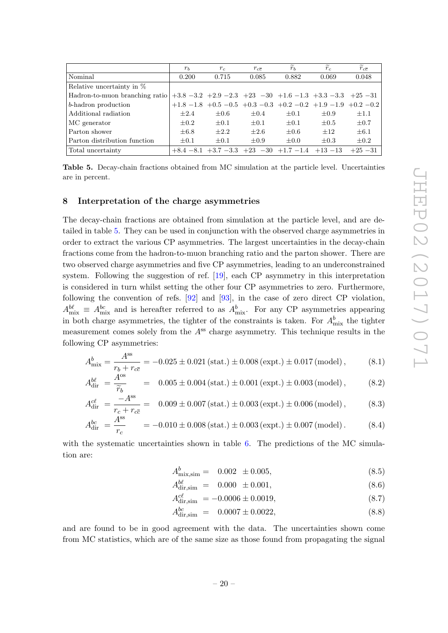<span id="page-21-0"></span>

|                                | $r_b$     | $r_c$     | $r_{c\overline{c}}$ | $r_{h}$                                                                          | $\widetilde{r}_c$ | $\widetilde{r}_{c\overline{c}}$ |
|--------------------------------|-----------|-----------|---------------------|----------------------------------------------------------------------------------|-------------------|---------------------------------|
| Nominal                        | 0.200     | 0.715     | 0.085               | 0.882                                                                            | 0.069             | 0.048                           |
| Relative uncertainty in $\%$   |           |           |                     |                                                                                  |                   |                                 |
| Hadron-to-muon branching ratio |           |           |                     | $+3.8\;-3.2\;\;+2.9\;-2.3\;\;+23\;\;-30\;\;+1.6\;-1.3\;\;+3.3\;-3.3\;\;+25\;-31$ |                   |                                 |
| b-hadron production            |           |           |                     | $+1.8 -1.8 +0.5 -0.5 +0.3 -0.3 +0.2 -0.2 +1.9 -1.9 +0.2 -0.2$                    |                   |                                 |
| Additional radiation           | $+2.4$    | $\pm 0.6$ | $\pm 0.4$           | $\pm 0.1$                                                                        | $\pm 0.9$         | $\pm 1.1$                       |
| MC generator                   | $\pm 0.2$ | $\pm 0.1$ | $\pm 0.1$           | $\pm 0.1$                                                                        | $\pm 0.5$         | $\pm 0.7$                       |
| Parton shower                  | $\pm 6.8$ | $+2.2$    | $+2.6$              | $\pm 0.6$                                                                        | $+12$             | $\pm 6.1$                       |
| Parton distribution function   | $\pm 0.1$ | $+0.1$    | $+0.9$              | $\pm 0.0$                                                                        | $\pm 0.3$         | $\pm 0.2$                       |
| Total uncertainty              |           |           |                     | $+8.4 -8.1 +3.7 -3.3 +23 -30 +1.7 -1.4 +13 -13$                                  |                   | $+25 -31$                       |

Table 5. Decay-chain fractions obtained from MC simulation at the particle level. Uncertainties are in percent.

# 8 Interpretation of the charge asymmetries

The decay-chain fractions are obtained from simulation at the particle level, and are detailed in table [5.](#page-20-1) They can be used in conjunction with the observed charge asymmetries in order to extract the various CP asymmetries. The largest uncertainties in the decay-chain fractions come from the hadron-to-muon branching ratio and the parton shower. There are two observed charge asymmetries and five CP asymmetries, leading to an underconstrained system. Following the suggestion of ref. [\[19\]](#page-24-13), each CP asymmetry in this interpretation is considered in turn whilst setting the other four CP asymmetries to zero. Furthermore, following the convention of refs. [\[92\]](#page-29-2) and [\[93\]](#page-29-3), in the case of zero direct CP violation,  $A_{\text{mix}}^{b\ell} \equiv A_{\text{mix}}^{bc}$  and is hereafter referred to as  $A_{\text{mix}}^{b}$ . For any CP asymmetries appearing in both charge asymmetries, the tighter of the constraints is taken. For  $A_{\text{mix}}^b$  the tighter measurement comes solely from the  $A^{ss}$  charge asymmetry. This technique results in the following CP asymmetries:

$$
A_{\text{mix}}^{b} = \frac{A^{\text{ss}}}{r_b + r_{c\bar{c}}} = -0.025 \pm 0.021 \, (\text{stat.}) \pm 0.008 \, (\text{expt.}) \pm 0.017 \, (\text{model}), \tag{8.1}
$$

$$
A_{\text{dir}}^{b\ell} = \frac{A^{\text{os}}}{\widetilde{r}_b} = 0.005 \pm 0.004 \, (\text{stat.}) \pm 0.001 \, (\text{expt.}) \pm 0.003 \, (\text{model}), \tag{8.2}
$$

$$
A_{\text{dir}}^{c\ell} = \frac{-A^{\text{ss}}}{r_c + r_{c\overline{c}}} = 0.009 \pm 0.007 \, (\text{stat.}) \pm 0.003 \, (\text{expt.}) \pm 0.006 \, (\text{model}), \tag{8.3}
$$

$$
A_{\text{dir}}^{bc} = \frac{A^{\text{ss}}}{r_c} = -0.010 \pm 0.008 \, (\text{stat.}) \pm 0.003 \, (\text{expt.}) \pm 0.007 \, (\text{model}). \tag{8.4}
$$

with the systematic uncertainties shown in table [6.](#page-21-0) The predictions of the MC simulation are:

$$
A_{\text{mix,sim}}^b = 0.002 \pm 0.005, \tag{8.5}
$$

$$
A_{\text{dir,sim}}^{\text{b}\ell} = 0.000 \pm 0.001, \tag{8.6}
$$

$$
A_{\text{dir,sim}}^{c\ell} = -0.0006 \pm 0.0019,\tag{8.7}
$$

$$
A_{\text{dir,sim}}^{bc} = 0.0007 \pm 0.0022, \tag{8.8}
$$

and are found to be in good agreement with the data. The uncertainties shown come from MC statistics, which are of the same size as those found from propagating the signal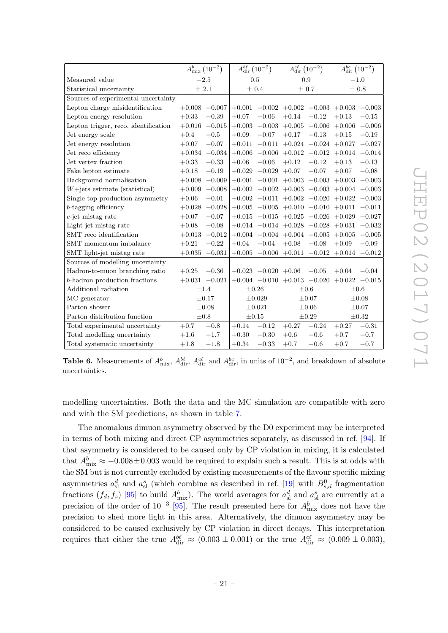<span id="page-22-1"></span>

|                                       | $A_{\text{mix}}^{b}$ $(10^{-2})$ |            | $A_{\text{dir}}^{b\ell}$ $(10^{-2})$ |                                                       | $A_{\text{dir}}^{c\ell}$ $(10^{-2})$ |                        | $A_{\text{dir}}^{bc} (10^{-2})$     |                   |
|---------------------------------------|----------------------------------|------------|--------------------------------------|-------------------------------------------------------|--------------------------------------|------------------------|-------------------------------------|-------------------|
| Measured value                        |                                  | $-2.5$     | 0.5                                  |                                                       | 0.9                                  |                        |                                     | $-1.0$            |
| Statistical uncertainty               | ± 2.1                            |            |                                      | $\pm 0.4$                                             | $+0.7$                               |                        | $\pm 0.8$                           |                   |
| Sources of experimental uncertainty   |                                  |            |                                      |                                                       |                                      |                        |                                     |                   |
| Lepton charge misidentification       | $+0.008$                         | $-0.007$   |                                      | $+0.001$ $-0.002$ $+0.002$ $-0.003$ $+0.003$ $-0.003$ |                                      |                        |                                     |                   |
| Lepton energy resolution              | $+0.33$                          | $-0.39$    | $+0.07$                              | $-0.06$                                               | $+0.14$                              | $-0.12$                | $+0.13$                             | $-0.15$           |
| Lepton trigger, reco, identification  | $+0.016$                         | $-0.015$   |                                      | $+0.003 -0.003 +0.005$                                |                                      | $-0.006$               | $+0.006$                            | $-0.006$          |
| Jet energy scale                      | $+0.4$                           | $-0.5$     | $+0.09$                              | $-0.07$                                               | $+0.17$                              | $-0.13$                | $+0.15$                             | $-0.19$           |
| Jet energy resolution                 | $+0.07$                          | $-0.07$    |                                      | $+0.011 - 0.011$                                      |                                      | $+0.024 -0.024 +0.027$ |                                     | $-0.027$          |
| Jet reco efficiency                   | $+0.034$                         | $-0.034$   |                                      | $+0.006$ $-0.006$                                     |                                      |                        | $+0.012$ $-0.012$ $+0.014$ $-0.014$ |                   |
| Jet vertex fraction                   | $+0.33$                          | $-0.33$    | $+0.06$                              | $-0.06$                                               | $+0.12$                              | $-0.12$                | $+0.13$                             | $-0.13$           |
| Fake lepton estimate                  | $+0.18$                          | $-0.19$    |                                      | $+0.029 -0.029$                                       | $+0.07$                              | $-0.07$                | $+0.07$                             | $-0.08$           |
| Background normalisation              | $+0.008$                         | $-0.009$   |                                      | $+0.001 -0.001$                                       | $+0.003 -0.003$                      |                        |                                     | $+0.003$ $-0.003$ |
| $W+{\rm jets}$ estimate (statistical) | $+0.009$                         | $-0.008$   |                                      | $+0.002$ $-0.002$ $+0.003$ $-0.003$ $+0.004$ $-0.003$ |                                      |                        |                                     |                   |
| Single-top production asymmetry       | $+0.06$                          | $-0.01$    |                                      | $+0.002$ $-0.011$ $+0.002$ $-0.020$                   |                                      |                        |                                     | $+0.022 -0.003$   |
| $b$ -tagging efficiency               | $+0.028$                         | $-0.028$   |                                      | $+0.005$ $-0.005$ $+0.010$ $-0.010$                   |                                      |                        | $+0.011 - 0.011$                    |                   |
| $c$ -jet mistag rate                  | $+0.07$                          | $-0.07$    |                                      | $+0.015$ $-0.015$ $+0.025$ $-0.026$                   |                                      |                        | $+0.029$                            | $-0.027$          |
| Light-jet mistag rate                 | $+0.08$                          | $-0.08$    |                                      | $+0.014$ $-0.014$ $+0.028$ $-0.028$                   |                                      |                        |                                     | $+0.031 -0.032$   |
| SMT reco identification               | $+0.013$                         | $-0.012$   |                                      | $+0.004$ $-0.004$ $+0.004$ $-0.005$ $+0.005$ $-0.005$ |                                      |                        |                                     |                   |
| SMT momentum imbalance                | $+0.21$                          | $-0.22$    | $+0.04$                              | $-0.04$                                               | $+0.08$                              | $-0.08$                | $+0.09$                             | $-0.09$           |
| SMT light-jet mistag rate             | $+0.035$                         | $-0.031$   |                                      | $+0.005$ $-0.006$ $+0.011$ $-0.012$ $+0.014$ $-0.012$ |                                      |                        |                                     |                   |
| Sources of modelling uncertainty      |                                  |            |                                      |                                                       |                                      |                        |                                     |                   |
| Hadron-to-muon branching ratio        | $+0.25$                          | $-0.36$    |                                      | $+0.023 -0.020 +0.06$                                 |                                      | $-0.05$                | $+0.04$                             | $-0.04$           |
| b-hadron production fractions         | $+0.031 -0.021$                  |            |                                      | $+0.004$ $-0.010$ $+0.013$ $-0.020$ $+0.022$ $-0.015$ |                                      |                        |                                     |                   |
| Additional radiation                  |                                  | $\pm 1.4$  |                                      | $\pm 0.26$                                            | $\pm 0.6$                            |                        | $\pm 0.6$                           |                   |
| MC generator                          |                                  | $\pm 0.17$ |                                      | $\pm 0.029$                                           |                                      | $\pm 0.07$             |                                     | $\pm 0.08$        |
| Parton shower                         |                                  | $\pm 0.08$ |                                      | $\pm 0.021$                                           |                                      | $\pm 0.06$             | $\pm 0.07$                          |                   |
| Parton distribution function          |                                  | $\pm 0.8$  |                                      | $\pm 0.15$                                            |                                      | $\pm 0.29$             | $\pm 0.32$                          |                   |
| Total experimental uncertainty        | $+0.7$                           | $-0.8$     | $+0.14$                              | $-0.12$                                               | $+0.27$                              | $-0.24$                | $+0.27$                             | $-0.31$           |
| Total modelling uncertainty           | $+1.6$                           | $-1.7$     | $+0.30$                              | $-0.30$                                               | $+0.6$                               | $-0.6$                 | $+0.7$                              | $-0.7$            |
| Total systematic uncertainty          | $+1.8$                           | $-1.8$     | $+0.34$                              | $-0.33$                                               | $+0.7$                               | $-0.6$                 | $+0.7$                              | $-0.7$            |

**Table 6.** Measurements of  $A_{\text{mix}}^b$ ,  $A_{\text{dir}}^{b\ell}$ ,  $A_{\text{dir}}^{c\ell}$  and  $A_{\text{dir}}^{bc}$ , in units of  $10^{-2}$ , and breakdown of absolute uncertainties.

modelling uncertainties. Both the data and the MC simulation are compatible with zero and with the SM predictions, as shown in table [7](#page-22-1) .

<span id="page-22-0"></span>The anomalous dimuon asymmetry observed by the D0 experiment may be interpreted in terms of both mixing and direct CP asymmetries separately, as discussed in ref. [\[94\]](#page-29-4). If that asymmetry is considered to be caused only by CP violation in mixing, it is calculated that  $A_{\text{mix}}^b \approx -0.008 \pm 0.003$  would be required to explain such a result. This is at odds with the SM but is not currently excluded by existing measurements of the flavour specific mixing asymmetries  $a_{\rm sl}^d$  and  $a_{\rm sl}^s$  (which combine as described in ref. [\[19\]](#page-24-13) with  $B_{s,d}^0$  fragmentation fractions  $(f_d, f_s)$  [\[95\]](#page-29-5) to build  $A_{\text{mix}}^b$ ). The world averages for  $a_{\text{sl}}^d$  and  $a_{\text{sl}}^s$  are currently at a precision of the order of  $10^{-3}$  [\[95\]](#page-29-5). The result presented here for  $A_{\text{mix}}^b$  does not have the precision to shed more light in this area. Alternatively, the dimuon asymmetry may be considered to be caused exclusively by CP violation in direct decays. This interpretation requires that either the true  $A_{\text{dir}}^{b\ell} \approx (0.003 \pm 0.001)$  or the true  $A_{\text{dir}}^{c\ell} \approx (0.009 \pm 0.003)$ ,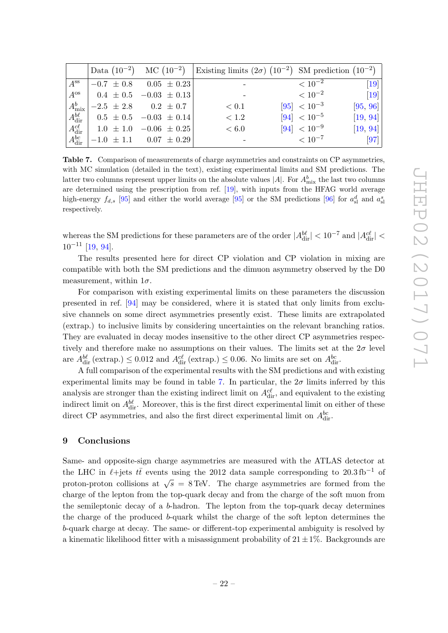|                    | Data $(10^{-2})$ MC $(10^{-2})$                             | Existing limits $(2\sigma)$ $(10^{-2})$ SM prediction $(10^{-2})$ |                  |                   |
|--------------------|-------------------------------------------------------------|-------------------------------------------------------------------|------------------|-------------------|
| $A^{ss}$           | $-0.7 \pm 0.8$ 0.05 $\pm$ 0.23                              |                                                                   | $< 10^{-2}$      | $\left[19\right]$ |
| $A^\mathrm{os}$    | $0.4 \pm 0.5 \quad -0.03 \pm 0.13$                          |                                                                   | $< 10^{-2}$      | $\left[19\right]$ |
| $A_{\text{mix}}^b$ | $-2.5 \pm 2.8$ 0.2 $\pm$ 0.7                                | < 0.1                                                             | $[95] < 10^{-3}$ | [95, 96]          |
|                    | $A_{\text{dir}}^{b\ell}$   0.5 $\pm$ 0.5 -0.03 $\pm$ 0.14   | < 1.2                                                             | $[94] < 10^{-5}$ | [19, 94]          |
|                    | $A_{\text{dir}}^{c\ell}$   1.0 $\pm$ 1.0 $-0.06$ $\pm$ 0.25 | < 6.0                                                             | $[94] < 10^{-9}$ | [19, 94]          |
| $A_{\rm dir}^{bc}$ | $-1.0 \pm 1.1$ 0.07 $\pm$ 0.29                              |                                                                   | $< 10^{-7}$      | $\left[97\right]$ |

Table 7. Comparison of measurements of charge asymmetries and constraints on CP asymmetries, with MC simulation (detailed in the text), existing experimental limits and SM predictions. The latter two columns represent upper limits on the absolute values  $|A|$ . For  $A_{\text{mix}}^b$  the last two columns are determined using the prescription from ref. [\[19\]](#page-24-13), with inputs from the HFAG world average high-energy  $f_{d,s}$  [\[95\]](#page-29-5) and either the world average [\[95\]](#page-29-5) or the SM predictions [\[96\]](#page-29-6) for  $a_{\rm sl}^d$  and  $a_{\rm sl}^s$ respectively.

whereas the SM predictions for these parameters are of the order  $|A_{\text{dir}}^{b\ell}| < 10^{-7}$  and  $|A_{\text{dir}}^{c\ell}| <$  $10^{-11}$  [\[19](#page-24-13), [94\]](#page-29-4).

The results presented here for direct CP violation and CP violation in mixing are compatible with both the SM predictions and the dimuon asymmetry observed by the D0 measurement, within  $1\sigma$ .

For comparison with existing experimental limits on these parameters the discussion presented in ref. [\[94\]](#page-29-4) may be considered, where it is stated that only limits from exclusive channels on some direct asymmetries presently exist. These limits are extrapolated (extrap.) to inclusive limits by considering uncertainties on the relevant branching ratios. They are evaluated in decay modes insensitive to the other direct CP asymmetries respectively and therefore make no assumptions on their values. The limits set at the  $2\sigma$  level are  $A_{\text{dir}}^{b\ell}$  (extrap.)  $\leq 0.012$  and  $A_{\text{dir}}^{c\ell}$  (extrap.)  $\leq 0.06$ . No limits are set on  $A_{\text{dir}}^{bc}$ .

A full comparison of the experimental results with the SM predictions and with existing experimental limits may be found in table [7.](#page-22-1) In particular, the  $2\sigma$  limits inferred by this analysis are stronger than the existing indirect limit on  $A_{\text{dir}}^{c\ell}$ , and equivalent to the existing indirect limit on  $A_{\text{dir}}^{b\ell}$ . Moreover, this is the first direct experimental limit on either of these direct CP asymmetries, and also the first direct experimental limit on  $A_{\text{dir}}^{bc}$ .

# 9 Conclusions

Same- and opposite-sign charge asymmetries are measured with the ATLAS detector at the LHC in  $\ell$ +jets  $t\bar{t}$  events using the 2012 data sample corresponding to 20.3 fb<sup>-1</sup> of proton-proton collisions at  $\sqrt{s} = 8 \text{ TeV}$ . The charge asymmetries are formed from the charge of the lepton from the top-quark decay and from the charge of the soft muon from the semileptonic decay of a b-hadron. The lepton from the top-quark decay determines the charge of the produced b-quark whilst the charge of the soft lepton determines the b-quark charge at decay. The same- or different-top experimental ambiguity is resolved by a kinematic likelihood fitter with a misassignment probability of  $21 \pm 1\%$ . Backgrounds are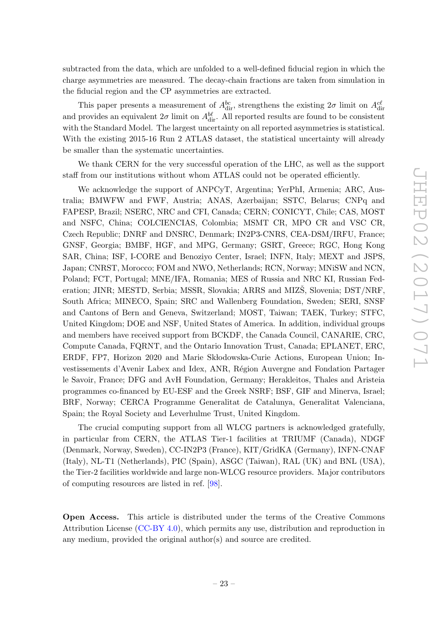<span id="page-24-0"></span>subtracted from the data, which are unfolded to a well-defined fiducial region in which the charge asymmetries are measured. The decay-chain fractions are taken from simulation in the fiducial region and the CP asymmetries are extracted.

<span id="page-24-1"></span>This paper presents a measurement of  $A_{\text{dir}}^{bc}$ , strengthens the existing  $2\sigma$  limit on  $A_{\text{dir}}^{c\ell}$ and provides an equivalent  $2\sigma$  limit on  $A_{\text{dir}}^{b\ell}$ . All reported results are found to be consistent with the Standard Model. The largest uncertainty on all reported asymmetries is statistical. With the existing 2015-16 Run 2 ATLAS dataset, the statistical uncertainty will already be smaller than the systematic uncertainties.

<span id="page-24-3"></span><span id="page-24-2"></span>We thank CERN for the very successful operation of the LHC, as well as the support staff from our institutions without whom ATLAS could not be operated efficiently.

<span id="page-24-5"></span><span id="page-24-4"></span>We acknowledge the support of ANPCyT, Argentina; YerPhI, Armenia; ARC, Australia; BMWFW and FWF, Austria; ANAS, Azerbaijan; SSTC, Belarus; CNPq and FAPESP, Brazil; NSERC, NRC and CFI, Canada; CERN; CONICYT, Chile; CAS, MOST and NSFC, China; COLCIENCIAS, Colombia; MSMT CR, MPO CR and VSC CR, Czech Republic; DNRF and DNSRC, Denmark; IN2P3-CNRS, CEA-DSM/IRFU, France; GNSF, Georgia; BMBF, HGF, and MPG, Germany; GSRT, Greece; RGC, Hong Kong SAR, China; ISF, I-CORE and Benoziyo Center, Israel; INFN, Italy; MEXT and JSPS, Japan; CNRST, Morocco; FOM and NWO, Netherlands; RCN, Norway; MNiSW and NCN, Poland; FCT, Portugal; MNE/IFA, Romania; MES of Russia and NRC KI, Russian Federation; JINR; MESTD, Serbia; MSSR, Slovakia; ARRS and MIZŠ, Slovenia; DST/NRF, South Africa; MINECO, Spain; SRC and Wallenberg Foundation, Sweden; SERI, SNSF and Cantons of Bern and Geneva, Switzerland; MOST, Taiwan; TAEK, Turkey; STFC, United Kingdom; DOE and NSF, United States of America. In addition, individual groups and members have received support from BCKDF, the Canada Council, CANARIE, CRC, Compute Canada, FQRNT, and the Ontario Innovation Trust, Canada; EPLANET, ERC, ERDF, FP7, Horizon 2020 and Marie Skłodowska-Curie Actions, European Union; Investissements d'Avenir Labex and Idex, ANR, R´egion Auvergne and Fondation Partager le Savoir, France; DFG and AvH Foundation, Germany; Herakleitos, Thales and Aristeia programmes co-financed by EU-ESF and the Greek NSRF; BSF, GIF and Minerva, Israel; BRF, Norway; CERCA Programme Generalitat de Catalunya, Generalitat Valenciana, Spain; the Royal Society and Leverhulme Trust, United Kingdom.

<span id="page-24-10"></span><span id="page-24-9"></span><span id="page-24-8"></span><span id="page-24-7"></span><span id="page-24-6"></span>The crucial computing support from all WLCG partners is acknowledged gratefully, in particular from CERN, the ATLAS Tier-1 facilities at TRIUMF (Canada), NDGF (Denmark, Norway, Sweden), CC-IN2P3 (France), KIT/GridKA (Germany), INFN-CNAF (Italy), NL-T1 (Netherlands), PIC (Spain), ASGC (Taiwan), RAL (UK) and BNL (USA), the Tier-2 facilities worldwide and large non-WLCG resource providers. Major contributors of computing resources are listed in ref. [\[98\]](#page-29-8).

<span id="page-24-13"></span><span id="page-24-12"></span><span id="page-24-11"></span>Open Access. This article is distributed under the terms of the Creative Commons Attribution License [\(CC-BY 4.0\)](http://creativecommons.org/licenses/by/4.0/), which permits any use, distribution and reproduction in any medium, provided the original author(s) and source are credited.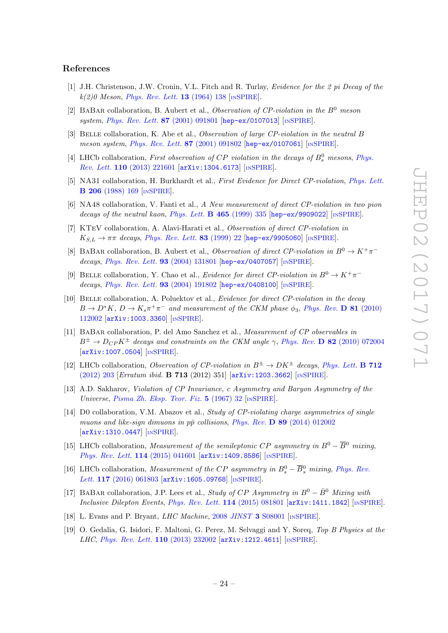# <span id="page-25-0"></span>References

- <span id="page-25-1"></span>[1] J.H. Christenson, J.W. Cronin, V.L. Fitch and R. Turlay, Evidence for the 2 pi Decay of the  $k(2)0$  Meson, [Phys. Rev. Lett.](http://dx.doi.org/10.1103/PhysRevLett.13.138) **13** (1964) 138 [IN[SPIRE](http://inspirehep.net/search?p=find+J+%22Phys.Rev.Lett.,13,138%22)].
- <span id="page-25-2"></span>[2] BABAR collaboration, B. Aubert et al., *Observation of CP-violation in the*  $B^0$  meson system, [Phys. Rev. Lett.](http://dx.doi.org/10.1103/PhysRevLett.87.091801) 87 (2001) 091801 [[hep-ex/0107013](https://arxiv.org/abs/hep-ex/0107013)] [IN[SPIRE](http://inspirehep.net/search?p=find+EPRINT+hep-ex/0107013)].
- <span id="page-25-3"></span>[3] BELLE collaboration, K. Abe et al., *Observation of large CP-violation in the neutral B* meson system, [Phys. Rev. Lett.](http://dx.doi.org/10.1103/PhysRevLett.87.091802) 87 (2001) 091802 [[hep-ex/0107061](https://arxiv.org/abs/hep-ex/0107061)] [IN[SPIRE](http://inspirehep.net/search?p=find+EPRINT+hep-ex/0107061)].
- <span id="page-25-4"></span>[4] LHCb collaboration, First observation of  $CP$  violation in the decays of  $B_s^0$  mesons, [Phys.](http://dx.doi.org/10.1103/PhysRevLett.110.221601) Rev. Lett. 110 [\(2013\) 221601](http://dx.doi.org/10.1103/PhysRevLett.110.221601) [[arXiv:1304.6173](https://arxiv.org/abs/1304.6173)] [IN[SPIRE](http://inspirehep.net/search?p=find+EPRINT+arXiv:1304.6173)].
- <span id="page-25-5"></span>[5] NA31 collaboration, H. Burkhardt et al., First Evidence for Direct CP-violation, [Phys. Lett.](http://dx.doi.org/10.1016/0370-2693(88)91282-8) B 206 [\(1988\) 169](http://dx.doi.org/10.1016/0370-2693(88)91282-8) [IN[SPIRE](http://inspirehep.net/search?p=find+J+%22Phys.Lett.,B206,169%22)].
- [6] NA48 collaboration, V. Fanti et al., A New measurement of direct CP-violation in two pion decays of the neutral kaon, [Phys. Lett.](http://dx.doi.org/10.1016/S0370-2693(99)01030-8) **B 465** (1999) 335 [[hep-ex/9909022](https://arxiv.org/abs/hep-ex/9909022)] [IN[SPIRE](http://inspirehep.net/search?p=find+EPRINT+hep-ex/9909022)].
- <span id="page-25-6"></span>[7] KTeV collaboration, A. Alavi-Harati et al., Observation of direct CP-violation in  $K_{S,L} \rightarrow \pi\pi$  decays, [Phys. Rev. Lett.](http://dx.doi.org/10.1103/PhysRevLett.83.22) 83 (1999) 22 [[hep-ex/9905060](https://arxiv.org/abs/hep-ex/9905060)] [IN[SPIRE](http://inspirehep.net/search?p=find+EPRINT+hep-ex/9905060)].
- <span id="page-25-7"></span>[8] BABAR collaboration, B. Aubert et al., *Observation of direct CP-violation in*  $B^0 \to K^+\pi^-$ decays, [Phys. Rev. Lett.](http://dx.doi.org/10.1103/PhysRevLett.93.131801) 93 (2004) 131801 [[hep-ex/0407057](https://arxiv.org/abs/hep-ex/0407057)] [IN[SPIRE](http://inspirehep.net/search?p=find+EPRINT+hep-ex/0407057)].
- <span id="page-25-8"></span>[9] BELLE collaboration, Y. Chao et al., Evidence for direct CP-violation in  $B^0 \to K^+\pi^-$ decays, [Phys. Rev. Lett.](http://dx.doi.org/10.1103/PhysRevLett.93.191802) **93** (2004) 191802 [[hep-ex/0408100](https://arxiv.org/abs/hep-ex/0408100)] [IN[SPIRE](http://inspirehep.net/search?p=find+EPRINT+hep-ex/0408100)].
- [10] Belle collaboration, A. Poluektov et al., Evidence for direct CP-violation in the decay  $B \to D^*K$ ,  $D \to K_s \pi^+ \pi^-$  and measurement of the CKM phase  $\phi_3$ , [Phys. Rev.](http://dx.doi.org/10.1103/PhysRevD.81.112002) **D** 81 (2010) [112002](http://dx.doi.org/10.1103/PhysRevD.81.112002) [[arXiv:1003.3360](https://arxiv.org/abs/1003.3360)] [IN[SPIRE](http://inspirehep.net/search?p=find+EPRINT+arXiv:1003.3360)].
- <span id="page-25-10"></span><span id="page-25-9"></span>[11] BaBar collaboration, P. del Amo Sanchez et al., Measurement of CP observables in  $B^{\pm} \rightarrow D_{CP} K^{\pm}$  decays and constraints on the CKM angle  $\gamma$ , Phys. Rev. **D** 82 [\(2010\) 072004](http://dx.doi.org/10.1103/PhysRevD.82.072004) [[arXiv:1007.0504](https://arxiv.org/abs/1007.0504)] [IN[SPIRE](http://inspirehep.net/search?p=find+EPRINT+arXiv:1007.0504)].
- <span id="page-25-11"></span>[12] LHCb collaboration, Observation of CP-violation in  $B^{\pm} \to D K^{\pm}$  decays, [Phys. Lett.](http://dx.doi.org/10.1016/j.physletb.2012.04.060) **B 712** [\(2012\) 203](http://dx.doi.org/10.1016/j.physletb.2012.04.060) [Erratum ibid. B 713 (2012) 351] [[arXiv:1203.3662](https://arxiv.org/abs/1203.3662)] [IN[SPIRE](http://inspirehep.net/search?p=find+EPRINT+arXiv:1203.3662)].
- <span id="page-25-12"></span>[13] A.D. Sakharov, Violation of CP Invariance, c Asymmetry and Baryon Asymmetry of the Universe, [Pisma Zh. Eksp. Teor. Fiz.](http://dx.doi.org/10.1070/PU1991v034n05ABEH002497) 5 (1967) 32 [IN[SPIRE](http://inspirehep.net/search?p=find+J+%22PismaZh.Eksp.Teor.Fiz.,5,32%22)].
- <span id="page-25-13"></span>[14] D0 collaboration, V.M. Abazov et al., Study of CP-violating charge asymmetries of single muons and like-sign dimuons in  $p\bar{p}$  collisions, Phys. Rev. **D 89** [\(2014\) 012002](http://dx.doi.org/10.1103/PhysRevD.89.012002) [[arXiv:1310.0447](https://arxiv.org/abs/1310.0447)] [IN[SPIRE](http://inspirehep.net/search?p=find+EPRINT+arXiv:1310.0447)].
- <span id="page-25-14"></span>[15] LHCb collaboration, *Measurement of the semileptonic CP asymmetry in*  $B^0 - \overline{B}{}^0$  mixing, [Phys. Rev. Lett.](http://dx.doi.org/10.1103/PhysRevLett.114.041601) 114 (2015) 041601 [[arXiv:1409.8586](https://arxiv.org/abs/1409.8586)] [IN[SPIRE](http://inspirehep.net/search?p=find+EPRINT+arXiv:1409.8586)].
- <span id="page-25-15"></span>[16] LHCb collaboration, *Measurement of the CP asymmetry in*  $B_s^0 - \overline{B}_s^0$  mixing, *[Phys. Rev.](http://dx.doi.org/10.1103/PhysRevLett.117.061803)* Lett. 117 [\(2016\) 061803](http://dx.doi.org/10.1103/PhysRevLett.117.061803) [[arXiv:1605.09768](https://arxiv.org/abs/1605.09768)] [IN[SPIRE](http://inspirehep.net/search?p=find+EPRINT+arXiv:1605.09768)].
- <span id="page-25-16"></span>[17] BABAR collaboration, J.P. Lees et al., *Study of CP Asymmetry in*  $B^0 - \bar{B}^0$  Mixing with Inclusive Dilepton Events , [Phys. Rev. Lett.](http://dx.doi.org/10.1103/PhysRevLett.114.081801) 114 (2015) 081801 [[arXiv:1411.1842](https://arxiv.org/abs/1411.1842)] [IN[SPIRE](http://inspirehep.net/search?p=find+EPRINT+arXiv:1411.1842)].
- [18] L. Evans and P. Bryant, *LHC Machine*, 2008 *JINST* 3 [S08001](http://dx.doi.org/10.1088/1748-0221/3/08/S08001) [IN[SPIRE](http://inspirehep.net/search?p=find+J+%22JINST,3,S08001%22)].
- [19] O. Gedalia, G. Isidori, F. Maltoni, G. Perez, M. Selvaggi and Y. Soreq, Top B Physics at the LHC, [Phys. Rev. Lett.](http://dx.doi.org/10.1103/PhysRevLett.110.232002) 110 (2013) 232002 [[arXiv:1212.4611](https://arxiv.org/abs/1212.4611)] [IN[SPIRE](http://inspirehep.net/search?p=find+EPRINT+arXiv:1212.4611)].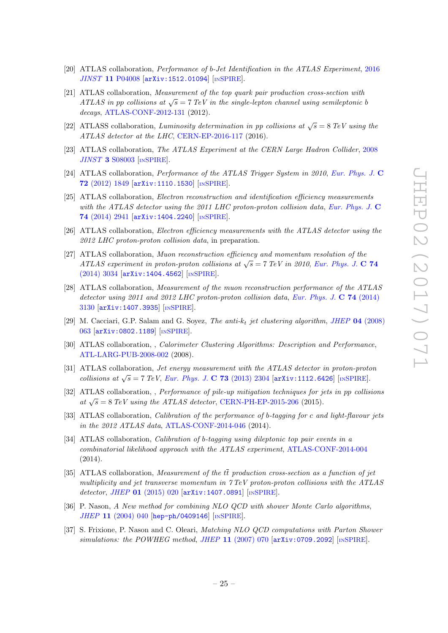- [20] ATLAS collaboration, Performance of b-Jet Identification in the ATLAS Experiment , [2016](http://dx.doi.org/10.1088/1748-0221/11/04/P04008) JINST 11 [P04008](http://dx.doi.org/10.1088/1748-0221/11/04/P04008) [[arXiv:1512.01094](https://arxiv.org/abs/1512.01094)] [IN[SPIRE](http://inspirehep.net/search?p=find+EPRINT+arXiv:1512.01094)].
- <span id="page-26-0"></span>[21] ATLAS collaboration, Measurement of the top quark pair production cross-section with ATLAS in pp collisions at  $\sqrt{s} = 7$  TeV in the single-lepton channel using semileptonic b decays , [ATLAS-CONF-2012-131](http://cds.cern.ch/record/1478370) (2012).
- <span id="page-26-1"></span>[22] ATLASS collaboration, Luminosity determination in pp collisions at  $\sqrt{s} = 8 \text{ TeV}$  using the ATLAS detector at the LHC, [CERN-EP-2016-117](http://cds.cern.ch/record/2208146) (2016).
- <span id="page-26-2"></span>[23] ATLAS collaboration, The ATLAS Experiment at the CERN Large Hadron Collider, [2008](http://dx.doi.org/10.1088/1748-0221/3/08/S08003) JINST 3 [S08003](http://dx.doi.org/10.1088/1748-0221/3/08/S08003) [IN[SPIRE](http://inspirehep.net/search?p=find+J+%22JINST,3,S08003%22)].
- <span id="page-26-3"></span>[24] ATLAS collaboration, *Performance of the ATLAS Trigger System in 2010*, [Eur. Phys. J.](http://dx.doi.org/10.1140/epjc/s10052-011-1849-1) C 72 [\(2012\) 1849](http://dx.doi.org/10.1140/epjc/s10052-011-1849-1) [[arXiv:1110.1530](https://arxiv.org/abs/1110.1530)] [IN[SPIRE](http://inspirehep.net/search?p=find+EPRINT+arXiv:1110.1530)].
- <span id="page-26-4"></span>[25] ATLAS collaboration, Electron reconstruction and identification efficiency measurements with the ATLAS detector using the 2011 LHC proton-proton collision data, [Eur. Phys. J.](http://dx.doi.org/10.1140/epjc/s10052-014-2941-0) C 74 [\(2014\) 2941](http://dx.doi.org/10.1140/epjc/s10052-014-2941-0) [[arXiv:1404.2240](https://arxiv.org/abs/1404.2240)] [IN[SPIRE](http://inspirehep.net/search?p=find+EPRINT+arXiv:1404.2240)].
- <span id="page-26-5"></span>[26] ATLAS collaboration, Electron efficiency measurements with the ATLAS detector using the 2012 LHC proton-proton collision data, in preparation.
- <span id="page-26-6"></span>[27] ATLAS collaboration, Muon reconstruction efficiency and momentum resolution of the ATLAS experiment in proton-proton collisions at  $\sqrt{s} = 7$  TeV in 2010, [Eur. Phys. J.](http://dx.doi.org/10.1140/epjc/s10052-014-3034-9) C 74 [\(2014\) 3034](http://dx.doi.org/10.1140/epjc/s10052-014-3034-9) [[arXiv:1404.4562](https://arxiv.org/abs/1404.4562)] [IN[SPIRE](http://inspirehep.net/search?p=find+EPRINT+arXiv:1404.4562)].
- <span id="page-26-7"></span>[28] ATLAS collaboration, Measurement of the muon reconstruction performance of the ATLAS detector using 2011 and 2012 LHC proton-proton collision data, [Eur. Phys. J.](http://dx.doi.org/10.1140/epjc/s10052-014-3130-x)  $\bf{C}$  **74** (2014) [3130](http://dx.doi.org/10.1140/epjc/s10052-014-3130-x) [[arXiv:1407.3935](https://arxiv.org/abs/1407.3935)] [IN[SPIRE](http://inspirehep.net/search?p=find+EPRINT+arXiv:1407.3935)].
- [29] M. Cacciari, G.P. Salam and G. Soyez, The anti- $k_t$  jet clustering algorithm, JHEP 04 [\(2008\)](http://dx.doi.org/10.1088/1126-6708/2008/04/063) [063](http://dx.doi.org/10.1088/1126-6708/2008/04/063) [[arXiv:0802.1189](https://arxiv.org/abs/0802.1189)] [IN[SPIRE](http://inspirehep.net/search?p=find+EPRINT+arXiv:0802.1189)].
- [30] ATLAS collaboration, *Calorimeter Clustering Algorithms: Description and Performance*, [ATL-LARG-PUB-2008-002](http://cds.cern.ch/record/1099735) (2008).
- [31] ATLAS collaboration, Jet energy measurement with the ATLAS detector in proton-proton collisions at  $\sqrt{s} = 7 \text{ TeV}$ , [Eur. Phys. J.](http://dx.doi.org/10.1140/epjc/s10052-013-2304-2) C 73 (2013) 2304 [[arXiv:1112.6426](https://arxiv.org/abs/1112.6426)] [IN[SPIRE](http://inspirehep.net/search?p=find+EPRINT+arXiv:1112.6426)].
- [32] ATLAS collaboration, , Performance of pile-up mitigation techniques for jets in pp collisions at  $\sqrt{s} = 8$  TeV using the ATLAS detector, [CERN-PH-EP-2015-206](http://cds.cern.ch/record/2058295) (2015).
- [33] ATLAS collaboration, *Calibration of the performance of b-tagging for c and light-flavour jets* in the 2012 ATLAS data , [ATLAS-CONF-2014-046](http://cds.cern.ch/record/1741020) (2014).
- [34] ATLAS collaboration, Calibration of b-tagging using dileptonic top pair events in a combinatorial likelihood approach with the ATLAS experiment , [ATLAS-CONF-2014-004](http://cds.cern.ch/record/1664335) (2014).
- <span id="page-26-8"></span>[35] ATLAS collaboration, *Measurement of the tt production cross-section as a function of jet* multiplicity and jet transverse momentum in 7 TeV proton-proton collisions with the ATLAS detector, JHEP 01 [\(2015\) 020](http://dx.doi.org/10.1007/JHEP01(2015)020) [[arXiv:1407.0891](https://arxiv.org/abs/1407.0891)] [IN[SPIRE](http://inspirehep.net/search?p=find+EPRINT+arXiv:1407.0891)].
- <span id="page-26-9"></span>[36] P. Nason, A New method for combining NLO QCD with shower Monte Carlo algorithms , JHEP 11 [\(2004\) 040](http://dx.doi.org/10.1088/1126-6708/2004/11/040) [[hep-ph/0409146](https://arxiv.org/abs/hep-ph/0409146)] [IN[SPIRE](http://inspirehep.net/search?p=find+EPRINT+hep-ph/0409146)].
- <span id="page-26-10"></span>[37] S. Frixione, P. Nason and C. Oleari, Matching NLO QCD computations with Parton Shower simulations: the POWHEG method, JHEP 11 [\(2007\) 070](http://dx.doi.org/10.1088/1126-6708/2007/11/070) [[arXiv:0709.2092](https://arxiv.org/abs/0709.2092)] [IN[SPIRE](http://inspirehep.net/search?p=find+EPRINT+arXiv:0709.2092)].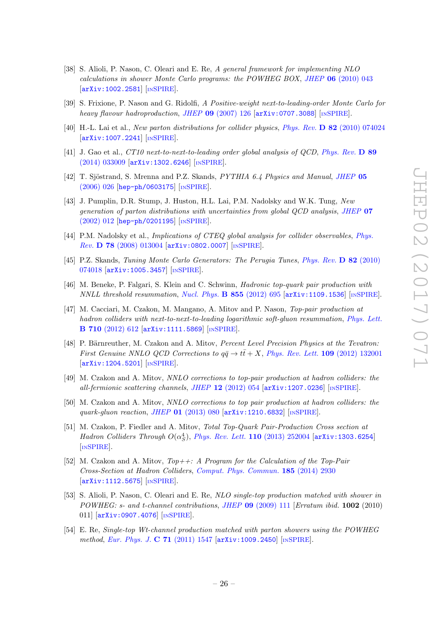- <span id="page-27-0"></span>[38] S. Alioli, P. Nason, C. Oleari and E. Re, A general framework for implementing NLO  $calculations in shower Monte Carlo programs: the POWHEG BOX, JHEP 06 (2010) 043$  $calculations in shower Monte Carlo programs: the POWHEG BOX, JHEP 06 (2010) 043$ [[arXiv:1002.2581](https://arxiv.org/abs/1002.2581)] [IN[SPIRE](http://inspirehep.net/search?p=find+EPRINT+arXiv:1002.2581)].
- <span id="page-27-1"></span>[39] S. Frixione, P. Nason and G. Ridolfi, A Positive-weight next-to-leading-order Monte Carlo for heavy flavour hadroproduction, JHEP 09 [\(2007\) 126](http://dx.doi.org/10.1088/1126-6708/2007/09/126) [[arXiv:0707.3088](https://arxiv.org/abs/0707.3088)] [IN[SPIRE](http://inspirehep.net/search?p=find+EPRINT+arXiv:0707.3088)].
- [40] H.-L. Lai et al., New parton distributions for collider physics, Phys. Rev. D 82 [\(2010\) 074024](http://dx.doi.org/10.1103/PhysRevD.82.074024) [[arXiv:1007.2241](https://arxiv.org/abs/1007.2241)] [IN[SPIRE](http://inspirehep.net/search?p=find+EPRINT+arXiv:1007.2241)].
- <span id="page-27-2"></span>[41] J. Gao et al., CT10 next-to-next-to-leading order global analysis of QCD, [Phys. Rev.](http://dx.doi.org/10.1103/PhysRevD.89.033009) D 89 [\(2014\) 033009](http://dx.doi.org/10.1103/PhysRevD.89.033009) [[arXiv:1302.6246](https://arxiv.org/abs/1302.6246)] [IN[SPIRE](http://inspirehep.net/search?p=find+EPRINT+arXiv:1302.6246)].
- <span id="page-27-3"></span> $[42]$  T. Sjöstrand, S. Mrenna and P.Z. Skands, *PYTHIA 6.4 Physics and Manual, [JHEP](http://dx.doi.org/10.1088/1126-6708/2006/05/026)* 05 [\(2006\) 026](http://dx.doi.org/10.1088/1126-6708/2006/05/026) [[hep-ph/0603175](https://arxiv.org/abs/hep-ph/0603175)] [IN[SPIRE](http://inspirehep.net/search?p=find+EPRINT+hep-ph/0603175)].
- <span id="page-27-4"></span>[43] J. Pumplin, D.R. Stump, J. Huston, H.L. Lai, P.M. Nadolsky and W.K. Tung, New generation of parton distributions with uncertainties from global QCD analysis, [JHEP](http://dx.doi.org/10.1088/1126-6708/2002/07/012) 07 [\(2002\) 012](http://dx.doi.org/10.1088/1126-6708/2002/07/012) [[hep-ph/0201195](https://arxiv.org/abs/hep-ph/0201195)] [IN[SPIRE](http://inspirehep.net/search?p=find+EPRINT+hep-ph/0201195)].
- <span id="page-27-5"></span>[44] P.M. Nadolsky et al., *Implications of CTEQ global analysis for collider observables*, *[Phys.](http://dx.doi.org/10.1103/PhysRevD.78.013004)* Rev. D 78 [\(2008\) 013004](http://dx.doi.org/10.1103/PhysRevD.78.013004) [[arXiv:0802.0007](https://arxiv.org/abs/0802.0007)] [IN[SPIRE](http://inspirehep.net/search?p=find+EPRINT+arXiv:0802.0007)].
- <span id="page-27-6"></span>[45] P.Z. Skands, Tuning Monte Carlo Generators: The Perugia Tunes, [Phys. Rev.](http://dx.doi.org/10.1103/PhysRevD.82.074018) D 82 (2010) [074018](http://dx.doi.org/10.1103/PhysRevD.82.074018) [[arXiv:1005.3457](https://arxiv.org/abs/1005.3457)] [IN[SPIRE](http://inspirehep.net/search?p=find+EPRINT+arXiv:1005.3457)].
- <span id="page-27-7"></span>[46] M. Beneke, P. Falgari, S. Klein and C. Schwinn, Hadronic top-quark pair production with  $NNLL$  threshold resummation, [Nucl. Phys.](http://dx.doi.org/10.1016/j.nuclphysb.2011.10.021) **B** 855 (2012) 695  $arXiv:1109.1536$  [IN[SPIRE](http://inspirehep.net/search?p=find+EPRINT+arXiv:1109.1536)].
- <span id="page-27-8"></span>[47] M. Cacciari, M. Czakon, M. Mangano, A. Mitov and P. Nason, Top-pair production at hadron colliders with next-to-next-to-leading logarithmic soft-gluon resummation, [Phys. Lett.](http://dx.doi.org/10.1016/j.physletb.2012.03.013) B 710 [\(2012\) 612](http://dx.doi.org/10.1016/j.physletb.2012.03.013) [[arXiv:1111.5869](https://arxiv.org/abs/1111.5869)] [IN[SPIRE](http://inspirehep.net/search?p=find+EPRINT+arXiv:1111.5869)].
- <span id="page-27-9"></span>[48] P. Bärnreuther, M. Czakon and A. Mitov, *Percent Level Precision Physics at the Tevatron:* First Genuine NNLO QCD Corrections to  $q\bar{q} \to t\bar{t} + X$ , [Phys. Rev. Lett.](http://dx.doi.org/10.1103/PhysRevLett.109.132001) 109 (2012) 132001 [[arXiv:1204.5201](https://arxiv.org/abs/1204.5201)] [IN[SPIRE](http://inspirehep.net/search?p=find+EPRINT+arXiv:1204.5201)].
- <span id="page-27-10"></span>[49] M. Czakon and A. Mitov, NNLO corrections to top-pair production at hadron colliders: the all-fermionic scattering channels, JHEP 12 [\(2012\) 054](http://dx.doi.org/10.1007/JHEP12(2012)054) [[arXiv:1207.0236](https://arxiv.org/abs/1207.0236)] [IN[SPIRE](http://inspirehep.net/search?p=find+EPRINT+arXiv:1207.0236)].
- <span id="page-27-11"></span>[50] M. Czakon and A. Mitov, NNLO corrections to top pair production at hadron colliders: the quark-gluon reaction , JHEP 01 [\(2013\) 080](http://dx.doi.org/10.1007/JHEP01(2013)080) [[arXiv:1210.6832](https://arxiv.org/abs/1210.6832)] [IN[SPIRE](http://inspirehep.net/search?p=find+EPRINT+arXiv:1210.6832)].
- <span id="page-27-12"></span>[51] M. Czakon, P. Fiedler and A. Mitov, Total Top-Quark Pair-Production Cross section at Hadron Colliders Through  $O(\alpha_S^4)$ , [Phys. Rev. Lett.](http://dx.doi.org/10.1103/PhysRevLett.110.252004) 110 (2013) 252004  $[aryity:1303.6254]$ [IN[SPIRE](http://inspirehep.net/search?p=find+EPRINT+arXiv:1303.6254)].
- <span id="page-27-14"></span><span id="page-27-13"></span>[52] M. Czakon and A. Mitov,  $Top++: A$  Program for the Calculation of the Top-Pair Cross-Section at Hadron Colliders , [Comput. Phys. Commun.](http://dx.doi.org/10.1016/j.cpc.2014.06.021) 185 (2014) 2930 [[arXiv:1112.5675](https://arxiv.org/abs/1112.5675)] [IN[SPIRE](http://inspirehep.net/search?p=find+EPRINT+arXiv:1112.5675)].
- <span id="page-27-15"></span>[53] S. Alioli, P. Nason, C. Oleari and E. Re, NLO single-top production matched with shower in POWHEG: s- and t-channel contributions, JHEP 09 [\(2009\) 111](http://dx.doi.org/10.1088/1126-6708/2009/09/111) [Erratum ibid. 1002 (2010) 011] [[arXiv:0907.4076](https://arxiv.org/abs/0907.4076)] [IN[SPIRE](http://inspirehep.net/search?p=find+EPRINT+arXiv:0907.4076)].
- <span id="page-27-16"></span>[54] E. Re, Single-top Wt-channel production matched with parton showers using the POWHEG method, [Eur. Phys. J.](http://dx.doi.org/10.1140/epjc/s10052-011-1547-z) C 71 (2011) 1547 [[arXiv:1009.2450](https://arxiv.org/abs/1009.2450)] [IN[SPIRE](http://inspirehep.net/search?p=find+EPRINT+arXiv:1009.2450)].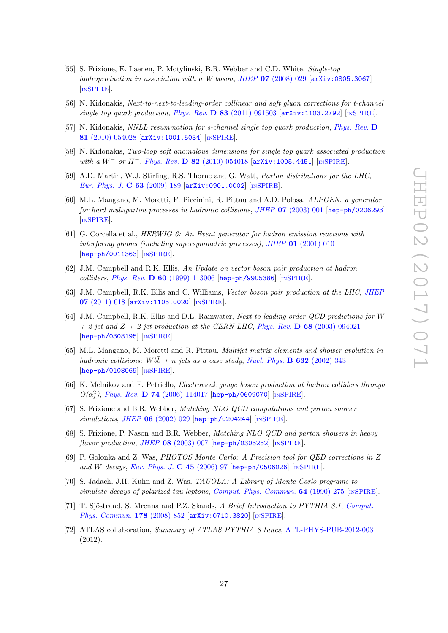- <span id="page-28-0"></span>[55] S. Frixione, E. Laenen, P. Motylinski, B.R. Webber and C.D. White, Single-top hadroproduction in association with a W boson, JHEP  $07$  [\(2008\) 029](http://dx.doi.org/10.1088/1126-6708/2008/07/029) [[arXiv:0805.3067](https://arxiv.org/abs/0805.3067)] [IN[SPIRE](http://inspirehep.net/search?p=find+EPRINT+arXiv:0805.3067)].
- <span id="page-28-2"></span><span id="page-28-1"></span>[56] N. Kidonakis, Next-to-next-to-leading-order collinear and soft gluon corrections for t-channel single top quark production, Phys. Rev.  $\bf{D} 83$  [\(2011\) 091503](http://dx.doi.org/10.1103/PhysRevD.83.091503) [[arXiv:1103.2792](https://arxiv.org/abs/1103.2792)] [IN[SPIRE](http://inspirehep.net/search?p=find+EPRINT+arXiv:1103.2792)].
- <span id="page-28-3"></span>[57] N. Kidonakis, *NNLL resummation for s-channel single top quark production, [Phys. Rev.](http://dx.doi.org/10.1103/PhysRevD.81.054028)* D 81 [\(2010\) 054028](http://dx.doi.org/10.1103/PhysRevD.81.054028) [[arXiv:1001.5034](https://arxiv.org/abs/1001.5034)] [IN[SPIRE](http://inspirehep.net/search?p=find+EPRINT+arXiv:1001.5034)].
- <span id="page-28-4"></span>[58] N. Kidonakis, Two-loop soft anomalous dimensions for single top quark associated production with a  $W^-$  or  $H^-$ , Phys. Rev. D 82 [\(2010\) 054018](http://dx.doi.org/10.1103/PhysRevD.82.054018) [[arXiv:1005.4451](https://arxiv.org/abs/1005.4451)] [IN[SPIRE](http://inspirehep.net/search?p=find+EPRINT+arXiv:1005.4451)].
- [59] A.D. Martin, W.J. Stirling, R.S. Thorne and G. Watt, Parton distributions for the LHC, [Eur. Phys. J.](http://dx.doi.org/10.1140/epjc/s10052-009-1072-5) C 63 (2009) 189 [[arXiv:0901.0002](https://arxiv.org/abs/0901.0002)] [IN[SPIRE](http://inspirehep.net/search?p=find+EPRINT+arXiv:0901.0002)].
- <span id="page-28-5"></span>[60] M.L. Mangano, M. Moretti, F. Piccinini, R. Pittau and A.D. Polosa, ALPGEN, a generator for hard multiparton processes in hadronic collisions,  $JHEP$   ${\bf 07}$   $(2003)$   $001$   $[\text{hep-ph}/0206293]$ [IN[SPIRE](http://inspirehep.net/search?p=find+EPRINT+hep-ph/0206293)].
- <span id="page-28-6"></span>[61] G. Corcella et al., HERWIG 6: An Event generator for hadron emission reactions with interfering gluons (including supersymmetric processes), JHEP 01 [\(2001\) 010](http://dx.doi.org/10.1088/1126-6708/2001/01/010) [[hep-ph/0011363](https://arxiv.org/abs/hep-ph/0011363)] [IN[SPIRE](http://inspirehep.net/search?p=find+EPRINT+hep-ph/0011363)].
- <span id="page-28-7"></span>[62] J.M. Campbell and R.K. Ellis, An Update on vector boson pair production at hadron colliders, *Phys. Rev.* **D 60** [\(1999\) 113006](http://dx.doi.org/10.1103/PhysRevD.60.113006) [[hep-ph/9905386](https://arxiv.org/abs/hep-ph/9905386)] [IN[SPIRE](http://inspirehep.net/search?p=find+EPRINT+hep-ph/9905386)].
- <span id="page-28-8"></span>[63] J.M. Campbell, R.K. Ellis and C. Williams, Vector boson pair production at the LHC, [JHEP](http://dx.doi.org/10.1007/JHEP07(2011)018) 07 [\(2011\) 018](http://dx.doi.org/10.1007/JHEP07(2011)018) [[arXiv:1105.0020](https://arxiv.org/abs/1105.0020)] [IN[SPIRE](http://inspirehep.net/search?p=find+EPRINT+arXiv:1105.0020)].
- <span id="page-28-9"></span>[64] J.M. Campbell, R.K. Ellis and D.L. Rainwater, Next-to-leading order QCD predictions for W  $+ 2$  jet and  $Z + 2$  jet production at the CERN LHC, Phys. Rev. **D 68** [\(2003\) 094021](http://dx.doi.org/10.1103/PhysRevD.68.094021) [[hep-ph/0308195](https://arxiv.org/abs/hep-ph/0308195)] [IN[SPIRE](http://inspirehep.net/search?p=find+EPRINT+hep-ph/0308195)].
- <span id="page-28-11"></span><span id="page-28-10"></span>[65] M.L. Mangano, M. Moretti and R. Pittau, Multijet matrix elements and shower evolution in hadronic collisions:  $Wb\bar{b} + n$  jets as a case study, [Nucl. Phys.](http://dx.doi.org/10.1016/S0550-3213(02)00249-3) **B** 632 (2002) 343 [[hep-ph/0108069](https://arxiv.org/abs/hep-ph/0108069)] [IN[SPIRE](http://inspirehep.net/search?p=find+EPRINT+hep-ph/0108069)].
- [66] K. Melnikov and F. Petriello, Electroweak gauge boson production at hadron colliders through  $O(\alpha_s^2)$ , *Phys. Rev.* **D 74** [\(2006\) 114017](http://dx.doi.org/10.1103/PhysRevD.74.114017) [[hep-ph/0609070](https://arxiv.org/abs/hep-ph/0609070)] [IN[SPIRE](http://inspirehep.net/search?p=find+EPRINT+hep-ph/0609070)].
- <span id="page-28-13"></span><span id="page-28-12"></span>[67] S. Frixione and B.R. Webber, Matching NLO QCD computations and parton shower simulations, JHEP 06 [\(2002\) 029](http://dx.doi.org/10.1088/1126-6708/2002/06/029) [[hep-ph/0204244](https://arxiv.org/abs/hep-ph/0204244)] [IN[SPIRE](http://inspirehep.net/search?p=find+EPRINT+hep-ph/0204244)].
- [68] S. Frixione, P. Nason and B.R. Webber, Matching NLO QCD and parton showers in heavy flavor production , JHEP 08 [\(2003\) 007](http://dx.doi.org/10.1088/1126-6708/2003/08/007) [[hep-ph/0305252](https://arxiv.org/abs/hep-ph/0305252)] [IN[SPIRE](http://inspirehep.net/search?p=find+EPRINT+hep-ph/0305252)].
- <span id="page-28-14"></span>[69] P. Golonka and Z. Was, PHOTOS Monte Carlo: A Precision tool for QED corrections in Z and W decays, [Eur. Phys. J.](http://dx.doi.org/10.1140/epjc/s2005-02396-4) C 45 (2006) 97 [[hep-ph/0506026](https://arxiv.org/abs/hep-ph/0506026)] [IN[SPIRE](http://inspirehep.net/search?p=find+EPRINT+hep-ph/0506026)].
- [70] S. Jadach, J.H. Kuhn and Z. Was, TAUOLA: A Library of Monte Carlo programs to simulate decays of polarized tau leptons, [Comput. Phys. Commun.](http://dx.doi.org/10.1016/0010-4655(91)90038-M) **64** (1990) 275 [IN[SPIRE](http://inspirehep.net/search?p=find+J+%22Comput.Phys.Commun.,64,275%22)].
- <span id="page-28-15"></span>[71] T. Sjöstrand, S. Mrenna and P.Z. Skands, A Brief Introduction to PYTHIA 8.1, [Comput.](http://dx.doi.org/10.1016/j.cpc.2008.01.036) [Phys. Commun.](http://dx.doi.org/10.1016/j.cpc.2008.01.036) 178 (2008) 852 [[arXiv:0710.3820](https://arxiv.org/abs/0710.3820)] [IN[SPIRE](http://inspirehep.net/search?p=find+EPRINT+arXiv:0710.3820)].
- [72] ATLAS collaboration, Summary of ATLAS PYTHIA 8 tunes, [ATL-PHYS-PUB-2012-003](http://cds.cern.ch/record/1474107) (2012).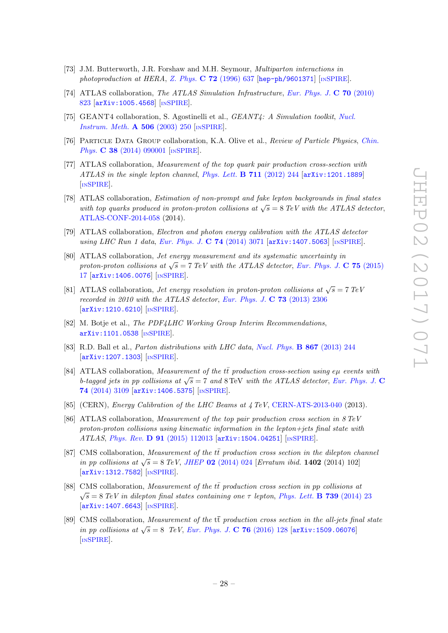- <span id="page-29-0"></span>[73] J.M. Butterworth, J.R. Forshaw and M.H. Seymour, Multiparton interactions in photoproduction at HERA, Z. Phys.  $C$  72 [\(1996\) 637](http://dx.doi.org/10.1007/BF02909195) [[hep-ph/9601371](https://arxiv.org/abs/hep-ph/9601371)] [IN[SPIRE](http://inspirehep.net/search?p=find+EPRINT+hep-ph/9601371)].
- <span id="page-29-2"></span><span id="page-29-1"></span>[74] ATLAS collaboration, The ATLAS Simulation Infrastructure, [Eur. Phys. J.](http://dx.doi.org/10.1140/epjc/s10052-010-1429-9)  $C$  70 (2010) [823](http://dx.doi.org/10.1140/epjc/s10052-010-1429-9) [[arXiv:1005.4568](https://arxiv.org/abs/1005.4568)] [IN[SPIRE](http://inspirehep.net/search?p=find+EPRINT+arXiv:1005.4568)].
- <span id="page-29-3"></span>[75] GEANT4 collaboration, S. Agostinelli et al., *GEANT4: A Simulation toolkit, [Nucl.](http://dx.doi.org/10.1016/S0168-9002(03)01368-8)* [Instrum. Meth.](http://dx.doi.org/10.1016/S0168-9002(03)01368-8) **A 506** (2003) 250 [IN[SPIRE](http://inspirehep.net/search?p=find+J+%22Nucl.Instrum.Meth.,A506,250%22)].
- <span id="page-29-4"></span>[76] PARTICLE DATA GROUP collaboration, K.A. Olive et al., *Review of Particle Physics*, *[Chin.](http://dx.doi.org/10.1088/1674-1137/38/9/090001)* Phys. **C 38** [\(2014\) 090001](http://dx.doi.org/10.1088/1674-1137/38/9/090001) [IN[SPIRE](http://inspirehep.net/search?p=find+J+%22Chin.Phys.,C38,090001%22)].
- <span id="page-29-5"></span>[77] ATLAS collaboration, Measurement of the top quark pair production cross-section with ATLAS in the single lepton channel, [Phys. Lett.](http://dx.doi.org/10.1016/j.physletb.2012.03.083) **B** 711  $(2012)$  244  $[array:1201.1889]$ [IN[SPIRE](http://inspirehep.net/search?p=find+EPRINT+arXiv:1201.1889)].
- <span id="page-29-6"></span>[78] ATLAS collaboration, Estimation of non-prompt and fake lepton backgrounds in final states with top quarks produced in proton-proton collisions at  $\sqrt{s} = 8 \text{ TeV}$  with the ATLAS detector, [ATLAS-CONF-2014-058](http://cds.cern.ch/record/1951336) (2014).
- <span id="page-29-8"></span><span id="page-29-7"></span>[79] ATLAS collaboration, Electron and photon energy calibration with the ATLAS detector using LHC Run 1 data, [Eur. Phys. J.](http://dx.doi.org/10.1140/epjc/s10052-014-3071-4) C 74 (2014) 3071 [[arXiv:1407.5063](https://arxiv.org/abs/1407.5063)] [IN[SPIRE](http://inspirehep.net/search?p=find+EPRINT+arXiv:1407.5063)].
- [80] ATLAS collaboration, Jet energy measurement and its systematic uncertainty in proton-proton collisions at  $\sqrt{s} = 7$  TeV with the ATLAS detector, [Eur. Phys. J.](http://dx.doi.org/10.1140/epjc/s10052-014-3190-y) C 75 (2015) [17](http://dx.doi.org/10.1140/epjc/s10052-014-3190-y) [[arXiv:1406.0076](https://arxiv.org/abs/1406.0076)] [IN[SPIRE](http://inspirehep.net/search?p=find+EPRINT+arXiv:1406.0076)].
- [81] ATLAS collaboration, *Jet energy resolution in proton-proton collisions at*  $\sqrt{s} = 7 \text{ TeV}$ recorded in 2010 with the ATLAS detector, [Eur. Phys. J.](http://dx.doi.org/10.1140/epjc/s10052-013-2306-0)  $\bf{C}$  **73** (2013) 2306 [[arXiv:1210.6210](https://arxiv.org/abs/1210.6210)] [IN[SPIRE](http://inspirehep.net/search?p=find+EPRINT+arXiv:1210.6210)].
- [82] M. Botje et al., The PDF4LHC Working Group Interim Recommendations, [arXiv:1101.0538](https://arxiv.org/abs/1101.0538) [IN[SPIRE](http://inspirehep.net/search?p=find+EPRINT+arXiv:1101.0538)].
- [83] R.D. Ball et al., *Parton distributions with LHC data, [Nucl. Phys.](http://dx.doi.org/10.1016/j.nuclphysb.2012.10.003)* **B 867** (2013) 244 [[arXiv:1207.1303](https://arxiv.org/abs/1207.1303)] [IN[SPIRE](http://inspirehep.net/search?p=find+EPRINT+arXiv:1207.1303)].
- [84] ATLAS collaboration, Measurement of the  $t\bar{t}$  production cross-section using  $e\mu$  events with b-tagged jets in pp collisions at  $\sqrt{s} = 7$  and  $8 \text{ TeV}$  with the ATLAS detector, [Eur. Phys. J.](http://dx.doi.org/10.1140/epjc/s10052-016-4501-2) C 74 [\(2014\) 3109](http://dx.doi.org/10.1140/epjc/s10052-016-4501-2) [[arXiv:1406.5375](https://arxiv.org/abs/1406.5375)] [IN[SPIRE](http://inspirehep.net/search?p=find+EPRINT+arXiv:1406.5375)].
- [85] (CERN), *Energy Calibration of the LHC Beams at 4 TeV*, [CERN-ATS-2013-040](http://cds.cern.ch/record/1546734) (2013).
- [86] ATLAS collaboration, Measurement of the top pair production cross section in 8 TeV proton-proton collisions using kinematic information in the lepton+jets final state with ATLAS, Phys. Rev. D 91 [\(2015\) 112013](http://dx.doi.org/10.1103/PhysRevD.91.112013) [[arXiv:1504.04251](https://arxiv.org/abs/1504.04251)] [IN[SPIRE](http://inspirehep.net/search?p=find+EPRINT+arXiv:1504.04251)].
- [87] CMS collaboration, Measurement of the  $t\bar{t}$  production cross section in the dilepton channel in pp collisions at  $\sqrt{s} = 8 \text{ TeV}$ , JHEP 02 [\(2014\) 024](http://dx.doi.org/10.1007/JHEP02(2014)024) [Erratum ibid. 1402 (2014) 102] [[arXiv:1312.7582](https://arxiv.org/abs/1312.7582)] [IN[SPIRE](http://inspirehep.net/search?p=find+EPRINT+arXiv:1312.7582)].
- [88] CMS collaboration, Measurement of the  $t\bar{t}$  production cross section in pp collisions at  $\sqrt{s} = 8 \text{ TeV}$  in dilepton final states containing one  $\tau$  lepton, [Phys. Lett.](http://dx.doi.org/10.1016/j.physletb.2014.10.032) **B 739** (2014) 23 [[arXiv:1407.6643](https://arxiv.org/abs/1407.6643)] [IN[SPIRE](http://inspirehep.net/search?p=find+EPRINT+arXiv:1407.6643)].
- [89] CMS collaboration, *Measurement of the*  $t\bar{t}$  production cross section in the all-jets final state in pp collisions at  $\sqrt{s} = 8$  TeV, [Eur. Phys. J.](http://dx.doi.org/10.1140/epjc/s10052-016-3956-5) C 76 (2016) 128  $[ary1509.06076]$ [IN[SPIRE](http://inspirehep.net/search?p=find+EPRINT+arXiv:1509.06076)].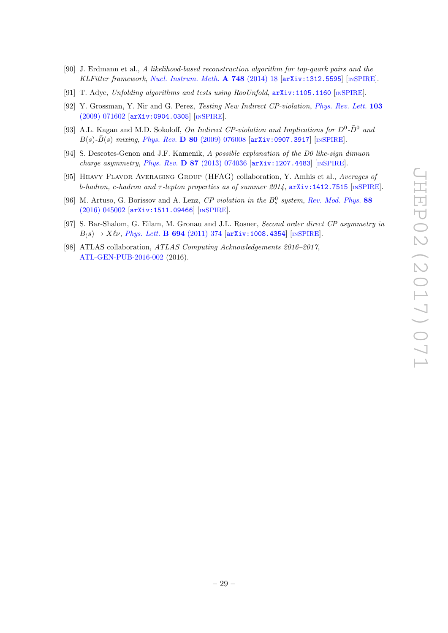- [90] J. Erdmann et al., A likelihood-based reconstruction algorithm for top-quark pairs and the KLFitter framework, [Nucl. Instrum. Meth.](http://dx.doi.org/10.1016/j.nima.2014.02.029) A  $748$  (2014) 18  $\left[\text{arXiv:1312.5595}\right]$  $\left[\text{arXiv:1312.5595}\right]$  $\left[\text{arXiv:1312.5595}\right]$  [IN[SPIRE](http://inspirehep.net/search?p=find+EPRINT+arXiv:1312.5595)].
- <span id="page-30-0"></span>[91] T. Adye, Unfolding algorithms and tests using RooUnfold,  $arXiv:1105.1160$  [IN[SPIRE](http://inspirehep.net/search?p=find+EPRINT+arXiv:1105.1160)].
- [92] Y. Grossman, Y. Nir and G. Perez, Testing New Indirect CP-violation, [Phys. Rev. Lett.](http://dx.doi.org/10.1103/PhysRevLett.103.071602) 103 [\(2009\) 071602](http://dx.doi.org/10.1103/PhysRevLett.103.071602) [[arXiv:0904.0305](https://arxiv.org/abs/0904.0305)] [IN[SPIRE](http://inspirehep.net/search?p=find+EPRINT+arXiv:0904.0305)].
- [93] A.L. Kagan and M.D. Sokoloff, On Indirect CP-violation and Implications for  $D^0$ - $\bar{D}^0$  and  $B(s)$ - $\bar{B}(s)$  mixing, Phys. Rev. D 80 [\(2009\) 076008](http://dx.doi.org/10.1103/PhysRevD.80.076008) [[arXiv:0907.3917](https://arxiv.org/abs/0907.3917)] [IN[SPIRE](http://inspirehep.net/search?p=find+EPRINT+arXiv:0907.3917)].
- [94] S. Descotes-Genon and J.F. Kamenik, A possible explanation of the D0 like-sign dimuon charge asymmetry, Phys. Rev. D 87 [\(2013\) 074036](http://dx.doi.org/10.1103/PhysRevD.92.079903)  $[$ [arXiv:1207.4483](https://arxiv.org/abs/1207.4483)]  $[$ IN[SPIRE](http://inspirehep.net/search?p=find+EPRINT+arXiv:1207.4483)].
- [95] Heavy Flavor Averaging Group (HFAG) collaboration, Y. Amhis et al., Averages of b-hadron, c-hadron and  $\tau$ -lepton properties as of summer 2014,  $arXiv:1412.7515$  [IN[SPIRE](http://inspirehep.net/search?p=find+EPRINT+arXiv:1412.7515)].
- [96] M. Artuso, G. Borissov and A. Lenz,  $CP$  violation in the  $B_s^0$  system, [Rev. Mod. Phys.](http://dx.doi.org/10.1103/RevModPhys.88.045002) 88 [\(2016\) 045002](http://dx.doi.org/10.1103/RevModPhys.88.045002) [[arXiv:1511.09466](https://arxiv.org/abs/1511.09466)] [IN[SPIRE](http://inspirehep.net/search?p=find+EPRINT+arXiv:1511.09466)].
- [97] S. Bar-Shalom, G. Eilam, M. Gronau and J.L. Rosner, Second order direct CP asymmetry in  $B(s) \to X \ell \nu$ , *[Phys. Lett.](http://dx.doi.org/10.1016/j.physletb.2010.10.025)* **B 694** (2011) 374 [[arXiv:1008.4354](https://arxiv.org/abs/1008.4354)] [IN[SPIRE](http://inspirehep.net/search?p=find+EPRINT+arXiv:1008.4354)].
- [98] ATLAS collaboration, ATLAS Computing Acknowledgements 2016–2017, [ATL-GEN-PUB-2016-002](http://cds.cern.ch/record/2202407) (2016).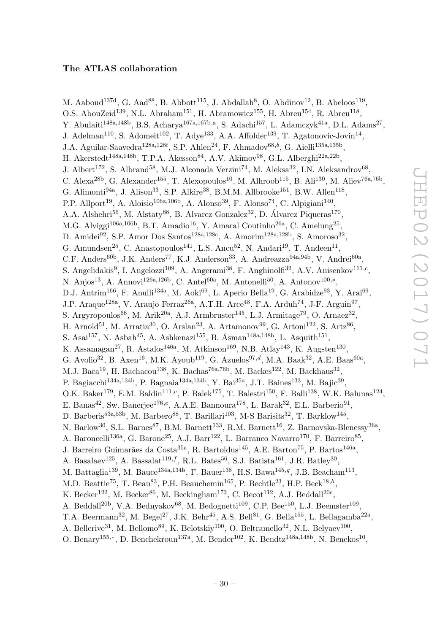# The ATLAS collaboration

M. Aaboud<sup>137d</sup>, G. Aad<sup>88</sup>, B. Abbott<sup>115</sup>, J. Abdallah<sup>8</sup>, O. Abdinov<sup>12</sup>, B. Abeloos<sup>119</sup>, O.S. AbouZeid<sup>139</sup>, N.L. Abraham<sup>151</sup>, H. Abramowicz<sup>155</sup>, H. Abreu<sup>154</sup>, R. Abreu<sup>118</sup>, Y. Abulaiti<sup>148a,148b</sup>, B.S. Acharya<sup>167a,167b,a</sup>, S. Adachi<sup>157</sup>, L. Adamczyk<sup>41a</sup>, D.L. Adams<sup>27</sup>, J. Adelman<sup>110</sup>, S. Adomeit<sup>102</sup>, T. Adye<sup>133</sup>, A.A. Affolder<sup>139</sup>, T. Agatonovic-Jovin<sup>14</sup>, J.A. Aguilar-Saavedra<sup>128a,128f</sup>, S.P. Ahlen<sup>24</sup>, F. Ahmadov<sup>68,b</sup>, G. Aielli<sup>135a,135b</sup>, H. Akerstedt<sup>148a,148b</sup>, T.P.A. Åkesson<sup>84</sup>, A.V. Akimov<sup>98</sup>, G.L. Alberghi<sup>22a,22b</sup>, J. Albert<sup>172</sup>, S. Albrand<sup>58</sup>, M.J. Alconada Verzini<sup>74</sup>, M. Aleksa<sup>32</sup>, I.N. Aleksandrov<sup>68</sup>, C. Alexa<sup>28b</sup>, G. Alexander<sup>155</sup>, T. Alexopoulos<sup>10</sup>, M. Alhroob<sup>115</sup>, B. Ali<sup>130</sup>, M. Aliev<sup>76a,76b</sup>, G. Alimonti<sup>94a</sup>, J. Alison<sup>33</sup>, S.P. Alkire<sup>38</sup>, B.M.M. Allbrooke<sup>151</sup>, B.W. Allen<sup>118</sup>, P.P. Allport<sup>19</sup>, A. Aloisio<sup>106a,106b</sup>, A. Alonso<sup>39</sup>, F. Alonso<sup>74</sup>, C. Alpigiani<sup>140</sup>, A.A. Alshehri<sup>56</sup>, M. Alstaty<sup>88</sup>, B. Alvarez Gonzalez<sup>32</sup>, D. Álvarez Piqueras<sup>170</sup>, M.G. Alviggi<sup>106a,106b</sup>, B.T. Amadio<sup>16</sup>, Y. Amaral Coutinho<sup>26a</sup>, C. Amelung<sup>25</sup>, D. Amidei<sup>92</sup>, S.P. Amor Dos Santos<sup>128a,128c</sup>, A. Amorim<sup>128a,128b</sup>, S. Amoroso<sup>32</sup>, G. Amundsen<sup>25</sup>, C. Anastopoulos<sup>141</sup>, L.S. Ancu<sup>52</sup>, N. Andari<sup>19</sup>, T. Andeen<sup>11</sup>, C.F. Anders<sup>60b</sup>, J.K. Anders<sup>77</sup>, K.J. Anderson<sup>33</sup>, A. Andreazza<sup>94a,94b</sup>, V. Andrei<sup>60a</sup>, S. Angelidakis<sup>9</sup>, I. Angelozzi<sup>109</sup>, A. Angerami<sup>38</sup>, F. Anghinolfi<sup>32</sup>, A.V. Anisenkov<sup>111,*c*</sup>, N. Anjos<sup>13</sup>, A. Annovi<sup>126a,126b</sup>, C. Antel<sup>60a</sup>, M. Antonelli<sup>50</sup>, A. Antonov<sup>100,\*</sup>, D.J. Antrim<sup>166</sup>, F. Anulli<sup>134a</sup>, M. Aoki<sup>69</sup>, L. Aperio Bella<sup>19</sup>, G. Arabidze<sup>93</sup>, Y. Arai<sup>69</sup>, J.P. Araque<sup>128a</sup>, V. Araujo Ferraz<sup>26a</sup>, A.T.H. Arce<sup>48</sup>, F.A. Arduh<sup>74</sup>, J-F. Arguin<sup>97</sup>, S. Argyropoulos<sup>66</sup>, M. Arik<sup>20a</sup>, A.J. Armbruster<sup>145</sup>, L.J. Armitage<sup>79</sup>, O. Arnaez<sup>32</sup>, H. Arnold<sup>51</sup>, M. Arratia<sup>30</sup>, O. Arslan<sup>23</sup>, A. Artamonov<sup>99</sup>, G. Artoni<sup>122</sup>, S. Artz<sup>86</sup>, S. Asai<sup>157</sup>, N. Asbah<sup>45</sup>, A. Ashkenazi<sup>155</sup>, B. Åsman<sup>148a,148b</sup>, L. Asquith<sup>151</sup>, K. Assamagan<sup>27</sup>, R. Astalos<sup>146a</sup>, M. Atkinson<sup>169</sup>, N.B. Atlay<sup>143</sup>, K. Augsten<sup>130</sup>, G. Avolio<sup>32</sup>, B. Axen<sup>16</sup>, M.K. Ayoub<sup>119</sup>, G. Azuelos<sup>97,d</sup>, M.A. Baak<sup>32</sup>, A.E. Baas<sup>60a</sup>, M.J. Baca<sup>19</sup>, H. Bachacou<sup>138</sup>, K. Bachas<sup>76a,76b</sup>, M. Backes<sup>122</sup>, M. Backhaus<sup>32</sup>, P. Bagiacchi<sup>134a,134b</sup>, P. Bagnaia<sup>134a,134b</sup>, Y. Bai<sup>35a</sup>, J.T. Baines<sup>133</sup>, M. Bajic<sup>39</sup>, O.K. Baker<sup>179</sup>, E.M. Baldin<sup>111,c</sup>, P. Balek<sup>175</sup>, T. Balestri<sup>150</sup>, F. Balli<sup>138</sup>, W.K. Balunas<sup>124</sup>, E. Banas<sup>42</sup>, Sw. Banerjee<sup>176,e</sup>, A.A.E. Bannoura<sup>178</sup>, L. Barak<sup>32</sup>, E.L. Barberio<sup>91</sup>, D. Barberis<sup>53a,53b</sup>, M. Barbero<sup>88</sup>, T. Barillari<sup>103</sup>, M-S Barisits<sup>32</sup>, T. Barklow<sup>145</sup>, N. Barlow<sup>30</sup>, S.L. Barnes<sup>87</sup>, B.M. Barnett<sup>133</sup>, R.M. Barnett<sup>16</sup>, Z. Barnovska-Blenessy<sup>36a</sup>, A. Baroncelli<sup>136a</sup>, G. Barone<sup>25</sup>, A.J. Barr<sup>122</sup>, L. Barranco Navarro<sup>170</sup>, F. Barreiro<sup>85</sup>, J. Barreiro Guimarães da Costa<sup>35a</sup>, R. Bartoldus<sup>145</sup>, A.E. Barton<sup>75</sup>, P. Bartos<sup>146a</sup>, A. Basalaev<sup>125</sup>, A. Bassalat<sup>119,f</sup>, R.L. Bates<sup>56</sup>, S.J. Batista<sup>161</sup>, J.R. Batley<sup>30</sup>, M. Battaglia<sup>139</sup>, M. Bauce<sup>134a,134b</sup>, F. Bauer<sup>138</sup>, H.S. Bawa<sup>145,9</sup>, J.B. Beacham<sup>113</sup>, M.D. Beattie<sup>75</sup>, T. Beau<sup>83</sup>, P.H. Beauchemin<sup>165</sup>, P. Bechtle<sup>23</sup>, H.P. Beck<sup>18,h</sup>, K. Becker<sup>122</sup>, M. Becker<sup>86</sup>, M. Beckingham<sup>173</sup>, C. Becot<sup>112</sup>, A.J. Beddall<sup>20e</sup>, A. Beddall<sup>20b</sup>, V.A. Bednyakov<sup>68</sup>, M. Bedognetti<sup>109</sup>, C.P. Bee<sup>150</sup>, L.J. Beemster<sup>109</sup>, T.A. Beermann<sup>32</sup>, M. Begel<sup>27</sup>, J.K. Behr<sup>45</sup>, A.S. Bell<sup>81</sup>, G. Bella<sup>155</sup>, L. Bellagamba<sup>22a</sup>, A. Bellerive<sup>31</sup>, M. Bellomo<sup>89</sup>, K. Belotskiy<sup>100</sup>, O. Beltramello<sup>32</sup>, N.L. Belyaev<sup>100</sup>, O. Benary<sup>155,\*</sup>, D. Benchekroun<sup>137a</sup>, M. Bender<sup>102</sup>, K. Bendtz<sup>148a,148b</sup>, N. Benekos<sup>10</sup>,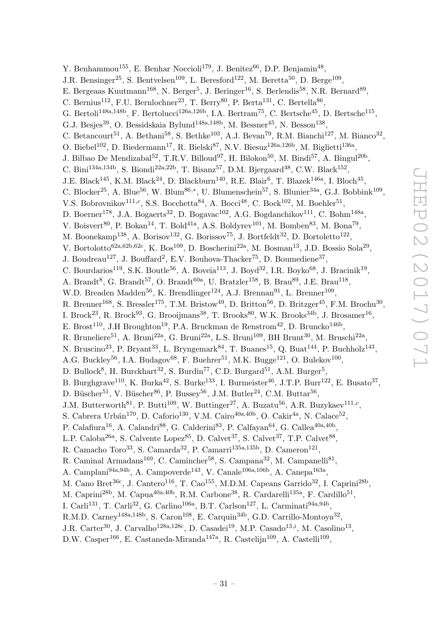Y. Benhammou<sup>155</sup>, E. Benhar Noccioli<sup>179</sup>, J. Benitez<sup>66</sup>, D.P. Benjamin<sup>48</sup>, J.R. Bensinger<sup>25</sup>, S. Bentvelsen<sup>109</sup>, L. Beresford<sup>122</sup>, M. Beretta<sup>50</sup>, D. Berge<sup>109</sup>, E. Bergeaas Kuutmann<sup>168</sup>, N. Berger<sup>5</sup>, J. Beringer<sup>16</sup>, S. Berlendis<sup>58</sup>, N.R. Bernard<sup>89</sup>, C. Bernius<sup>112</sup>, F.U. Bernlochner<sup>23</sup>, T. Berry<sup>80</sup>, P. Berta<sup>131</sup>, C. Bertella<sup>86</sup>, G. Bertoli<sup>148a,148b</sup>, F. Bertolucci<sup>126a,126b</sup>, I.A. Bertram<sup>75</sup>, C. Bertsche<sup>45</sup>, D. Bertsche<sup>115</sup>, G.J. Besjes<sup>39</sup>, O. Bessidskaia Bylund<sup>148a,148b</sup>, M. Bessner<sup>45</sup>, N. Besson<sup>138</sup>, C. Betancourt<sup>51</sup>, A. Bethani<sup>58</sup>, S. Bethke<sup>103</sup>, A.J. Bevan<sup>79</sup>, R.M. Bianchi<sup>127</sup>, M. Bianco<sup>32</sup>, O. Biebel<sup>102</sup>, D. Biedermann<sup>17</sup>, R. Bielski<sup>87</sup>, N.V. Biesuz<sup>126a,126b</sup>, M. Biglietti<sup>136a</sup>, J. Bilbao De Mendizabal<sup>52</sup>, T.R.V. Billoud<sup>97</sup>, H. Bilokon<sup>50</sup>, M. Bindi<sup>57</sup>, A. Bingul<sup>20b</sup>, C. Bini<sup>134a,134b</sup>, S. Biondi<sup>22a,22b</sup>, T. Bisanz<sup>57</sup>, D.M. Bjergaard<sup>48</sup>, C.W. Black<sup>152</sup>, J.E. Black<sup>145</sup>, K.M. Black<sup>24</sup>, D. Blackburn<sup>140</sup>, R.E. Blair<sup>6</sup>, T. Blazek<sup>146a</sup>, I. Bloch<sup>45</sup>, C. Blocker<sup>25</sup>, A. Blue<sup>56</sup>, W. Blum<sup>86,\*</sup>, U. Blumenschein<sup>57</sup>, S. Blunier<sup>34a</sup>, G.J. Bobbink<sup>109</sup>, V.S. Bobrovnikov<sup>111,c</sup>, S.S. Bocchetta<sup>84</sup>, A. Bocci<sup>48</sup>, C. Bock<sup>102</sup>, M. Boehler<sup>51</sup>, D. Boerner<sup>178</sup>, J.A. Bogaerts<sup>32</sup>, D. Bogavac<sup>102</sup>, A.G. Bogdanchikov<sup>111</sup>, C. Bohm<sup>148a</sup>, V. Boisvert<sup>80</sup>, P. Bokan<sup>14</sup>, T. Bold<sup>41a</sup>, A.S. Boldyrev<sup>101</sup>, M. Bomben<sup>83</sup>, M. Bona<sup>79</sup>, M. Boonekamp<sup>138</sup>, A. Borisov<sup>132</sup>, G. Borissov<sup>75</sup>, J. Bortfeldt<sup>32</sup>, D. Bortoletto<sup>122</sup>, V. Bortolotto<sup>62a,62b,62c</sup>, K. Bos<sup>109</sup>, D. Boscherini<sup>22a</sup>, M. Bosman<sup>13</sup>, J.D. Bossio Sola<sup>29</sup>, J. Boudreau<sup>127</sup>, J. Bouffard<sup>2</sup>, E.V. Bouhova-Thacker<sup>75</sup>, D. Boumediene<sup>37</sup>, C. Bourdarios<sup>119</sup>, S.K. Boutle<sup>56</sup>, A. Boveia<sup>113</sup>, J. Boyd<sup>32</sup>, I.R. Boyko<sup>68</sup>, J. Bracinik<sup>19</sup>, A. Brandt<sup>8</sup>, G. Brandt<sup>57</sup>, O. Brandt<sup>60a</sup>, U. Bratzler<sup>158</sup>, B. Brau<sup>89</sup>, J.E. Brau<sup>118</sup>, W.D. Breaden Madden<sup>56</sup>, K. Brendlinger<sup>124</sup>, A.J. Brennan<sup>91</sup>, L. Brenner<sup>109</sup>, R. Brenner<sup>168</sup>, S. Bressler<sup>175</sup>, T.M. Bristow<sup>49</sup>, D. Britton<sup>56</sup>, D. Britzger<sup>45</sup>, F.M. Brochu<sup>30</sup>, I. Brock<sup>23</sup>, R. Brock<sup>93</sup>, G. Brooijmans<sup>38</sup>, T. Brooks<sup>80</sup>, W.K. Brooks<sup>34b</sup>, J. Brosamer<sup>16</sup>, E. Brost<sup>110</sup>, J.H Broughton<sup>19</sup>, P.A. Bruckman de Renstrom<sup>42</sup>, D. Bruncko<sup>146b</sup>, R. Bruneliere<sup>51</sup>, A. Bruni<sup>22a</sup>, G. Bruni<sup>22a</sup>, L.S. Bruni<sup>109</sup>, BH Brunt<sup>30</sup>, M. Bruschi<sup>22a</sup>, N. Bruscino<sup>23</sup>, P. Bryant<sup>33</sup>, L. Bryngemark<sup>84</sup>, T. Buanes<sup>15</sup>, Q. Buat<sup>144</sup>, P. Buchholz<sup>143</sup>, A.G. Buckley<sup>56</sup>, I.A. Budagov<sup>68</sup>, F. Buehrer<sup>51</sup>, M.K. Bugge<sup>121</sup>, O. Bulekov<sup>100</sup>, D. Bullock<sup>8</sup>, H. Burckhart<sup>32</sup>, S. Burdin<sup>77</sup>, C.D. Burgard<sup>51</sup>, A.M. Burger<sup>5</sup>, B. Burghgrave<sup>110</sup>, K. Burka<sup>42</sup>, S. Burke<sup>133</sup>, I. Burmeister<sup>46</sup>, J.T.P. Burr<sup>122</sup>, E. Busato<sup>37</sup>, D. Büscher<sup>51</sup>, V. Büscher<sup>86</sup>, P. Bussey<sup>56</sup>, J.M. Butler<sup>24</sup>, C.M. Buttar<sup>56</sup>, J.M. Butterworth<sup>81</sup>, P. Butti<sup>109</sup>, W. Buttinger<sup>27</sup>, A. Buzatu<sup>56</sup>, A.R. Buzykaev<sup>111,*c*</sup>, S. Cabrera Urbán<sup>170</sup>, D. Caforio<sup>130</sup>, V.M. Cairo<sup>40a,40b</sup>, O. Cakir<sup>4a</sup>, N. Calace<sup>52</sup>, P. Calafiura<sup>16</sup>, A. Calandri<sup>88</sup>, G. Calderini<sup>83</sup>, P. Calfayan<sup>64</sup>, G. Callea<sup>40a,40b</sup>, L.P. Caloba<sup>26a</sup>, S. Calvente Lopez<sup>85</sup>, D. Calvet<sup>37</sup>, S. Calvet<sup>37</sup>, T.P. Calvet<sup>88</sup>, R. Camacho Toro<sup>33</sup>, S. Camarda<sup>32</sup>, P. Camarri<sup>135a,135b</sup>, D. Cameron<sup>121</sup>, R. Caminal Armadans<sup>169</sup>, C. Camincher<sup>58</sup>, S. Campana<sup>32</sup>, M. Campanelli<sup>81</sup>, A. Camplani<sup>94a,94b</sup>, A. Campoverde<sup>143</sup>, V. Canale<sup>106a,106b</sup>, A. Canepa<sup>163a</sup>, M. Cano Bret<sup>36c</sup>, J. Cantero<sup>116</sup>, T. Cao<sup>155</sup>, M.D.M. Capeans Garrido<sup>32</sup>, I. Caprini<sup>28b</sup>, M. Caprini<sup>28b</sup>, M. Capua<sup>40a,40b</sup>, R.M. Carbone<sup>38</sup>, R. Cardarelli<sup>135a</sup>, F. Cardillo<sup>51</sup>, I. Carli<sup>131</sup>, T. Carli<sup>32</sup>, G. Carlino<sup>106a</sup>, B.T. Carlson<sup>127</sup>, L. Carminati<sup>94a,94b</sup>, R.M.D. Carney<sup>148a,148b</sup>, S. Caron<sup>108</sup>, E. Carquin<sup>34b</sup>, G.D. Carrillo-Montoya<sup>32</sup>, J.R. Carter<sup>30</sup>, J. Carvalho<sup>128a,128c</sup>, D. Casadei<sup>19</sup>, M.P. Casado<sup>13,*i*</sup>, M. Casolino<sup>13</sup>,

D.W. Casper<sup>166</sup>, E. Castaneda-Miranda<sup>147a</sup>, R. Castelijn<sup>109</sup>, A. Castelli<sup>109</sup>,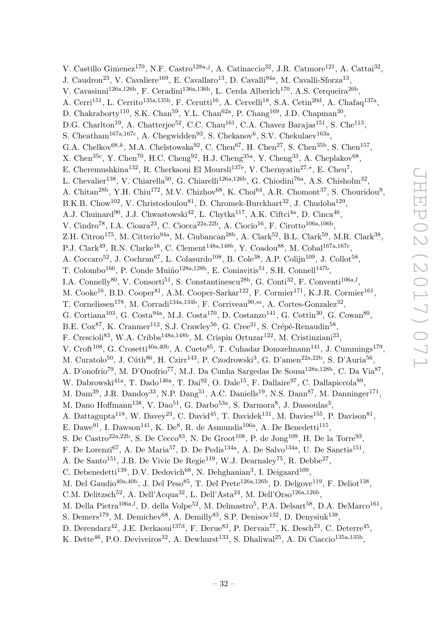V. Castillo Gimenez<sup>170</sup>, N.F. Castro<sup>128a,j</sup>, A. Catinaccio<sup>32</sup>, J.R. Catmore<sup>121</sup>, A. Cattai<sup>32</sup>, J. Caudron<sup>23</sup>, V. Cavaliere<sup>169</sup>, E. Cavallaro<sup>13</sup>, D. Cavalli<sup>94a</sup>, M. Cavalli-Sforza<sup>13</sup>, V. Cavasinni<sup>126a,126b</sup>, F. Ceradini<sup>136a,136b</sup>, L. Cerda Alberich<sup>170</sup>, A.S. Cerqueira<sup>26b</sup>, A. Cerri<sup>151</sup>, L. Cerrito<sup>135a,135b</sup>, F. Cerutti<sup>16</sup>, A. Cervelli<sup>18</sup>, S.A. Cetin<sup>20d</sup>, A. Chafaq<sup>137a</sup>, D. Chakraborty<sup>110</sup>, S.K. Chan<sup>59</sup>, Y.L. Chan<sup>62a</sup>, P. Chang<sup>169</sup>, J.D. Chapman<sup>30</sup>, D.G. Charlton<sup>19</sup>, A. Chatterjee<sup>52</sup>, C.C. Chau<sup>161</sup>, C.A. Chavez Barajas<sup>151</sup>, S. Che<sup>113</sup>, S. Cheatham<sup>167a,167c</sup>, A. Chegwidden<sup>93</sup>, S. Chekanov<sup>6</sup>, S.V. Chekulaev<sup>163a</sup>, G.A. Chelkov<sup>68,k</sup>, M.A. Chelstowska<sup>92</sup>, C. Chen<sup>67</sup>, H. Chen<sup>27</sup>, S. Chen<sup>35b</sup>, S. Chen<sup>157</sup>, X. Chen<sup>35c</sup>, Y. Chen<sup>70</sup>, H.C. Cheng<sup>92</sup>, H.J. Cheng<sup>35a</sup>, Y. Cheng<sup>33</sup>, A. Cheplakov<sup>68</sup>, E. Cheremushkina<sup>132</sup>, R. Cherkaoui El Moursli<sup>137e</sup>, V. Chernyatin<sup>27,\*</sup>, E. Cheu<sup>7</sup>, L. Chevalier<sup>138</sup>, V. Chiarella<sup>50</sup>, G. Chiarelli<sup>126a,126b</sup>, G. Chiodini<sup>76a</sup>, A.S. Chisholm<sup>32</sup>, A. Chitan<sup>28b</sup>, Y.H. Chiu<sup>172</sup>, M.V. Chizhov<sup>68</sup>, K. Choi<sup>64</sup>, A.R. Chomont<sup>37</sup>, S. Chouridou<sup>9</sup>, B.K.B. Chow<sup>102</sup>, V. Christodoulou<sup>81</sup>, D. Chromek-Burckhart<sup>32</sup>, J. Chudoba<sup>129</sup>, A.J. Chuinard<sup>90</sup>, J.J. Chwastowski<sup>42</sup>, L. Chytka<sup>117</sup>, A.K. Ciftci<sup>4a</sup>, D. Cinca<sup>46</sup>, V. Cindro<sup>78</sup>, I.A. Cioara<sup>23</sup>, C. Ciocca<sup>22a,22b</sup>, A. Ciocio<sup>16</sup>, F. Cirotto<sup>106a,106b</sup>, Z.H. Citron<sup>175</sup>, M. Citterio<sup>94a</sup>, M. Ciubancan<sup>28b</sup>, A. Clark<sup>52</sup>, B.L. Clark<sup>59</sup>, M.R. Clark<sup>38</sup>, P.J. Clark<sup>49</sup>, R.N. Clarke<sup>16</sup>, C. Clement<sup>148a,148b</sup>, Y. Coadou<sup>88</sup>, M. Cobal<sup>167a,167c</sup>, A. Coccaro<sup>52</sup>, J. Cochran<sup>67</sup>, L. Colasurdo<sup>108</sup>, B. Cole<sup>38</sup>, A.P. Colijn<sup>109</sup>, J. Collot<sup>58</sup>, T. Colombo<sup>166</sup>, P. Conde Muiño<sup>128a,128b</sup>, E. Coniavitis<sup>51</sup>, S.H. Connell<sup>147b</sup>, I.A. Connelly<sup>80</sup>, V. Consorti<sup>51</sup>, S. Constantinescu<sup>28b</sup>, G. Conti<sup>32</sup>, F. Conventi<sup>106a,*l*</sup>, M. Cooke<sup>16</sup>, B.D. Cooper<sup>81</sup>, A.M. Cooper-Sarkar<sup>122</sup>, F. Cormier<sup>171</sup>, K.J.R. Cormier<sup>161</sup>, T. Cornelissen<sup>178</sup>, M. Corradi<sup>134a,134b</sup>, F. Corriveau<sup>90,*m*</sup>, A. Cortes-Gonzalez<sup>32</sup>, G. Cortiana<sup>103</sup>, G. Costa<sup>94a</sup>, M.J. Costa<sup>170</sup>, D. Costanzo<sup>141</sup>, G. Cottin<sup>30</sup>, G. Cowan<sup>80</sup>, B.E. Cox<sup>87</sup>, K. Cranmer<sup>112</sup>, S.J. Crawley<sup>56</sup>, G. Cree<sup>31</sup>, S. Crépé-Renaudin<sup>58</sup>, F. Crescioli<sup>83</sup>, W.A. Cribbs<sup>148a,148b</sup>, M. Crispin Ortuzar<sup>122</sup>, M. Cristinziani<sup>23</sup>, V. Croft<sup>108</sup>, G. Crosetti<sup>40a,40b</sup>, A. Cueto<sup>85</sup>, T. Cuhadar Donszelmann<sup>141</sup>, J. Cummings<sup>179</sup>, M. Curatolo<sup>50</sup>, J. Cúth<sup>86</sup>, H. Czirr<sup>143</sup>, P. Czodrowski<sup>3</sup>, G. D'amen<sup>22a,22b</sup>, S. D'Auria<sup>56</sup>, A. D'onofrio<sup>79</sup>, M. D'Onofrio<sup>77</sup>, M.J. Da Cunha Sargedas De Sousa<sup>128a,128b</sup>, C. Da Via<sup>87</sup>, W. Dabrowski<sup>41a</sup>, T. Dado<sup>146a</sup>, T. Dai<sup>92</sup>, O. Dale<sup>15</sup>, F. Dallaire<sup>97</sup>, C. Dallapiccola<sup>89</sup>, M. Dam<sup>39</sup>, J.R. Dandoy<sup>33</sup>, N.P. Dang<sup>51</sup>, A.C. Daniells<sup>19</sup>, N.S. Dann<sup>87</sup>, M. Danninger<sup>171</sup>, M. Dano Hoffmann<sup>138</sup>, V. Dao<sup>51</sup>, G. Darbo<sup>53a</sup>, S. Darmora<sup>8</sup>, J. Dassoulas<sup>3</sup>, A. Dattagupta<sup>118</sup>, W. Davey<sup>23</sup>, C. David<sup>45</sup>, T. Davidek<sup>131</sup>, M. Davies<sup>155</sup>, P. Davison<sup>81</sup>, E. Dawe<sup>91</sup>, I. Dawson<sup>141</sup>, K. De<sup>8</sup>, R. de Asmundis<sup>106a</sup>, A. De Benedetti<sup>115</sup>, S. De Castro<sup>22a, 22b</sup>, S. De Cecco<sup>83</sup>, N. De Groot<sup>108</sup>, P. de Jong<sup>109</sup>, H. De la Torre<sup>93</sup>, F. De Lorenzi<sup>67</sup>, A. De Maria<sup>57</sup>, D. De Pedis<sup>134a</sup>, A. De Salvo<sup>134a</sup>, U. De Sanctis<sup>151</sup>, A. De Santo<sup>151</sup>, J.B. De Vivie De Regie<sup>119</sup>, W.J. Dearnaley<sup>75</sup>, R. Debbe<sup>27</sup>, C. Debenedetti<sup>139</sup>, D.V. Dedovich<sup>68</sup>, N. Dehghanian<sup>3</sup>, I. Deigaard<sup>109</sup>, M. Del Gaudio<sup>40a,40b</sup>, J. Del Peso<sup>85</sup>, T. Del Prete<sup>126a,126b</sup>, D. Delgove<sup>119</sup>, F. Deliot<sup>138</sup>, C.M. Delitzsch<sup>52</sup>, A. Dell'Acqua<sup>32</sup>, L. Dell'Asta<sup>24</sup>, M. Dell'Orso<sup>126a,126b</sup>, M. Della Pietra<sup>106a, l</sup>, D. della Volpe<sup>52</sup>, M. Delmastro<sup>5</sup>, P.A. Delsart<sup>58</sup>, D.A. DeMarco<sup>161</sup>, S. Demers<sup>179</sup>, M. Demichev<sup>68</sup>, A. Demilly<sup>83</sup>, S.P. Denisov<sup>132</sup>, D. Denysiuk<sup>138</sup>,

- D. Derendarz<sup>42</sup>, J.E. Derkaoui<sup>137d</sup>, F. Derue<sup>83</sup>, P. Dervan<sup>77</sup>, K. Desch<sup>23</sup>, C. Deterre<sup>45</sup>,
- K. Dette<sup>46</sup>, P.O. Deviveiros<sup>32</sup>, A. Dewhurst<sup>133</sup>, S. Dhaliwal<sup>25</sup>, A. Di Ciaccio<sup>135a,135b</sup>,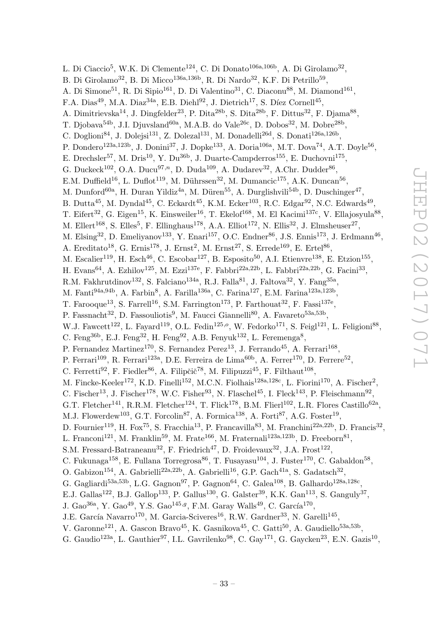L. Di Ciaccio<sup>5</sup>, W.K. Di Clemente<sup>124</sup>, C. Di Donato<sup>106a,106b</sup>, A. Di Girolamo<sup>32</sup>, B. Di Girolamo $^{32}$ , B. Di Micco $^{136a,136b}$ , R. Di Nardo $^{32}$ , K.F. Di Petrillo $^{59}$ , A. Di Simone<sup>51</sup>, R. Di Sipio<sup>161</sup>, D. Di Valentino<sup>31</sup>, C. Diaconu<sup>88</sup>, M. Diamond<sup>161</sup>, F.A. Dias<sup>49</sup>, M.A. Diaz<sup>34a</sup>, E.B. Diehl<sup>92</sup>, J. Dietrich<sup>17</sup>, S. Díez Cornell<sup>45</sup>, A. Dimitrievska<sup>14</sup>, J. Dingfelder<sup>23</sup>, P. Dita<sup>28b</sup>, S. Dita<sup>28b</sup>, F. Dittus<sup>32</sup>, F. Djama<sup>88</sup>, T. Djobava<sup>54b</sup>, J.I. Djuvsland<sup>60a</sup>, M.A.B. do Vale<sup>26c</sup>, D. Dobos<sup>32</sup>, M. Dobre<sup>28b</sup>, C. Doglioni<sup>84</sup>, J. Dolejsi<sup>131</sup>, Z. Dolezal<sup>131</sup>, M. Donadelli<sup>26d</sup>, S. Donati<sup>126a,126b</sup>, P. Dondero<sup>123a,123b</sup>, J. Donini<sup>37</sup>, J. Dopke<sup>133</sup>, A. Doria<sup>106a</sup>, M.T. Dova<sup>74</sup>, A.T. Doyle<sup>56</sup>, E. Drechsler<sup>57</sup>, M. Dris<sup>10</sup>, Y. Du<sup>36b</sup>, J. Duarte-Campderros<sup>155</sup>, E. Duchovni<sup>175</sup>, G. Duckeck<sup>102</sup>, O.A. Ducu<sup>97,*n*</sup>, D. Duda<sup>109</sup>, A. Dudarev<sup>32</sup>, A.Chr. Dudder<sup>86</sup>, E.M. Duffield<sup>16</sup>, L. Duflot<sup>119</sup>, M. Dührssen<sup>32</sup>, M. Dumancic<sup>175</sup>, A.K. Duncan<sup>56</sup>, M. Dunford<sup>60a</sup>, H. Duran Yildiz<sup>4a</sup>, M. Düren<sup>55</sup>, A. Durglishvili<sup>54b</sup>, D. Duschinger<sup>47</sup>, B. Dutta<sup>45</sup>, M. Dyndal<sup>45</sup>, C. Eckardt<sup>45</sup>, K.M. Ecker<sup>103</sup>, R.C. Edgar<sup>92</sup>, N.C. Edwards<sup>49</sup>, T. Eifert<sup>32</sup>, G. Eigen<sup>15</sup>, K. Einsweiler<sup>16</sup>, T. Ekelof<sup>168</sup>, M. El Kacimi<sup>137c</sup>, V. Ellajosyula<sup>88</sup>, M. Ellert<sup>168</sup>, S. Elles<sup>5</sup>, F. Ellinghaus<sup>178</sup>, A.A. Elliot<sup>172</sup>, N. Ellis<sup>32</sup>, J. Elmsheuser<sup>27</sup>, M. Elsing<sup>32</sup>, D. Emeliyanov<sup>133</sup>, Y. Enari<sup>157</sup>, O.C. Endner<sup>86</sup>, J.S. Ennis<sup>173</sup>, J. Erdmann<sup>46</sup>, A. Ereditato<sup>18</sup>, G. Ernis<sup>178</sup>, J. Ernst<sup>2</sup>, M. Ernst<sup>27</sup>, S. Errede<sup>169</sup>, E. Ertel<sup>86</sup>, M. Escalier<sup>119</sup>, H. Esch<sup>46</sup>, C. Escobar<sup>127</sup>, B. Esposito<sup>50</sup>, A.I. Etienvre<sup>138</sup>, E. Etzion<sup>155</sup>, H. Evans<sup>64</sup>, A. Ezhilov<sup>125</sup>, M. Ezzi<sup>137e</sup>, F. Fabbri<sup>22a,22b</sup>, L. Fabbri<sup>22a,22b</sup>, G. Facini<sup>33</sup>, R.M. Fakhrutdinov<sup>132</sup>, S. Falciano<sup>134a</sup>, R.J. Falla<sup>81</sup>, J. Faltova<sup>32</sup>, Y. Fang<sup>35a</sup>, M. Fanti<sup>94a,94b</sup>, A. Farbin<sup>8</sup>, A. Farilla<sup>136a</sup>, C. Farina<sup>127</sup>, E.M. Farina<sup>123a,123b</sup>, T. Farooque<sup>13</sup>, S. Farrell<sup>16</sup>, S.M. Farrington<sup>173</sup>, P. Farthouat<sup>32</sup>, F. Fassi<sup>137e</sup>, P. Fassnacht<sup>32</sup>, D. Fassouliotis<sup>9</sup>, M. Faucci Giannelli<sup>80</sup>, A. Favareto<sup>53a,53b</sup>, W.J. Fawcett<sup>122</sup>, L. Fayard<sup>119</sup>, O.L. Fedin<sup>125,0</sup>, W. Fedorko<sup>171</sup>, S. Feigl<sup>121</sup>, L. Feligioni<sup>88</sup>, C. Feng<sup>36b</sup>, E.J. Feng<sup>32</sup>, H. Feng<sup>92</sup>, A.B. Fenyuk<sup>132</sup>, L. Feremenga<sup>8</sup>, P. Fernandez Martinez<sup>170</sup>, S. Fernandez Perez<sup>13</sup>, J. Ferrando<sup>45</sup>, A. Ferrari<sup>168</sup>, P. Ferrari<sup>109</sup>, R. Ferrari<sup>123a</sup>, D.E. Ferreira de Lima<sup>60b</sup>, A. Ferrer<sup>170</sup>, D. Ferrere<sup>52</sup>, C. Ferretti<sup>92</sup>, F. Fiedler<sup>86</sup>, A. Filipčič<sup>78</sup>, M. Filipuzzi<sup>45</sup>, F. Filthaut<sup>108</sup>, M. Fincke-Keeler<sup>172</sup>, K.D. Finelli<sup>152</sup>, M.C.N. Fiolhais<sup>128a,128c</sup>, L. Fiorini<sup>170</sup>, A. Fischer<sup>2</sup>, C. Fischer<sup>13</sup>, J. Fischer<sup>178</sup>, W.C. Fisher<sup>93</sup>, N. Flaschel<sup>45</sup>, I. Fleck<sup>143</sup>, P. Fleischmann<sup>92</sup>, G.T. Fletcher<sup>141</sup>, R.R.M. Fletcher<sup>124</sup>, T. Flick<sup>178</sup>, B.M. Flierl<sup>102</sup>, L.R. Flores Castillo<sup>62a</sup>, M.J. Flowerdew<sup>103</sup>, G.T. Forcolin<sup>87</sup>, A. Formica<sup>138</sup>, A. Forti<sup>87</sup>, A.G. Foster<sup>19</sup>, D. Fournier<sup>119</sup>, H. Fox<sup>75</sup>, S. Fracchia<sup>13</sup>, P. Francavilla<sup>83</sup>, M. Franchini<sup>22a,22b</sup>, D. Francis<sup>32</sup>, L. Franconi<sup>121</sup>, M. Franklin<sup>59</sup>, M. Frate<sup>166</sup>, M. Fraternali<sup>123a,123b</sup>, D. Freeborn<sup>81</sup>, S.M. Fressard-Batraneanu<sup>32</sup>, F. Friedrich<sup>47</sup>, D. Froidevaux<sup>32</sup>, J.A. Frost<sup>122</sup>, C. Fukunaga<sup>158</sup>, E. Fullana Torregrosa<sup>86</sup>, T. Fusayasu<sup>104</sup>, J. Fuster<sup>170</sup>, C. Gabaldon<sup>58</sup>, O. Gabizon<sup>154</sup>, A. Gabrielli<sup>22a, 22b</sup>, A. Gabrielli<sup>16</sup>, G.P. Gach<sup>41a</sup>, S. Gadatsch<sup>32</sup>, G. Gagliardi<sup>53a,53b</sup>, L.G. Gagnon<sup>97</sup>, P. Gagnon<sup>64</sup>, C. Galea<sup>108</sup>, B. Galhardo<sup>128a,128c</sup>, E.J. Gallas<sup>122</sup>, B.J. Gallop<sup>133</sup>, P. Gallus<sup>130</sup>, G. Galster<sup>39</sup>, K.K. Gan<sup>113</sup>, S. Ganguly<sup>37</sup>, J. Gao $^{36a}$ , Y. Gao $^{49}$ , Y.S. Gao $^{145,g}$ , F.M. Garay Walls<sup>49</sup>, C. García<sup>170</sup>, J.E. García Navarro<sup>170</sup>, M. Garcia-Sciveres<sup>16</sup>, R.W. Gardner<sup>33</sup>, N. Garelli<sup>145</sup>,

- V. Garonne<sup>121</sup>, A. Gascon Bravo<sup>45</sup>, K. Gasnikova<sup>45</sup>, C. Gatti<sup>50</sup>, A. Gaudiello<sup>53a,53b</sup>,
- G. Gaudio<sup>123a</sup>, L. Gauthier<sup>97</sup>, I.L. Gavrilenko<sup>98</sup>, C. Gay<sup>171</sup>, G. Gaycken<sup>23</sup>, E.N. Gazis<sup>10</sup>,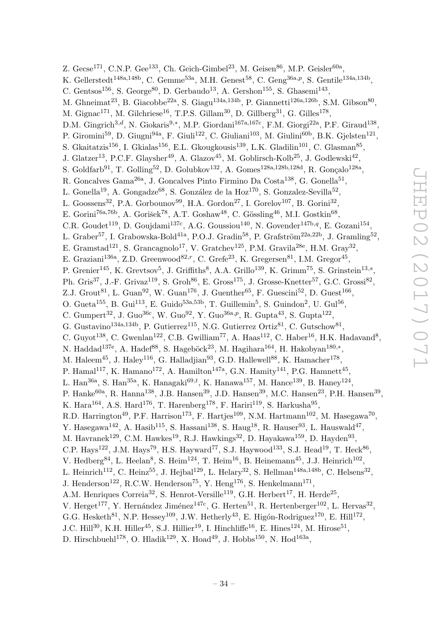Z. Gecse<sup>171</sup>, C.N.P. Gee<sup>133</sup>, Ch. Geich-Gimbel<sup>23</sup>, M. Geisen<sup>86</sup>, M.P. Geisler<sup>60a</sup>, K. Gellerstedt<sup>148a,148b</sup>, C. Gemme<sup>53a</sup>, M.H. Genest<sup>58</sup>, C. Geng<sup>36a,p</sup>, S. Gentile<sup>134a,134b</sup>, C. Gentsos<sup>156</sup>, S. George<sup>80</sup>, D. Gerbaudo<sup>13</sup>, A. Gershon<sup>155</sup>, S. Ghasemi<sup>143</sup>, M. Ghneimat<sup>23</sup>, B. Giacobbe<sup>22a</sup>, S. Giagu<sup>134a,134b</sup>, P. Giannetti<sup>126a,126b</sup>, S.M. Gibson<sup>80</sup>, M. Gignac<sup>171</sup>, M. Gilchriese<sup>16</sup>, T.P.S. Gillam<sup>30</sup>, D. Gillberg<sup>31</sup>, G. Gilles<sup>178</sup>, D.M. Gingrich<sup>3,d</sup>, N. Giokaris<sup>9,\*</sup>, M.P. Giordani<sup>167a,167c</sup>, F.M. Giorgi<sup>22a</sup>, P.F. Giraud<sup>138</sup>, P. Giromini<sup>59</sup>, D. Giugni<sup>94a</sup>, F. Giuli<sup>122</sup>, C. Giuliani<sup>103</sup>, M. Giulini<sup>60b</sup>, B.K. Gjelsten<sup>121</sup>, S. Gkaitatzis<sup>156</sup>, I. Gkialas<sup>156</sup>, E.L. Gkougkousis<sup>139</sup>, L.K. Gladilin<sup>101</sup>, C. Glasman<sup>85</sup>, J. Glatzer<sup>13</sup>, P.C.F. Glaysher<sup>49</sup>, A. Glazov<sup>45</sup>, M. Goblirsch-Kolb<sup>25</sup>, J. Godlewski<sup>42</sup>, S. Goldfarb<sup>91</sup>, T. Golling<sup>52</sup>, D. Golubkov<sup>132</sup>, A. Gomes<sup>128a,128b,128d</sup>, R. Gonçalo<sup>128a</sup>, R. Goncalves Gama<sup>26a</sup>, J. Goncalves Pinto Firmino Da Costa<sup>138</sup>, G. Gonella<sup>51</sup>, L. Gonella<sup>19</sup>, A. Gongadze<sup>68</sup>, S. González de la Hoz<sup>170</sup>, S. Gonzalez-Sevilla<sup>52</sup>, L. Goossens<sup>32</sup>, P.A. Gorbounov<sup>99</sup>, H.A. Gordon<sup>27</sup>, I. Gorelov<sup>107</sup>, B. Gorini<sup>32</sup>, E. Gorini<sup>76a,76b</sup>, A. Gorišek<sup>78</sup>, A.T. Goshaw<sup>48</sup>, C. Gössling<sup>46</sup>, M.I. Gostkin<sup>68</sup>, C.R. Goudet<sup>119</sup>, D. Goujdami<sup>137c</sup>, A.G. Goussiou<sup>140</sup>, N. Govender<sup>147b,q</sup>, E. Gozani<sup>154</sup>, L. Graber<sup>57</sup>, I. Grabowska-Bold<sup>41a</sup>, P.O.J. Gradin<sup>58</sup>, P. Grafström<sup>22a,22b</sup>, J. Gramling<sup>52</sup>, E. Gramstad<sup>121</sup>, S. Grancagnolo<sup>17</sup>, V. Gratchev<sup>125</sup>, P.M. Gravila<sup>28e</sup>, H.M. Gray<sup>32</sup>, E. Graziani<sup>136a</sup>, Z.D. Greenwood<sup>82,r</sup>, C. Grefe<sup>23</sup>, K. Gregersen<sup>81</sup>, I.M. Gregor<sup>45</sup>, P. Grenier<sup>145</sup>, K. Grevtsov<sup>5</sup>, J. Griffiths<sup>8</sup>, A.A. Grillo<sup>139</sup>, K. Grimm<sup>75</sup>, S. Grinstein<sup>13,s</sup>, Ph. Gris<sup>37</sup>, J.-F. Grivaz<sup>119</sup>, S. Groh<sup>86</sup>, E. Gross<sup>175</sup>, J. Grosse-Knetter<sup>57</sup>, G.C. Grossi<sup>82</sup>, Z.J. Grout<sup>81</sup>, L. Guan<sup>92</sup>, W. Guan<sup>176</sup>, J. Guenther<sup>65</sup>, F. Guescini<sup>52</sup>, D. Guest<sup>166</sup>, O. Gueta<sup>155</sup>, B. Gui<sup>113</sup>, E. Guido<sup>53a,53b</sup>, T. Guillemin<sup>5</sup>, S. Guindon<sup>2</sup>, U. Gul<sup>56</sup>, C. Gumpert<sup>32</sup>, J. Guo<sup>36c</sup>, W. Guo<sup>92</sup>, Y. Guo<sup>36a, p</sup>, R. Gupta<sup>43</sup>, S. Gupta<sup>122</sup>, G. Gustavino<sup>134a, 134b</sup>, P. Gutierrez<sup>115</sup>, N.G. Gutierrez Ortiz<sup>81</sup>, C. Gutschow<sup>81</sup>, C. Guyot<sup>138</sup>, C. Gwenlan<sup>122</sup>, C.B. Gwilliam<sup>77</sup>, A. Haas<sup>112</sup>, C. Haber<sup>16</sup>, H.K. Hadavand<sup>8</sup>, N. Haddad $^{137e}$ , A. Hadef<sup>88</sup>, S. Hageböck<sup>23</sup>, M. Hagihara<sup>164</sup>, H. Hakobyan<sup>180,\*</sup>, M. Haleem<sup>45</sup>, J. Haley<sup>116</sup>, G. Halladjian<sup>93</sup>, G.D. Hallewell<sup>88</sup>, K. Hamacher<sup>178</sup>, P. Hamal<sup>117</sup>, K. Hamano<sup>172</sup>, A. Hamilton<sup>147a</sup>, G.N. Hamity<sup>141</sup>, P.G. Hamnett<sup>45</sup>, L. Han<sup>36a</sup>, S. Han<sup>35a</sup>, K. Hanagaki<sup>69,†</sup>, K. Hanawa<sup>157</sup>, M. Hance<sup>139</sup>, B. Haney<sup>124</sup>, P. Hanke<sup>60a</sup>, R. Hanna<sup>138</sup>, J.B. Hansen<sup>39</sup>, J.D. Hansen<sup>39</sup>, M.C. Hansen<sup>23</sup>, P.H. Hansen<sup>39</sup>, K. Hara<sup>164</sup>, A.S. Hard<sup>176</sup>, T. Harenberg<sup>178</sup>, F. Hariri<sup>119</sup>, S. Harkusha<sup>95</sup>, R.D. Harrington<sup>49</sup>, P.F. Harrison<sup>173</sup>, F. Hartjes<sup>109</sup>, N.M. Hartmann<sup>102</sup>, M. Hasegawa<sup>70</sup>, Y. Hasegawa<sup>142</sup>, A. Hasib<sup>115</sup>, S. Hassani<sup>138</sup>, S. Haug<sup>18</sup>, R. Hauser<sup>93</sup>, L. Hauswald<sup>47</sup>, M. Havranek<sup>129</sup>, C.M. Hawkes<sup>19</sup>, R.J. Hawkings<sup>32</sup>, D. Hayakawa<sup>159</sup>, D. Hayden<sup>93</sup>, C.P. Hays<sup>122</sup>, J.M. Hays<sup>79</sup>, H.S. Hayward<sup>77</sup>, S.J. Haywood<sup>133</sup>, S.J. Head<sup>19</sup>, T. Heck<sup>86</sup>, V. Hedberg<sup>84</sup>, L. Heelan<sup>8</sup>, S. Heim<sup>124</sup>, T. Heim<sup>16</sup>, B. Heinemann<sup>45</sup>, J.J. Heinrich<sup>102</sup>, L. Heinrich<sup>112</sup>, C. Heinz<sup>55</sup>, J. Hejbal<sup>129</sup>, L. Helary<sup>32</sup>, S. Hellman<sup>148a,148b</sup>, C. Helsens<sup>32</sup>, J. Henderson<sup>122</sup>, R.C.W. Henderson<sup>75</sup>, Y. Heng<sup>176</sup>, S. Henkelmann<sup>171</sup>, A.M. Henriques Correia<sup>32</sup>, S. Henrot-Versille<sup>119</sup>, G.H. Herbert<sup>17</sup>, H. Herde<sup>25</sup>, V. Herget<sup>177</sup>, Y. Hernández Jiménez<sup>147c</sup>, G. Herten<sup>51</sup>, R. Hertenberger<sup>102</sup>, L. Hervas<sup>32</sup>, G.G. Hesketh<sup>81</sup>, N.P. Hessey<sup>109</sup>, J.W. Hetherly<sup>43</sup>, E. Higón-Rodriguez<sup>170</sup>, E. Hill<sup>172</sup>, J.C. Hill<sup>30</sup>, K.H. Hiller<sup>45</sup>, S.J. Hillier<sup>19</sup>, I. Hinchliffe<sup>16</sup>, E. Hines<sup>124</sup>, M. Hirose<sup>51</sup>,

D. Hirschbuehl<sup>178</sup>, O. Hladik<sup>129</sup>, X. Hoad<sup>49</sup>, J. Hobbs<sup>150</sup>, N. Hod<sup>163a</sup>,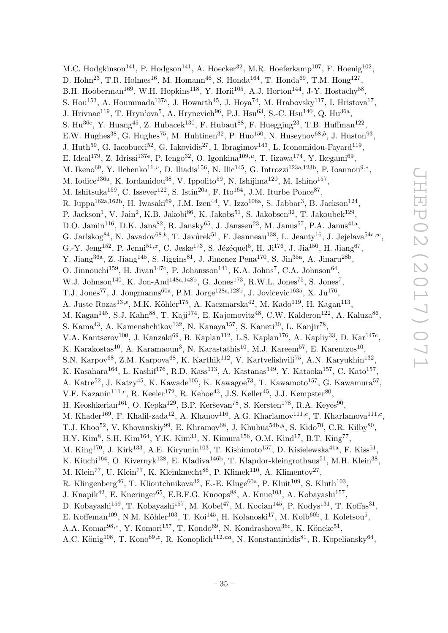M.C. Hodgkinson<sup>141</sup>, P. Hodgson<sup>141</sup>, A. Hoecker<sup>32</sup>, M.R. Hoeferkamp<sup>107</sup>, F. Hoenig<sup>102</sup>, D. Hohn<sup>23</sup>, T.R. Holmes<sup>16</sup>, M. Homann<sup>46</sup>, S. Honda<sup>164</sup>, T. Honda<sup>69</sup>, T.M. Hong<sup>127</sup>, B.H. Hooberman<sup>169</sup>, W.H. Hopkins<sup>118</sup>, Y. Horii<sup>105</sup>, A.J. Horton<sup>144</sup>, J-Y. Hostachy<sup>58</sup>, S. Hou<sup>153</sup>, A. Hoummada<sup>137a</sup>, J. Howarth<sup>45</sup>, J. Hoya<sup>74</sup>, M. Hrabovsky<sup>117</sup>, I. Hristova<sup>17</sup>, J. Hrivnac<sup>119</sup>, T. Hryn'ova<sup>5</sup>, A. Hrynevich<sup>96</sup>, P.J. Hsu<sup>63</sup>, S.-C. Hsu<sup>140</sup>, Q. Hu<sup>36a</sup>, S. Hu<sup>36c</sup>, Y. Huang<sup>45</sup>, Z. Hubacek<sup>130</sup>, F. Hubaut<sup>88</sup>, F. Huegging<sup>23</sup>, T.B. Huffman<sup>122</sup>, E.W. Hughes<sup>38</sup>, G. Hughes<sup>75</sup>, M. Huhtinen<sup>32</sup>, P. Huo<sup>150</sup>, N. Huseynov<sup>68,b</sup>, J. Huston<sup>93</sup>, J. Huth<sup>59</sup>, G. Iacobucci<sup>52</sup>, G. Iakovidis<sup>27</sup>, I. Ibragimov<sup>143</sup>, L. Iconomidou-Fayard<sup>119</sup>, E. Ideal<sup>179</sup>, Z. Idrissi<sup>137e</sup>, P. Iengo<sup>32</sup>, O. Igonkina<sup>109,*u*</sup>, T. Iizawa<sup>174</sup>, Y. Ikegami<sup>69</sup>, M. Ikeno<sup>69</sup>, Y. Ilchenko<sup>11,v</sup>, D. Iliadis<sup>156</sup>, N. Ilic<sup>145</sup>, G. Introzzi<sup>123a,123b</sup>, P. Ioannou<sup>9,\*</sup>, M. Iodice<sup>136a</sup>, K. Iordanidou<sup>38</sup>, V. Ippolito<sup>59</sup>, N. Ishijima<sup>120</sup>, M. Ishino<sup>157</sup>, M. Ishitsuka<sup>159</sup>, C. Issever<sup>122</sup>, S. Istin<sup>20a</sup>, F. Ito<sup>164</sup>, J.M. Iturbe Ponce<sup>87</sup>, R. Iuppa<sup>162a,162b</sup>, H. Iwasaki<sup>69</sup>, J.M. Izen<sup>44</sup>, V. Izzo<sup>106a</sup>, S. Jabbar<sup>3</sup>, B. Jackson<sup>124</sup>, P. Jackson<sup>1</sup>, V. Jain<sup>2</sup>, K.B. Jakobi<sup>86</sup>, K. Jakobs<sup>51</sup>, S. Jakobsen<sup>32</sup>, T. Jakoubek<sup>129</sup>, D.O. Jamin<sup>116</sup>, D.K. Jana<sup>82</sup>, R. Jansky<sup>65</sup>, J. Janssen<sup>23</sup>, M. Janus<sup>57</sup>, P.A. Janus<sup>41a</sup>, G. Jarlskog<sup>84</sup>, N. Javadov<sup>68,b</sup>, T. Javůrek<sup>51</sup>, F. Jeanneau<sup>138</sup>, L. Jeanty<sup>16</sup>, J. Jejelava<sup>54a,*w*</sup>, G.-Y. Jeng<sup>152</sup>, P. Jenni<sup>51,x</sup>, C. Jeske<sup>173</sup>, S. Jézéquel<sup>5</sup>, H. Ji<sup>176</sup>, J. Jia<sup>150</sup>, H. Jiang<sup>67</sup>, Y. Jiang<sup>36a</sup>, Z. Jiang<sup>145</sup>, S. Jiggins<sup>81</sup>, J. Jimenez Pena<sup>170</sup>, S. Jin<sup>35a</sup>, A. Jinaru<sup>28b</sup>, O. Jinnouchi<sup>159</sup>, H. Jivan<sup>147c</sup>, P. Johansson<sup>141</sup>, K.A. Johns<sup>7</sup>, C.A. Johnson<sup>64</sup>, W.J. Johnson<sup>140</sup>, K. Jon-And<sup>148a,148b</sup>, G. Jones<sup>173</sup>, R.W.L. Jones<sup>75</sup>, S. Jones<sup>7</sup>, T.J. Jones<sup>77</sup>, J. Jongmanns<sup>60a</sup>, P.M. Jorge<sup>128a,128b</sup>, J. Jovicevic<sup>163a</sup>, X. Ju<sup>176</sup>, A. Juste Rozas<sup>13,s</sup>, M.K. Köhler<sup>175</sup>, A. Kaczmarska<sup>42</sup>, M. Kado<sup>119</sup>, H. Kagan<sup>113</sup>, M. Kagan $^{145}$ , S.J. Kahn $^{88}$ , T. Kaji $^{174}$ , E. Kajomovitz $^{48}$ , C.W. Kalderon $^{122}$ , A. Kaluza $^{86}$ , S. Kama<sup>43</sup>, A. Kamenshchikov<sup>132</sup>, N. Kanaya<sup>157</sup>, S. Kaneti<sup>30</sup>, L. Kanjir<sup>78</sup>, V.A. Kantserov<sup>100</sup>, J. Kanzaki<sup>69</sup>, B. Kaplan<sup>112</sup>, L.S. Kaplan<sup>176</sup>, A. Kapliy<sup>33</sup>, D. Kar<sup>147c</sup>, K. Karakostas $^{10}$ , A. Karamaoun<sup>3</sup>, N. Karastathis<sup>10</sup>, M.J. Kareem<sup>57</sup>, E. Karentzos<sup>10</sup>, S.N. Karpov<sup>68</sup>, Z.M. Karpova<sup>68</sup>, K. Karthik<sup>112</sup>, V. Kartvelishvili<sup>75</sup>, A.N. Karyukhin<sup>132</sup>, K. Kasahara<sup>164</sup>, L. Kashif<sup>176</sup>, R.D. Kass<sup>113</sup>, A. Kastanas<sup>149</sup>, Y. Kataoka<sup>157</sup>, C. Kato<sup>157</sup>, A. Katre<sup>52</sup>, J. Katzy<sup>45</sup>, K. Kawade<sup>105</sup>, K. Kawagoe<sup>73</sup>, T. Kawamoto<sup>157</sup>, G. Kawamura<sup>57</sup>, V.F. Kazanin<sup>111,c</sup>, R. Keeler<sup>172</sup>, R. Kehoe<sup>43</sup>, J.S. Keller<sup>45</sup>, J.J. Kempster<sup>80</sup>, H. Keoshkerian<sup>161</sup>, O. Kepka<sup>129</sup>, B.P. Kerševan<sup>78</sup>, S. Kersten<sup>178</sup>, R.A. Keyes<sup>90</sup>, M. Khader<sup>169</sup>, F. Khalil-zada<sup>12</sup>, A. Khanov<sup>116</sup>, A.G. Kharlamov<sup>111,c</sup>, T. Kharlamova<sup>111,c</sup>, T.J. Khoo $^{52}$ , V. Khovanskiy $^{99}$ , E. Khramov $^{68}$ , J. Khubua $^{54b,y}$ , S. Kido $^{70}$ , C.R. Kilby $^{80}$ , H.Y. Kim<sup>8</sup>, S.H. Kim<sup>164</sup>, Y.K. Kim<sup>33</sup>, N. Kimura<sup>156</sup>, O.M. Kind<sup>17</sup>, B.T. King<sup>77</sup>, M. King<sup>170</sup>, J. Kirk<sup>133</sup>, A.E. Kiryunin<sup>103</sup>, T. Kishimoto<sup>157</sup>, D. Kisielewska<sup>41a</sup>, F. Kiss<sup>51</sup>, K. Kiuchi<sup>164</sup>, O. Kivernyk<sup>138</sup>, E. Kladiva<sup>146b</sup>, T. Klapdor-kleingrothaus<sup>51</sup>, M.H. Klein<sup>38</sup>, M. Klein<sup>77</sup>, U. Klein<sup>77</sup>, K. Kleinknecht<sup>86</sup>, P. Klimek<sup>110</sup>, A. Klimentov<sup>27</sup>, R. Klingenberg<sup>46</sup>, T. Klioutchnikova<sup>32</sup>, E.-E. Kluge<sup>60a</sup>, P. Kluit<sup>109</sup>, S. Kluth<sup>103</sup>, J. Knapik<sup>42</sup>, E. Kneringer<sup>65</sup>, E.B.F.G. Knoops<sup>88</sup>, A. Knue<sup>103</sup>, A. Kobayashi<sup>157</sup>, D. Kobayashi<sup>159</sup>, T. Kobayashi<sup>157</sup>, M. Kobel<sup>47</sup>, M. Kocian<sup>145</sup>, P. Kodys<sup>131</sup>, T. Koffas<sup>31</sup>, E. Koffeman<sup>109</sup>, N.M. Köhler<sup>103</sup>, T. Koi<sup>145</sup>, H. Kolanoski<sup>17</sup>, M. Kolb<sup>60b</sup>, I. Koletsou<sup>5</sup>, A.A. Komar<sup>98,\*</sup>, Y. Komori<sup>157</sup>, T. Kondo<sup>69</sup>, N. Kondrashova<sup>36c</sup>, K. Köneke<sup>51</sup>,

A.C. König<sup>108</sup>, T. Kono<sup>69, $z$ </sup>, R. Konoplich<sup>112,aa</sup>, N. Konstantinidis<sup>81</sup>, R. Kopeliansky<sup>64</sup>,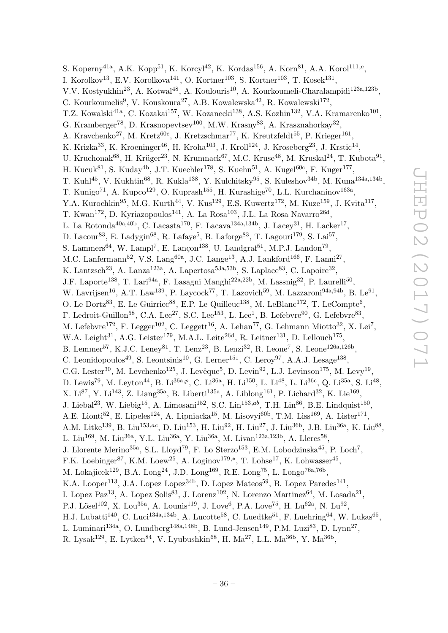S. Koperny<sup>41a</sup>, A.K. Kopp<sup>51</sup>, K. Korcyl<sup>42</sup>, K. Kordas<sup>156</sup>, A. Korn<sup>81</sup>, A.A. Korol<sup>111,c</sup>, I. Korolkov<sup>13</sup>, E.V. Korolkova<sup>141</sup>, O. Kortner<sup>103</sup>, S. Kortner<sup>103</sup>, T. Kosek<sup>131</sup>, V.V. Kostyukhin<sup>23</sup>, A. Kotwal<sup>48</sup>, A. Koulouris<sup>10</sup>, A. Kourkoumeli-Charalampidi<sup>123a,123b</sup>, C. Kourkoumelis<sup>9</sup>, V. Kouskoura<sup>27</sup>, A.B. Kowalewska<sup>42</sup>, R. Kowalewski<sup>172</sup>, T.Z. Kowalski<sup>41a</sup>, C. Kozakai<sup>157</sup>, W. Kozanecki<sup>138</sup>, A.S. Kozhin<sup>132</sup>, V.A. Kramarenko<sup>101</sup>, G. Kramberger<sup>78</sup>, D. Krasnopevtsev<sup>100</sup>, M.W. Krasny<sup>83</sup>, A. Krasznahorkay<sup>32</sup>, A. Kravchenko<sup>27</sup>, M. Kretz<sup>60c</sup>, J. Kretzschmar<sup>77</sup>, K. Kreutzfeldt<sup>55</sup>, P. Krieger<sup>161</sup>, K. Krizka $^{33}$ , K. Kroeninger $^{46}$ , H. Kroha $^{103}$ , J. Kroll $^{124}$ , J. Kroseberg $^{23}$ , J. Krstic $^{14}$ , U. Kruchonak $^{68}$ , H. Krüger $^{23}$ , N. Krumnack $^{67}$ , M.C. Kruse $^{48}$ , M. Kruskal $^{24}$ , T. Kubota $^{91}$ , H. Kucuk $^{81}$ , S. Kuday $^{4b}$ , J.T. Kuechler $^{178}$ , S. Kuehn $^{51}$ , A. Kugel $^{60c}$ , F. Kuger $^{177}$ , T. Kuhl<sup>45</sup>, V. Kukhtin<sup>68</sup>, R. Kukla<sup>138</sup>, Y. Kulchitsky<sup>95</sup>, S. Kuleshov<sup>34b</sup>, M. Kuna<sup>134a,134b</sup>, T. Kunigo<sup>71</sup>, A. Kupco<sup>129</sup>, O. Kuprash<sup>155</sup>, H. Kurashige<sup>70</sup>, L.L. Kurchaninov<sup>163a</sup>, Y.A. Kurochkin<sup>95</sup>, M.G. Kurth<sup>44</sup>, V. Kus<sup>129</sup>, E.S. Kuwertz<sup>172</sup>, M. Kuze<sup>159</sup>, J. Kvita<sup>117</sup>, T. Kwan<sup>172</sup>, D. Kyriazopoulos<sup>141</sup>, A. La Rosa<sup>103</sup>, J.L. La Rosa Navarro<sup>26d</sup>, L. La Rotonda<sup>40a,40b</sup>, C. Lacasta<sup>170</sup>, F. Lacava<sup>134a,134b</sup>, J. Lacey<sup>31</sup>, H. Lacker<sup>17</sup>, D. Lacour<sup>83</sup>, E. Ladygin<sup>68</sup>, R. Lafaye<sup>5</sup>, B. Laforge<sup>83</sup>, T. Lagouri<sup>179</sup>, S. Lai<sup>57</sup>, S. Lammers<sup>64</sup>, W. Lampl<sup>7</sup>, E. Lançon<sup>138</sup>, U. Landgraf<sup>51</sup>, M.P.J. Landon<sup>79</sup>, M.C. Lanfermann<sup>52</sup>, V.S. Lang<sup>60a</sup>, J.C. Lange<sup>13</sup>, A.J. Lankford<sup>166</sup>, F. Lanni<sup>27</sup>, K. Lantzsch<sup>23</sup>, A. Lanza<sup>123a</sup>, A. Lapertosa<sup>53a,53b</sup>, S. Laplace<sup>83</sup>, C. Lapoire<sup>32</sup>, J.F. Laporte<sup>138</sup>, T. Lari<sup>94a</sup>, F. Lasagni Manghi<sup>22a,22b</sup>, M. Lassnig<sup>32</sup>, P. Laurelli<sup>50</sup>, W. Lavrijsen<sup>16</sup>, A.T. Law<sup>139</sup>, P. Laycock<sup>77</sup>, T. Lazovich<sup>59</sup>, M. Lazzaroni<sup>94a,94b</sup>, B. Le<sup>91</sup>, O. Le Dortz<sup>83</sup>, E. Le Guirriec<sup>88</sup>, E.P. Le Quilleuc<sup>138</sup>, M. LeBlanc<sup>172</sup>, T. LeCompte<sup>6</sup>, F. Ledroit-Guillon<sup>58</sup>, C.A. Lee<sup>27</sup>, S.C. Lee<sup>153</sup>, L. Lee<sup>1</sup>, B. Lefebvre<sup>90</sup>, G. Lefebvre<sup>83</sup>, M. Lefebvre<sup>172</sup>, F. Legger<sup>102</sup>, C. Leggett<sup>16</sup>, A. Lehan<sup>77</sup>, G. Lehmann Miotto<sup>32</sup>, X. Lei<sup>7</sup>, W.A. Leight<sup>31</sup>, A.G. Leister<sup>179</sup>, M.A.L. Leite<sup>26d</sup>, R. Leitner<sup>131</sup>, D. Lellouch<sup>175</sup>, B. Lemmer<sup>57</sup>, K.J.C. Leney<sup>81</sup>, T. Lenz<sup>23</sup>, B. Lenzi<sup>32</sup>, R. Leone<sup>7</sup>, S. Leone<sup>126a,126b</sup>, C. Leonidopoulos<sup>49</sup>, S. Leontsinis<sup>10</sup>, G. Lerner<sup>151</sup>, C. Leroy<sup>97</sup>, A.A.J. Lesage<sup>138</sup>, C.G. Lester<sup>30</sup>, M. Levchenko<sup>125</sup>, J. Levêque<sup>5</sup>, D. Levin<sup>92</sup>, L.J. Levinson<sup>175</sup>, M. Levy<sup>19</sup>, D. Lewis<sup>79</sup>, M. Leyton<sup>44</sup>, B. Li<sup>36a, p</sup>, C. Li<sup>36a</sup>, H. Li<sup>150</sup>, L. Li<sup>48</sup>, L. Li<sup>36c</sup>, Q. Li<sup>35a</sup>, S. Li<sup>48</sup>, X. Li<sup>87</sup>, Y. Li<sup>143</sup>, Z. Liang<sup>35a</sup>, B. Liberti<sup>135a</sup>, A. Liblong<sup>161</sup>, P. Lichard<sup>32</sup>, K. Lie<sup>169</sup>, J. Liebal<sup>23</sup>, W. Liebig<sup>15</sup>, A. Limosani<sup>152</sup>, S.C. Lin<sup>153,ab</sup>, T.H. Lin<sup>86</sup>, B.E. Lindquist<sup>150</sup>, A.E. Lionti<sup>52</sup>, E. Lipeles<sup>124</sup>, A. Lipniacka<sup>15</sup>, M. Lisovyi<sup>60b</sup>, T.M. Liss<sup>169</sup>, A. Lister<sup>171</sup>, A.M. Litke<sup>139</sup>, B. Liu<sup>153,ac</sup>, D. Liu<sup>153</sup>, H. Liu<sup>92</sup>, H. Liu<sup>27</sup>, J. Liu<sup>36b</sup>, J.B. Liu<sup>36a</sup>, K. Liu<sup>88</sup>, L. Liu<sup>169</sup>, M. Liu<sup>36a</sup>, Y.L. Liu<sup>36a</sup>, Y. Liu<sup>36a</sup>, M. Livan<sup>123a,123b</sup>, A. Lleres<sup>58</sup>, J. Llorente Merino<sup>35a</sup>, S.L. Lloyd<sup>79</sup>, F. Lo Sterzo<sup>153</sup>, E.M. Lobodzinska<sup>45</sup>, P. Loch<sup>7</sup>, F.K. Loebinger<sup>87</sup>, K.M. Loew<sup>25</sup>, A. Loginov<sup>179,\*</sup>, T. Lohse<sup>17</sup>, K. Lohwasser<sup>45</sup>, M. Lokajicek<sup>129</sup>, B.A. Long<sup>24</sup>, J.D. Long<sup>169</sup>, R.E. Long<sup>75</sup>, L. Longo<sup>76a,76b</sup>, K.A. Looper<sup>113</sup>, J.A. Lopez Lopez<sup>34b</sup>, D. Lopez Mateos<sup>59</sup>, B. Lopez Paredes<sup>141</sup>, I. Lopez Paz<sup>13</sup>, A. Lopez Solis<sup>83</sup>, J. Lorenz<sup>102</sup>, N. Lorenzo Martinez<sup>64</sup>, M. Losada<sup>21</sup>, P.J. Lösel<sup>102</sup>, X. Lou<sup>35a</sup>, A. Lounis<sup>119</sup>, J. Love<sup>6</sup>, P.A. Love<sup>75</sup>, H. Lu<sup>62a</sup>, N. Lu<sup>92</sup>, H.J. Lubatti<sup>140</sup>, C. Luci<sup>134a,134b</sup>, A. Lucotte<sup>58</sup>, C. Luedtke<sup>51</sup>, F. Luehring<sup>64</sup>, W. Lukas<sup>65</sup>, L. Luminari<sup>134a</sup>, O. Lundberg<sup>148a,148b</sup>, B. Lund-Jensen<sup>149</sup>, P.M. Luzi<sup>83</sup>, D. Lynn<sup>27</sup>,

R. Lysak<sup>129</sup>, E. Lytken<sup>84</sup>, V. Lyubushkin<sup>68</sup>, H. Ma<sup>27</sup>, L.L. Ma<sup>36b</sup>, Y. Ma<sup>36b</sup>,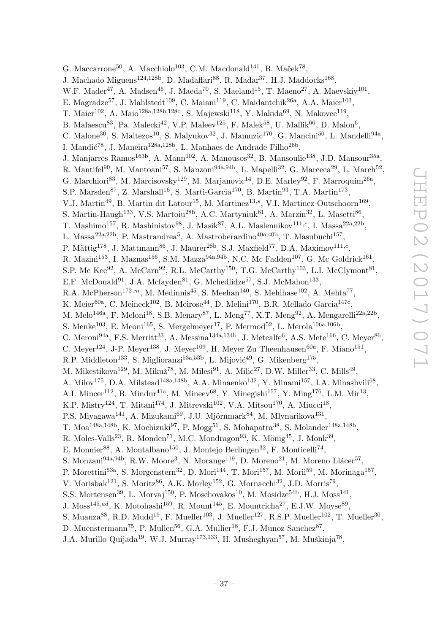G. Maccarrone<sup>50</sup>, A. Macchiolo<sup>103</sup>, C.M. Macdonald<sup>141</sup>, B. Maček<sup>78</sup>, J. Machado Miguens<sup>124,128b</sup>, D. Madaffari<sup>88</sup>, R. Madar<sup>37</sup>, H.J. Maddocks<sup>168</sup>, W.F. Mader<sup>47</sup>, A. Madsen<sup>45</sup>, J. Maeda<sup>70</sup>, S. Maeland<sup>15</sup>, T. Maeno<sup>27</sup>, A. Maevskiy<sup>101</sup>, E. Magradze<sup>57</sup>, J. Mahlstedt<sup>109</sup>, C. Maiani<sup>119</sup>, C. Maidantchik<sup>26a</sup>, A.A. Maier<sup>103</sup>, T. Maier $^{102}$ , A. Maio<sup>128a,128b,128d</sup>, S. Majewski<sup>118</sup>, Y. Makida<sup>69</sup>, N. Makovec<sup>119</sup>, B. Malaescu<sup>83</sup>, Pa. Malecki<sup>42</sup>, V.P. Maleev<sup>125</sup>, F. Malek<sup>58</sup>, U. Mallik<sup>66</sup>, D. Malon<sup>6</sup>, C. Malone<sup>30</sup>, S. Maltezos<sup>10</sup>, S. Malyukov<sup>32</sup>, J. Mamuzic<sup>170</sup>, G. Mancini<sup>50</sup>, L. Mandelli<sup>94a</sup>, I. Mandić<sup>78</sup>, J. Maneira<sup>128a,128b</sup>, L. Manhaes de Andrade Filho<sup>26b</sup>, J. Manjarres Ramos<sup>163b</sup>, A. Mann<sup>102</sup>, A. Manousos<sup>32</sup>, B. Mansoulie<sup>138</sup>, J.D. Mansour<sup>35a</sup>, R. Mantifel<sup>90</sup>, M. Mantoani<sup>57</sup>, S. Manzoni<sup>94a,94b</sup>, L. Mapelli<sup>32</sup>, G. Marceca<sup>29</sup>, L. March<sup>52</sup>, G. Marchiori<sup>83</sup>, M. Marcisovsky<sup>129</sup>, M. Marjanovic<sup>14</sup>, D.E. Marley<sup>92</sup>, F. Marroquim<sup>26a</sup>, S.P. Marsden<sup>87</sup>, Z. Marshall<sup>16</sup>, S. Marti-Garcia<sup>170</sup>, B. Martin<sup>93</sup>, T.A. Martin<sup>173</sup>, V.J. Martin<sup>49</sup>, B. Martin dit Latour<sup>15</sup>, M. Martinez<sup>13,s</sup>, V.I. Martinez Outschoorn<sup>169</sup>, S. Martin-Haugh<sup>133</sup>, V.S. Martoiu<sup>28b</sup>, A.C. Martyniuk<sup>81</sup>, A. Marzin<sup>32</sup>, L. Masetti<sup>86</sup>, T. Mashimo<sup>157</sup>, R. Mashinistov<sup>98</sup>, J. Masik<sup>87</sup>, A.L. Maslennikov<sup>111,c</sup>, I. Massa<sup>22a,22b</sup>, L. Massa<sup>22a,22b</sup>, P. Mastrandrea<sup>5</sup>, A. Mastroberardino<sup>40a,40b</sup>, T. Masubuchi<sup>157</sup>, P. Mättig<sup>178</sup>, J. Mattmann<sup>86</sup>, J. Maurer<sup>28b</sup>, S.J. Maxfield<sup>77</sup>, D.A. Maximov<sup>111,c</sup>, R. Mazini $^{153}$ , I. Maznas $^{156}$ , S.M. Mazza $^{94a,94b}$ , N.C. Mc Fadden $^{107}$ , G. Mc Goldrick $^{161}$ , S.P. Mc Kee $^{92}$ , A. McCarn $^{92}$ , R.L. McCarthy<sup>150</sup>, T.G. McCarthy<sup>103</sup>, L.I. McClymont<sup>81</sup>, E.F. McDonald<sup>91</sup>, J.A. Mcfayden<sup>81</sup>, G. Mchedlidze<sup>57</sup>, S.J. McMahon<sup>133</sup>, R.A. McPherson<sup>172,*m*</sup>, M. Medinnis<sup>45</sup>, S. Meehan<sup>140</sup>, S. Mehlhase<sup>102</sup>, A. Mehta<sup>77</sup>, K. Meier $^{60a}$ , C. Meineck $^{102}$ , B. Meirose $^{44}$ , D. Melini<sup>170</sup>, B.R. Mellado Garcia<sup>147c</sup>, M. Melo<sup>146a</sup>, F. Meloni<sup>18</sup>, S.B. Menary<sup>87</sup>, L. Meng<sup>77</sup>, X.T. Meng<sup>92</sup>, A. Mengarelli<sup>22a,22b</sup>, S. Menke<sup>103</sup>, E. Meoni<sup>165</sup>, S. Mergelmeyer<sup>17</sup>, P. Mermod<sup>52</sup>, L. Merola<sup>106a,106b</sup>, C. Meroni<sup>94a</sup>, F.S. Merritt<sup>33</sup>, A. Messina<sup>134a,134b</sup>, J. Metcalfe<sup>6</sup>, A.S. Mete<sup>166</sup>, C. Meyer<sup>86</sup>, C. Meyer<sup>124</sup>, J-P. Meyer<sup>138</sup>, J. Meyer<sup>109</sup>, H. Meyer Zu Theenhausen<sup>60a</sup>, F. Miano<sup>151</sup>, R.P. Middleton<sup>133</sup>, S. Miglioranzi<sup>53a,53b</sup>, L. Mijović<sup>49</sup>, G. Mikenberg<sup>175</sup>, M. Mikestikova<sup>129</sup>, M. Mikuž<sup>78</sup>, M. Milesi<sup>91</sup>, A. Milic<sup>27</sup>, D.W. Miller<sup>33</sup>, C. Mills<sup>49</sup>, A. Milov<sup>175</sup>, D.A. Milstead<sup>148a,148b</sup>, A.A. Minaenko<sup>132</sup>, Y. Minami<sup>157</sup>, I.A. Minashvili<sup>68</sup>, A.I. Mincer<sup>112</sup>, B. Mindur<sup>41a</sup>, M. Mineev<sup>68</sup>, Y. Minegishi<sup>157</sup>, Y. Ming<sup>176</sup>, L.M. Mir<sup>13</sup>, K.P. Mistry<sup>124</sup>, T. Mitani<sup>174</sup>, J. Mitrevski<sup>102</sup>, V.A. Mitsou<sup>170</sup>, A. Miucci<sup>18</sup>, P.S. Miyagawa<sup>141</sup>, A. Mizukami<sup>69</sup>, J.U. Mjörnmark<sup>84</sup>, M. Mlynarikova<sup>131</sup>, T. Moa<sup>148a,148b</sup>, K. Mochizuki<sup>97</sup>, P. Mogg<sup>51</sup>, S. Mohapatra<sup>38</sup>, S. Molander<sup>148a,148b</sup>, R. Moles-Valls<sup>23</sup>, R. Monden<sup>71</sup>, M.C. Mondragon<sup>93</sup>, K. Mönig<sup>45</sup>, J. Monk<sup>39</sup>, E. Monnier<sup>88</sup>, A. Montalbano<sup>150</sup>, J. Montejo Berlingen<sup>32</sup>, F. Monticelli<sup>74</sup>, S. Monzani $^{94a,94b}$ , R.W. Moore<sup>3</sup>, N. Morange<sup>119</sup>, D. Moreno<sup>21</sup>, M. Moreno Llácer<sup>57</sup>, P. Morettini<sup>53a</sup>, S. Morgenstern<sup>32</sup>, D. Mori<sup>144</sup>, T. Mori<sup>157</sup>, M. Morii<sup>59</sup>, M. Morinaga<sup>157</sup>, V. Morisbak<sup>121</sup>, S. Moritz<sup>86</sup>, A.K. Morley<sup>152</sup>, G. Mornacchi<sup>32</sup>, J.D. Morris<sup>79</sup>, S.S. Mortensen<sup>39</sup>, L. Morvaj<sup>150</sup>, P. Moschovakos<sup>10</sup>, M. Mosidze<sup>54b</sup>, H.J. Moss<sup>141</sup>, J. Moss<sup>145,ad</sup>, K. Motohashi<sup>159</sup>, R. Mount<sup>145</sup>, E. Mountricha<sup>27</sup>, E.J.W. Moyse<sup>89</sup>, S. Muanza<sup>88</sup>, R.D. Mudd<sup>19</sup>, F. Mueller<sup>103</sup>, J. Mueller<sup>127</sup>, R.S.P. Mueller<sup>102</sup>, T. Mueller<sup>30</sup>, D. Muenstermann<sup>75</sup>, P. Mullen<sup>56</sup>, G.A. Mullier<sup>18</sup>, F.J. Munoz Sanchez<sup>87</sup>,

J.A. Murillo Quijada<sup>19</sup>, W.J. Murray<sup>173,133</sup>, H. Musheghyan<sup>57</sup>, M. Muškinja<sup>78</sup>,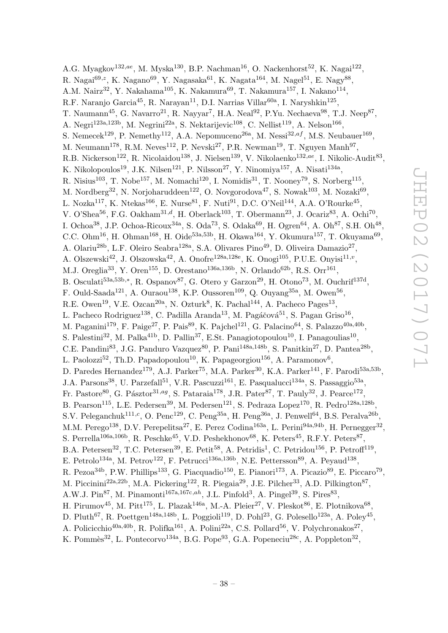A.G. Myagkov $^{132,ae}$ , M. Myska $^{130}$ , B.P. Nachman<sup>16</sup>, O. Nackenhorst $^{52}$ , K. Nagai $^{122}$ , R. Nagai $^{69,z}$ , K. Nagano $^{69}$ , Y. Nagasaka $^{61}$ , K. Nagata $^{164}$ , M. Nagel $^{51}$ , E. Nagy $^{88}$ , A.M. Nairz<sup>32</sup>, Y. Nakahama<sup>105</sup>, K. Nakamura<sup>69</sup>, T. Nakamura<sup>157</sup>, I. Nakano<sup>114</sup>, R.F. Naranjo Garcia<sup>45</sup>, R. Narayan<sup>11</sup>, D.I. Narrias Villar<sup>60a</sup>, I. Naryshkin<sup>125</sup>, T. Naumann<sup>45</sup>, G. Navarro<sup>21</sup>, R. Nayyar<sup>7</sup>, H.A. Neal<sup>92</sup>, P.Yu. Nechaeva<sup>98</sup>, T.J. Neep<sup>87</sup>, A. Negri $^{123a,123b}$ , M. Negrini $^{22a}$ , S. Nektarijevic $^{108}$ , C. Nellist $^{119}$ , A. Nelson $^{166}$ , S. Nemecek<sup>129</sup>, P. Nemethy<sup>112</sup>, A.A. Nepomuceno<sup>26a</sup>, M. Nessi<sup>32,af</sup>, M.S. Neubauer<sup>169</sup>, M. Neumann $^{178}$ , R.M. Neves $^{112}$ , P. Nevski $^{27}$ , P.R. Newman $^{19}$ , T. Nguyen Manh $^{97}$ , R.B. Nickerson<sup>122</sup>, R. Nicolaidou<sup>138</sup>, J. Nielsen<sup>139</sup>, V. Nikolaenko<sup>132,ae</sup>, I. Nikolic-Audit<sup>83</sup>, K. Nikolopoulos<sup>19</sup>, J.K. Nilsen<sup>121</sup>, P. Nilsson<sup>27</sup>, Y. Ninomiya<sup>157</sup>, A. Nisati<sup>134a</sup>, R. Nisius<sup>103</sup>, T. Nobe<sup>157</sup>, M. Nomachi<sup>120</sup>, I. Nomidis<sup>31</sup>, T. Nooney<sup>79</sup>, S. Norberg<sup>115</sup>, M. Nordberg<sup>32</sup>, N. Norjoharuddeen<sup>122</sup>, O. Novgorodova<sup>47</sup>, S. Nowak<sup>103</sup>, M. Nozaki<sup>69</sup>, L. Nozka $^{117}$ , K. Ntekas $^{166}$ , E. Nurse $^{81}$ , F. Nuti $^{91}$ , D.C. O'Neil $^{144}$ , A.A. O'Rourke $^{45}$ , V. O'Shea<sup>56</sup>, F.G. Oakham<sup>31,d</sup>, H. Oberlack<sup>103</sup>, T. Obermann<sup>23</sup>, J. Ocariz<sup>83</sup>, A. Ochi<sup>70</sup>, I. Ochoa<sup>38</sup>, J.P. Ochoa-Ricoux<sup>34a</sup>, S. Oda<sup>73</sup>, S. Odaka<sup>69</sup>, H. Ogren<sup>64</sup>, A. Oh<sup>87</sup>, S.H. Oh<sup>48</sup>, C.C. Ohm<sup>16</sup>, H. Ohman<sup>168</sup>, H. Oide<sup>53a,53b</sup>, H. Okawa<sup>164</sup>, Y. Okumura<sup>157</sup>, T. Okuyama<sup>69</sup>, A. Olariu<sup>28b</sup>, L.F. Oleiro Seabra<sup>128a</sup>, S.A. Olivares Pino<sup>49</sup>, D. Oliveira Damazio<sup>27</sup>, A. Olszewski<sup>42</sup>, J. Olszowska<sup>42</sup>, A. Onofre<sup>128a,128e</sup>, K. Onogi<sup>105</sup>, P.U.E. Onyisi<sup>11,*v*</sup>, M.J. Oreglia<sup>33</sup>, Y. Oren<sup>155</sup>, D. Orestano<sup>136a,136b</sup>, N. Orlando<sup>62b</sup>, R.S. Orr<sup>161</sup>, B. Osculati<sup>53a,53b,\*</sup>, R. Ospanov<sup>87</sup>, G. Otero y Garzon<sup>29</sup>, H. Otono<sup>73</sup>, M. Ouchrif<sup>137d</sup>, F. Ould-Saada<sup>121</sup>, A. Ouraou<sup>138</sup>, K.P. Oussoren<sup>109</sup>, Q. Ouyang<sup>35a</sup>, M. Owen<sup>56</sup>, R.E. Owen<sup>19</sup>, V.E. Ozcan<sup>20a</sup>, N. Ozturk<sup>8</sup>, K. Pachal<sup>144</sup>, A. Pacheco Pages<sup>13</sup>, L. Pacheco Rodriguez<sup>138</sup>, C. Padilla Aranda<sup>13</sup>, M. Pagáčová<sup>51</sup>, S. Pagan Griso<sup>16</sup>, M. Paganini<sup>179</sup>, F. Paige<sup>27</sup>, P. Pais<sup>89</sup>, K. Pajchel<sup>121</sup>, G. Palacino<sup>64</sup>, S. Palazzo<sup>40a,40b</sup>, S. Palestini<sup>32</sup>, M. Palka<sup>41b</sup>, D. Pallin<sup>37</sup>, E.St. Panagiotopoulou<sup>10</sup>, I. Panagoulias<sup>10</sup>, C.E. Pandini<sup>83</sup>, J.G. Panduro Vazquez<sup>80</sup>, P. Pani<sup>148a,148b</sup>, S. Panitkin<sup>27</sup>, D. Pantea<sup>28b</sup>, L. Paolozzi<sup>52</sup>, Th.D. Papadopoulou<sup>10</sup>, K. Papageorgiou<sup>156</sup>, A. Paramonov<sup>6</sup>, D. Paredes Hernandez<sup>179</sup>, A.J. Parker<sup>75</sup>, M.A. Parker<sup>30</sup>, K.A. Parker<sup>141</sup>, F. Parodi<sup>53a,53b</sup>, J.A. Parsons<sup>38</sup>, U. Parzefall<sup>51</sup>, V.R. Pascuzzi<sup>161</sup>, E. Pasqualucci<sup>134a</sup>, S. Passaggio<sup>53a</sup>, Fr. Pastore $^{80}$ , G. Pásztor $^{31,ag}$ , S. Pataraia $^{178}$ , J.R. Pater $^{87}$ , T. Pauly $^{32}$ , J. Pearce $^{172}$ , B. Pearson<sup>115</sup>, L.E. Pedersen<sup>39</sup>, M. Pedersen<sup>121</sup>, S. Pedraza Lopez<sup>170</sup>, R. Pedro<sup>128a,128b</sup>, S.V. Peleganchuk<sup>111,c</sup>, O. Penc<sup>129</sup>, C. Peng<sup>35a</sup>, H. Peng<sup>36a</sup>, J. Penwell<sup>64</sup>, B.S. Peralva<sup>26b</sup>, M.M. Perego<sup>138</sup>, D.V. Perepelitsa<sup>27</sup>, E. Perez Codina<sup>163a</sup>, L. Perini<sup>94a,94b</sup>, H. Pernegger<sup>32</sup>, S. Perrella<sup>106a,106b</sup>, R. Peschke<sup>45</sup>, V.D. Peshekhonov<sup>68</sup>, K. Peters<sup>45</sup>, R.F.Y. Peters<sup>87</sup>, B.A. Petersen<sup>32</sup>, T.C. Petersen<sup>39</sup>, E. Petit<sup>58</sup>, A. Petridis<sup>1</sup>, C. Petridou<sup>156</sup>, P. Petroff<sup>119</sup>, E. Petrolo<sup>134a</sup>, M. Petrov<sup>122</sup>, F. Petrucci<sup>136a,136b</sup>, N.E. Pettersson<sup>89</sup>, A. Peyaud<sup>138</sup>, R. Pezoa<sup>34b</sup>, P.W. Phillips<sup>133</sup>, G. Piacquadio<sup>150</sup>, E. Pianori<sup>173</sup>, A. Picazio<sup>89</sup>, E. Piccaro<sup>79</sup>, M. Piccinini<sup>22a,22b</sup>, M.A. Pickering<sup>122</sup>, R. Piegaia<sup>29</sup>, J.E. Pilcher<sup>33</sup>, A.D. Pilkington<sup>87</sup>, A.W.J. Pin<sup>87</sup>, M. Pinamonti<sup>167a,167c,ah</sup>, J.L. Pinfold<sup>3</sup>, A. Pingel<sup>39</sup>, S. Pires<sup>83</sup>, H. Pirumov<sup>45</sup>, M. Pitt<sup>175</sup>, L. Plazak<sup>146a</sup>, M.-A. Pleier<sup>27</sup>, V. Pleskot<sup>86</sup>, E. Plotnikova<sup>68</sup>, D. Pluth<sup>67</sup>, R. Poettgen<sup>148a,148b</sup>, L. Poggioli<sup>119</sup>, D. Pohl<sup>23</sup>, G. Polesello<sup>123a</sup>, A. Poley<sup>45</sup>, A. Policicchio<sup>40a,40b</sup>, R. Polifka<sup>161</sup>, A. Polini<sup>22a</sup>, C.S. Pollard<sup>56</sup>, V. Polychronakos<sup>27</sup>, K. Pommès<sup>32</sup>, L. Pontecorvo<sup>134a</sup>, B.G. Pope<sup>93</sup>, G.A. Popeneciu<sup>28c</sup>, A. Poppleton<sup>32</sup>,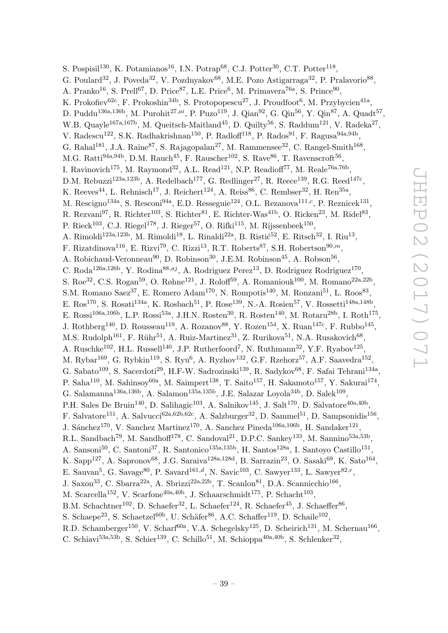S. Pospisil<sup>130</sup>, K. Potamianos<sup>16</sup>, I.N. Potrap<sup>68</sup>, C.J. Potter<sup>30</sup>, C.T. Potter<sup>118</sup>, G. Poulard<sup>32</sup>, J. Poveda<sup>32</sup>, V. Pozdnyakov<sup>68</sup>, M.E. Pozo Astigarraga<sup>32</sup>, P. Pralavorio<sup>88</sup>, A. Pranko<sup>16</sup>, S. Prell<sup>67</sup>, D. Price<sup>87</sup>, L.E. Price<sup>6</sup>, M. Primavera<sup>76a</sup>, S. Prince<sup>90</sup>, K. Prokofiev<sup>62c</sup>, F. Prokoshin<sup>34b</sup>, S. Protopopescu<sup>27</sup>, J. Proudfoot<sup>6</sup>, M. Przybycien<sup>41a</sup>, D. Puddu<sup>136a,136b</sup>, M. Purohit<sup>27,ai</sup>, P. Puzo<sup>119</sup>, J. Qian<sup>92</sup>, G. Qin<sup>56</sup>, Y. Qin<sup>87</sup>, A. Quadt<sup>57</sup>, W.B. Quayle<sup>167a,167b</sup>, M. Queitsch-Maitland<sup>45</sup>, D. Quilty<sup>56</sup>, S. Raddum<sup>121</sup>, V. Radeka<sup>27</sup>, V. Radescu<sup>122</sup>, S.K. Radhakrishnan<sup>150</sup>, P. Radloff<sup>118</sup>, P. Rados<sup>91</sup>, F. Ragusa<sup>94a,94b</sup>, G. Rahal<sup>181</sup>, J.A. Raine<sup>87</sup>, S. Rajagopalan<sup>27</sup>, M. Rammensee<sup>32</sup>, C. Rangel-Smith<sup>168</sup>, M.G. Ratti<sup>94a,94b</sup>, D.M. Rauch<sup>45</sup>, F. Rauscher<sup>102</sup>, S. Rave<sup>86</sup>, T. Ravenscroft<sup>56</sup>, I. Ravinovich<sup>175</sup>, M. Raymond<sup>32</sup>, A.L. Read<sup>121</sup>, N.P. Readioff<sup>77</sup>, M. Reale<sup>76a,76b</sup>, D.M. Rebuzzi<sup>123a,123b</sup>, A. Redelbach<sup>177</sup>, G. Redlinger<sup>27</sup>, R. Reece<sup>139</sup>, R.G. Reed<sup>147c</sup>, K. Reeves<sup>44</sup>, L. Rehnisch<sup>17</sup>, J. Reichert<sup>124</sup>, A. Reiss<sup>86</sup>, C. Rembser<sup>32</sup>, H. Ren<sup>35a</sup>, M. Rescigno<sup>134a</sup>, S. Resconi<sup>94a</sup>, E.D. Resseguie<sup>124</sup>, O.L. Rezanova<sup>111,c</sup>, P. Reznicek<sup>131</sup>, R. Rezvani $^{97}$ , R. Richter $^{103}$ , S. Richter $^{81}$ , E. Richter-Was $^{41b}$ , O. Ricken $^{23}$ , M. Ridel $^{83}$ , P. Rieck $^{103}$ , C.J. Riegel $^{178}$ , J. Rieger $^{57}$ , O. Rifki $^{115}$ , M. Rijssenbeek $^{150}$ , A. Rimoldi<sup>123a,123b</sup>, M. Rimoldi<sup>18</sup>, L. Rinaldi<sup>22a</sup>, B. Ristić<sup>52</sup>, E. Ritsch<sup>32</sup>, I. Riu<sup>13</sup>, F. Rizatdinova<sup>116</sup>, E. Rizvi<sup>79</sup>, C. Rizzi<sup>13</sup>, R.T. Roberts<sup>87</sup>, S.H. Robertson<sup>90,*m*</sup>, A. Robichaud-Veronneau<sup>90</sup>, D. Robinson<sup>30</sup>, J.E.M. Robinson<sup>45</sup>, A. Robson<sup>56</sup>, C. Roda<sup>126a,126b</sup>, Y. Rodina<sup>88,aj</sup>, A. Rodriguez Perez<sup>13</sup>, D. Rodriguez Rodriguez<sup>170</sup>, S. Roe<sup>32</sup>, C.S. Rogan<sup>59</sup>, O. Røhne<sup>121</sup>, J. Roloff<sup>59</sup>, A. Romaniouk<sup>100</sup>, M. Romano<sup>22a,22b</sup>, S.M. Romano Saez<sup>37</sup>, E. Romero Adam<sup>170</sup>, N. Rompotis<sup>140</sup>, M. Ronzani<sup>51</sup>, L. Roos<sup>83</sup>, E. Ros<sup>170</sup>, S. Rosati<sup>134a</sup>, K. Rosbach<sup>51</sup>, P. Rose<sup>139</sup>, N.-A. Rosien<sup>57</sup>, V. Rossetti<sup>148a,148b</sup>, E. Rossi<sup>106a,106b</sup>, L.P. Rossi<sup>53a</sup>, J.H.N. Rosten<sup>30</sup>, R. Rosten<sup>140</sup>, M. Rotaru<sup>28b</sup>, I. Roth<sup>175</sup>, J. Rothberg<sup>140</sup>, D. Rousseau<sup>119</sup>, A. Rozanov<sup>88</sup>, Y. Rozen<sup>154</sup>, X. Ruan<sup>147c</sup>, F. Rubbo<sup>145</sup>, M.S. Rudolph<sup>161</sup>, F. Rühr<sup>51</sup>, A. Ruiz-Martinez<sup>31</sup>, Z. Rurikova<sup>51</sup>, N.A. Rusakovich<sup>68</sup>, A. Ruschke<sup>102</sup>, H.L. Russell<sup>140</sup>, J.P. Rutherfoord<sup>7</sup>, N. Ruthmann<sup>32</sup>, Y.F. Ryabov<sup>125</sup>, M. Rybar<sup>169</sup>, G. Rybkin<sup>119</sup>, S. Ryu<sup>6</sup>, A. Ryzhov<sup>132</sup>, G.F. Rzehorz<sup>57</sup>, A.F. Saavedra<sup>152</sup>, G. Sabato<sup>109</sup>, S. Sacerdoti<sup>29</sup>, H.F-W. Sadrozinski<sup>139</sup>, R. Sadykov<sup>68</sup>, F. Safai Tehrani<sup>134a</sup>, P. Saha<sup>110</sup>, M. Sahinsoy<sup>60a</sup>, M. Saimpert<sup>138</sup>, T. Saito<sup>157</sup>, H. Sakamoto<sup>157</sup>, Y. Sakurai<sup>174</sup>, G. Salamanna<sup>136a,136b</sup>, A. Salamon<sup>135a,135b</sup>, J.E. Salazar Loyola<sup>34b</sup>, D. Salek<sup>109</sup>, P.H. Sales De Bruin<sup>140</sup>, D. Salihagic<sup>103</sup>, A. Salnikov<sup>145</sup>, J. Salt<sup>170</sup>, D. Salvatore<sup>40a,40b</sup>, F. Salvatore<sup>151</sup>, A. Salvucci<sup>62a,62b,62c</sup>, A. Salzburger<sup>32</sup>, D. Sammel<sup>51</sup>, D. Sampsonidis<sup>156</sup>, J. Sánchez<sup>170</sup>, V. Sanchez Martinez<sup>170</sup>, A. Sanchez Pineda<sup>106a,106b</sup>, H. Sandaker<sup>121</sup>, R.L. Sandbach<sup>79</sup>, M. Sandhoff<sup>178</sup>, C. Sandoval<sup>21</sup>, D.P.C. Sankey<sup>133</sup>, M. Sannino<sup>53a,53b</sup>, A. Sansoni<sup>50</sup>, C. Santoni<sup>37</sup>, R. Santonico<sup>135a,135b</sup>, H. Santos<sup>128a</sup>, I. Santoyo Castillo<sup>151</sup>, K. Sapp<sup>127</sup>, A. Sapronov<sup>68</sup>, J.G. Saraiva<sup>128a,128d</sup>, B. Sarrazin<sup>23</sup>, O. Sasaki<sup>69</sup>, K. Sato<sup>164</sup>, E. Sauvan<sup>5</sup>, G. Savage<sup>80</sup>, P. Savard<sup>161,d</sup>, N. Savic<sup>103</sup>, C. Sawyer<sup>133</sup>, L. Sawyer<sup>82,r</sup>, J. Saxon<sup>33</sup>, C. Sbarra<sup>22a</sup>, A. Sbrizzi<sup>22a,22b</sup>, T. Scanlon<sup>81</sup>, D.A. Scannicchio<sup>166</sup>, M. Scarcella<sup>152</sup>, V. Scarfone<sup>40a,40b</sup>, J. Schaarschmidt<sup>175</sup>, P. Schacht<sup>103</sup>, B.M. Schachtner<sup>102</sup>, D. Schaefer<sup>32</sup>, L. Schaefer<sup>124</sup>, R. Schaefer<sup>45</sup>, J. Schaeffer<sup>86</sup>, S. Schaepe<sup>23</sup>, S. Schaetzel<sup>60b</sup>, U. Schäfer<sup>86</sup>, A.C. Schaffer<sup>119</sup>, D. Schaile<sup>102</sup>, R.D. Schamberger<sup>150</sup>, V. Scharf<sup>60a</sup>, V.A. Schegelsky<sup>125</sup>, D. Scheirich<sup>131</sup>, M. Schernau<sup>166</sup>,

C. Schiavi<sup>53a,53b</sup>, S. Schier<sup>139</sup>, C. Schillo<sup>51</sup>, M. Schioppa<sup>40a,40b</sup>, S. Schlenker<sup>32</sup>,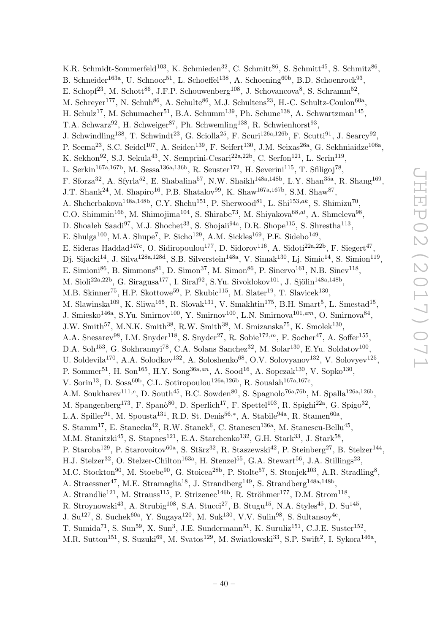K.R. Schmidt-Sommerfeld<sup>103</sup>, K. Schmieden<sup>32</sup>, C. Schmitt<sup>86</sup>, S. Schmitt<sup>45</sup>, S. Schmitz<sup>86</sup>, B. Schneider<sup>163a</sup>, U. Schnoor<sup>51</sup>, L. Schoeffel<sup>138</sup>, A. Schoening<sup>60b</sup>, B.D. Schoenrock<sup>93</sup>, E. Schopf<sup>23</sup>, M. Schott<sup>86</sup>, J.F.P. Schouwenberg<sup>108</sup>, J. Schovancova<sup>8</sup>, S. Schramm<sup>52</sup>, M. Schreyer<sup>177</sup>, N. Schuh<sup>86</sup>, A. Schulte<sup>86</sup>, M.J. Schultens<sup>23</sup>, H.-C. Schultz-Coulon<sup>60a</sup>, H. Schulz<sup>17</sup>, M. Schumacher<sup>51</sup>, B.A. Schumm<sup>139</sup>, Ph. Schune<sup>138</sup>, A. Schwartzman<sup>145</sup>, T.A. Schwarz<sup>92</sup>, H. Schweiger<sup>87</sup>, Ph. Schwemling<sup>138</sup>, R. Schwienhorst<sup>93</sup>, J. Schwindling<sup>138</sup>, T. Schwindt<sup>23</sup>, G. Sciolla<sup>25</sup>, F. Scuri<sup>126a,126b</sup>, F. Scutti<sup>91</sup>, J. Searcy<sup>92</sup>, P. Seema<sup>23</sup>, S.C. Seidel<sup>107</sup>, A. Seiden<sup>139</sup>, F. Seifert<sup>130</sup>, J.M. Seixas<sup>26a</sup>, G. Sekhniaidze<sup>106a</sup>, K. Sekhon<sup>92</sup>, S.J. Sekula<sup>43</sup>, N. Semprini-Cesari<sup>22a,22b</sup>, C. Serfon<sup>121</sup>, L. Serin<sup>119</sup>, L. Serkin<sup>167a,167b</sup>, M. Sessa<sup>136a,136b</sup>, R. Seuster<sup>172</sup>, H. Severini<sup>115</sup>, T. Sfiligoj<sup>78</sup>, F. Sforza<sup>32</sup>, A. Sfyrla<sup>52</sup>, E. Shabalina<sup>57</sup>, N.W. Shaikh<sup>148a,148b</sup>, L.Y. Shan<sup>35a</sup>, R. Shang<sup>169</sup>, J.T. Shank<sup>24</sup>, M. Shapiro<sup>16</sup>, P.B. Shatalov<sup>99</sup>, K. Shaw<sup>167a,167b</sup>, S.M. Shaw<sup>87</sup>, A. Shcherbakova<sup>148a,148b</sup>, C.Y. Shehu<sup>151</sup>, P. Sherwood<sup>81</sup>, L. Shi<sup>153,ak</sup>, S. Shimizu<sup>70</sup>, C.O. Shimmin<sup>166</sup>, M. Shimojima<sup>104</sup>, S. Shirabe<sup>73</sup>, M. Shiyakova<sup>68,*al*</sup>, A. Shmeleva<sup>98</sup>, D. Shoaleh Saadi $^{97}$ , M.J. Shochet<sup>33</sup>, S. Shojaii<sup>94a</sup>, D.R. Shope<sup>115</sup>, S. Shrestha<sup>113</sup>, E. Shulga<sup>100</sup>, M.A. Shupe<sup>7</sup>, P. Sicho<sup>129</sup>, A.M. Sickles<sup>169</sup>, P.E. Sidebo<sup>149</sup>, E. Sideras Haddad<sup>147c</sup>, O. Sidiropoulou<sup>177</sup>, D. Sidorov<sup>116</sup>, A. Sidoti<sup>22a,22b</sup>, F. Siegert<sup>47</sup>, Dj. Sijacki<sup>14</sup>, J. Silva<sup>128a,128d</sup>, S.B. Silverstein<sup>148a</sup>, V. Simak<sup>130</sup>, Lj. Simic<sup>14</sup>, S. Simion<sup>119</sup>, E. Simioni<sup>86</sup>, B. Simmons<sup>81</sup>, D. Simon<sup>37</sup>, M. Simon<sup>86</sup>, P. Sinervo<sup>161</sup>, N.B. Sinev<sup>118</sup>, M. Sioli $^{22a,22b}$ , G. Siragusa $^{177}$ , I. Siral $^{92}$ , S.Yu. Sivoklokov $^{101}$ , J. Sjölin $^{148a,148b}$ , M.B. Skinner<sup>75</sup>, H.P. Skottowe<sup>59</sup>, P. Skubic<sup>115</sup>, M. Slater<sup>19</sup>, T. Slavicek<sup>130</sup>, M. Slawinska<sup>109</sup>, K. Sliwa<sup>165</sup>, R. Slovak<sup>131</sup>, V. Smakhtin<sup>175</sup>, B.H. Smart<sup>5</sup>, L. Smestad<sup>15</sup>, J. Smiesko<sup>146a</sup>, S.Yu. Smirnov<sup>100</sup>, Y. Smirnov<sup>100</sup>, L.N. Smirnova<sup>101,am</sup>, O. Smirnova<sup>84</sup>,  $J.W. Smith<sup>57</sup>, M.N.K. Smith<sup>38</sup>, R.W. Smith<sup>38</sup>, M. Smixanska<sup>75</sup>, K. Smolek<sup>130</sup>,$ A.A. Snesarev<sup>98</sup>, I.M. Snyder<sup>118</sup>, S. Snyder<sup>27</sup>, R. Sobie<sup>172,*m*</sup>, F. Socher<sup>47</sup>, A. Soffer<sup>155</sup>, D.A. Soh<sup>153</sup>, G. Sokhrannyi<sup>78</sup>, C.A. Solans Sanchez<sup>32</sup>, M. Solar<sup>130</sup>, E.Yu. Soldatov<sup>100</sup>, U. Soldevila<sup>170</sup>, A.A. Solodkov<sup>132</sup>, A. Soloshenko<sup>68</sup>, O.V. Solovyanov<sup>132</sup>, V. Solovyev<sup>125</sup>, P. Sommer<sup>51</sup>, H. Son<sup>165</sup>, H.Y. Song<sup>36a,an</sup>, A. Sood<sup>16</sup>, A. Sopczak<sup>130</sup>, V. Sopko<sup>130</sup>, V. Sorin<sup>13</sup>, D. Sosa<sup>60b</sup>, C.L. Sotiropoulou<sup>126a,126b</sup>, R. Soualah<sup>167a,167c</sup>, A.M. Soukharev<sup>111,c</sup>, D. South<sup>45</sup>, B.C. Sowden<sup>80</sup>, S. Spagnolo<sup>76a,76b</sup>, M. Spalla<sup>126a,126b</sup>, M. Spangenberg<sup>173</sup>, F. Spanò<sup>80</sup>, D. Sperlich<sup>17</sup>, F. Spettel<sup>103</sup>, R. Spighi<sup>22a</sup>, G. Spigo<sup>32</sup>, L.A. Spiller<sup>91</sup>, M. Spousta<sup>131</sup>, R.D. St. Denis<sup>56,\*</sup>, A. Stabile<sup>94a</sup>, R. Stamen<sup>60a</sup>, S. Stamm<sup>17</sup>, E. Stanecka<sup>42</sup>, R.W. Stanek<sup>6</sup>, C. Stanescu<sup>136a</sup>, M. Stanescu-Bellu<sup>45</sup>, M.M. Stanitzki<sup>45</sup>, S. Stapnes<sup>121</sup>, E.A. Starchenko<sup>132</sup>, G.H. Stark<sup>33</sup>, J. Stark<sup>58</sup>, P. Staroba<sup>129</sup>, P. Starovoitov<sup>60a</sup>, S. Stärz<sup>32</sup>, R. Staszewski<sup>42</sup>, P. Steinberg<sup>27</sup>, B. Stelzer<sup>144</sup>, H.J. Stelzer<sup>32</sup>, O. Stelzer-Chilton<sup>163a</sup>, H. Stenzel<sup>55</sup>, G.A. Stewart<sup>56</sup>, J.A. Stillings<sup>23</sup>, M.C. Stockton<sup>90</sup>, M. Stoebe<sup>90</sup>, G. Stoicea<sup>28b</sup>, P. Stolte<sup>57</sup>, S. Stonjek<sup>103</sup>, A.R. Stradling<sup>8</sup>, A. Straessner<sup>47</sup>, M.E. Stramaglia<sup>18</sup>, J. Strandberg<sup>149</sup>, S. Strandberg<sup>148a,148b</sup>, A. Strandlie<sup>121</sup>, M. Strauss<sup>115</sup>, P. Strizenec<sup>146b</sup>, R. Ströhmer<sup>177</sup>, D.M. Strom<sup>118</sup>, R. Stroynowski<sup>43</sup>, A. Strubig<sup>108</sup>, S.A. Stucci<sup>27</sup>, B. Stugu<sup>15</sup>, N.A. Styles<sup>45</sup>, D. Su<sup>145</sup>, J. Su<sup>127</sup>, S. Suchek<sup>60a</sup>, Y. Sugaya<sup>120</sup>, M. Suk<sup>130</sup>, V.V. Sulin<sup>98</sup>, S. Sultansoy<sup>4c</sup>, T. Sumida<sup>71</sup>, S. Sun<sup>59</sup>, X. Sun<sup>3</sup>, J.E. Sundermann<sup>51</sup>, K. Suruliz<sup>151</sup>, C.J.E. Suster<sup>152</sup>,

M.R. Sutton<sup>151</sup>, S. Suzuki<sup>69</sup>, M. Svatos<sup>129</sup>, M. Swiatlowski<sup>33</sup>, S.P. Swift<sup>2</sup>, I. Sykora<sup>146a</sup>,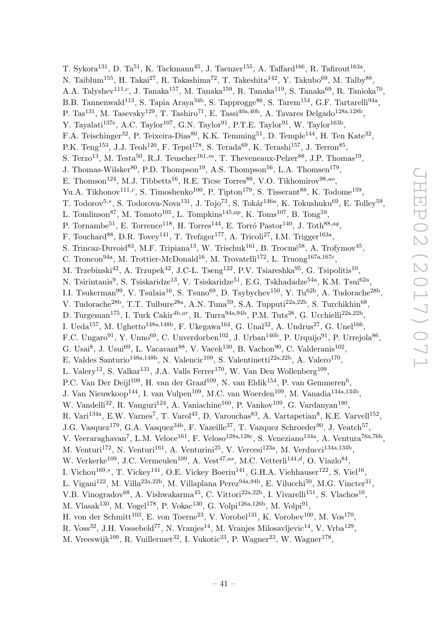T. Sykora $^{131}$ , D. Ta $^{51}$ , K. Tackmann $^{45}$ , J. Taenzer $^{155}$ , A. Taffard $^{166}$ , R. Tafirout $^{163a}$ , N. Taiblum<sup>155</sup>, H. Takai<sup>27</sup>, R. Takashima<sup>72</sup>, T. Takeshita<sup>142</sup>, Y. Takubo<sup>69</sup>, M. Talby<sup>88</sup>, A.A. Talyshev $^{111,c}$ , J. Tanaka $^{157}$ , M. Tanaka $^{159}$ , R. Tanaka $^{119}$ , S. Tanaka $^{69}$ , R. Tanioka $^{70}$ , B.B. Tannenwald<sup>113</sup>, S. Tapia Araya<sup>34b</sup>, S. Tapprogge<sup>86</sup>, S. Tarem<sup>154</sup>, G.F. Tartarelli<sup>94a</sup>, P. Tas<sup>131</sup>, M. Tasevsky<sup>129</sup>, T. Tashiro<sup>71</sup>, E. Tassi<sup>40a,40b</sup>, A. Tavares Delgado<sup>128a,128b</sup>, Y. Tayalati<sup>137e</sup>, A.C. Taylor<sup>107</sup>, G.N. Taylor<sup>91</sup>, P.T.E. Taylor<sup>91</sup>, W. Taylor<sup>163b</sup>, F.A. Teischinger<sup>32</sup>, P. Teixeira-Dias<sup>80</sup>, K.K. Temming<sup>51</sup>, D. Temple<sup>144</sup>, H. Ten Kate<sup>32</sup>, P.K. Teng<sup>153</sup>, J.J. Teoh<sup>120</sup>, F. Tepel<sup>178</sup>, S. Terada<sup>69</sup>, K. Terashi<sup>157</sup>, J. Terron<sup>85</sup>, S. Terzo<sup>13</sup>, M. Testa<sup>50</sup>, R.J. Teuscher<sup>161,m</sup>, T. Theveneaux-Pelzer<sup>88</sup>, J.P. Thomas<sup>19</sup>, J. Thomas-Wilsker<sup>80</sup>, P.D. Thompson<sup>19</sup>, A.S. Thompson<sup>56</sup>, L.A. Thomsen<sup>179</sup>, E. Thomson<sup>124</sup>, M.J. Tibbetts<sup>16</sup>, R.E. Ticse Torres<sup>88</sup>, V.O. Tikhomirov<sup>98,ao</sup>, Yu.A. Tikhonov<sup>111,c</sup>, S. Timoshenko<sup>100</sup>, P. Tipton<sup>179</sup>, S. Tisserant<sup>88</sup>, K. Todome<sup>159</sup>, T. Todorov<sup>5,\*</sup>, S. Todorova-Nova<sup>131</sup>, J. Tojo<sup>73</sup>, S. Tokár<sup>146a</sup>, K. Tokushuku<sup>69</sup>, E. Tolley<sup>59</sup>, L. Tomlinson<sup>87</sup>, M. Tomoto<sup>105</sup>, L. Tompkins<sup>145,ap</sup>, K. Toms<sup>107</sup>, B. Tong<sup>59</sup>, P. Tornambe<sup>51</sup>, E. Torrence<sup>118</sup>, H. Torres<sup>144</sup>, E. Torró Pastor<sup>140</sup>, J. Toth<sup>88,aq</sup>, F. Touchard<sup>88</sup>, D.R. Tovey<sup>141</sup>, T. Trefzger<sup>177</sup>, A. Tricoli<sup>27</sup>, I.M. Trigger<sup>163a</sup>, S. Trincaz-Duvoid<sup>83</sup>, M.F. Tripiana<sup>13</sup>, W. Trischuk<sup>161</sup>, B. Trocmé<sup>58</sup>, A. Trofymov<sup>45</sup>, C. Troncon<sup>94a</sup>, M. Trottier-McDonald<sup>16</sup>, M. Trovatelli<sup>172</sup>, L. Truong<sup>167a,167c</sup>, M. Trzebinski<sup>42</sup>, A. Trzupek<sup>42</sup>, J.C-L. Tseng<sup>122</sup>, P.V. Tsiareshka<sup>95</sup>, G. Tsipolitis<sup>10</sup>, N. Tsirintanis<sup>9</sup>, S. Tsiskaridze<sup>13</sup>, V. Tsiskaridze<sup>51</sup>, E.G. Tskhadadze<sup>54a</sup>, K.M. Tsui<sup>62a</sup>, I.I. Tsukerman<sup>99</sup>, V. Tsulaia<sup>16</sup>, S. Tsuno<sup>69</sup>, D. Tsybychev<sup>150</sup>, Y. Tu<sup>62b</sup>, A. Tudorache<sup>28b</sup>, V. Tudorache<sup>28b</sup>, T.T. Tulbure<sup>28a</sup>, A.N. Tuna<sup>59</sup>, S.A. Tupputi<sup>22a,22b</sup>, S. Turchikhin<sup>68</sup>, D. Turgeman<sup>175</sup>, I. Turk Cakir<sup>4b,ar</sup>, R. Turra<sup>94a,94b</sup>, P.M. Tuts<sup>38</sup>, G. Ucchielli<sup>22a,22b</sup>, I. Ueda<sup>157</sup>, M. Ughetto<sup>148a,148b</sup>, F. Ukegawa<sup>164</sup>, G. Unal<sup>32</sup>, A. Undrus<sup>27</sup>, G. Unel<sup>166</sup>, F.C. Ungaro<sup>91</sup>, Y. Unno<sup>69</sup>, C. Unverdorben<sup>102</sup>, J. Urban<sup>146b</sup>, P. Urquijo<sup>91</sup>, P. Urrejola<sup>86</sup>, G. Usai<sup>8</sup>, J. Usui<sup>69</sup>, L. Vacavant<sup>88</sup>, V. Vacek<sup>130</sup>, B. Vachon<sup>90</sup>, C. Valderanis<sup>102</sup>, E. Valdes Santurio<sup>148a,148b</sup>, N. Valencic<sup>109</sup>, S. Valentinetti<sup>22a,22b</sup>, A. Valero<sup>170</sup>, L. Valery<sup>13</sup>, S. Valkar<sup>131</sup>, J.A. Valls Ferrer<sup>170</sup>, W. Van Den Wollenberg<sup>109</sup>, P.C. Van Der Deijl<sup>109</sup>, H. van der Graaf<sup>109</sup>, N. van Eldik<sup>154</sup>, P. van Gemmeren<sup>6</sup>, J. Van Nieuwkoop<sup>144</sup>, I. van Vulpen<sup>109</sup>, M.C. van Woerden<sup>109</sup>, M. Vanadia<sup>134a,134b</sup>, W. Vandelli<sup>32</sup>, R. Vanguri<sup>124</sup>, A. Vaniachine<sup>160</sup>, P. Vankov<sup>109</sup>, G. Vardanyan<sup>180</sup>, R. Vari<sup>134a</sup>, E.W. Varnes<sup>7</sup>, T. Varol<sup>43</sup>, D. Varouchas<sup>83</sup>, A. Vartapetian<sup>8</sup>, K.E. Varvell<sup>152</sup>, J.G. Vasquez<sup>179</sup>, G.A. Vasquez<sup>34b</sup>, F. Vazeille<sup>37</sup>, T. Vazquez Schroeder<sup>90</sup>, J. Veatch<sup>57</sup>, V. Veeraraghavan<sup>7</sup>, L.M. Veloce<sup>161</sup>, F. Veloso<sup>128a,128c</sup>, S. Veneziano<sup>134a</sup>, A. Ventura<sup>76a,76b</sup>, M. Venturi<sup>172</sup>, N. Venturi<sup>161</sup>, A. Venturini<sup>25</sup>, V. Vercesi<sup>123a</sup>, M. Verducci<sup>134a,134b</sup>, W. Verkerke<sup>109</sup>, J.C. Vermeulen<sup>109</sup>, A. Vest<sup>47,as</sup>, M.C. Vetterli<sup>144,d</sup>, O. Viazlo<sup>84</sup>, I. Vichou<sup>169,\*</sup>, T. Vickey<sup>141</sup>, O.E. Vickey Boeriu<sup>141</sup>, G.H.A. Viehhauser<sup>122</sup>, S. Viel<sup>16</sup>, L. Vigani<sup>122</sup>, M. Villa<sup>22a,22b</sup>, M. Villaplana Perez<sup>94a,94b</sup>, E. Vilucchi<sup>50</sup>, M.G. Vincter<sup>31</sup>, V.B. Vinogradov<sup>68</sup>, A. Vishwakarma<sup>45</sup>, C. Vittori<sup>22a,22b</sup>, I. Vivarelli<sup>151</sup>, S. Vlachos<sup>10</sup>, M. Vlasak $^{130}$ , M. Vogel $^{178}$ , P. Vokac $^{130}$ , G. Volpi $^{126a,126b}$ , M. Volpi $^{91}$ , H. von der Schmitt<sup>103</sup>, E. von Toerne<sup>23</sup>, V. Vorobel<sup>131</sup>, K. Vorobev<sup>100</sup>, M. Vos<sup>170</sup>, R. Voss<sup>32</sup>, J.H. Vossebeld<sup>77</sup>, N. Vranjes<sup>14</sup>, M. Vranjes Milosavljevic<sup>14</sup>, V. Vrba<sup>129</sup>,

M. Vreeswijk $^{109}$ , R. Vuillermet $^{32}$ , I. Vukotic $^{33}$ , P. Wagner $^{23}$ , W. Wagner $^{178}$ ,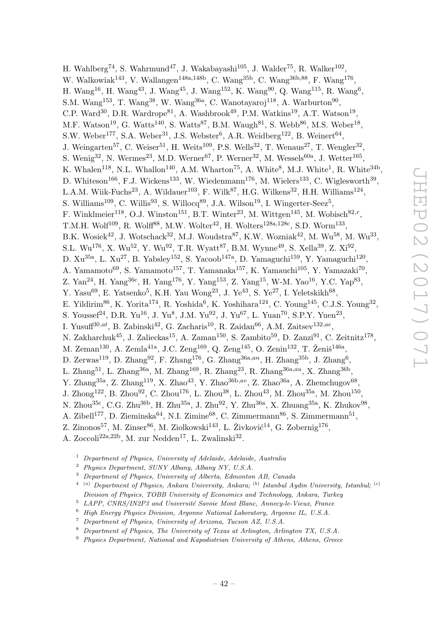H. Wahlberg<sup>74</sup>, S. Wahrmund<sup>47</sup>, J. Wakabayashi<sup>105</sup>, J. Walder<sup>75</sup>, R. Walker<sup>102</sup>, W. Walkowiak<sup>143</sup>, V. Wallangen<sup>148a,148b</sup>, C. Wang<sup>35b</sup>, C. Wang<sup>36b,88</sup>, F. Wang<sup>176</sup>,  $H.$  Wang<sup>16</sup>, H. Wang<sup>43</sup>, J. Wang<sup>45</sup>, J. Wang<sup>152</sup>, K. Wang<sup>90</sup>, Q. Wang<sup>115</sup>, R. Wang<sup>6</sup>, S.M. Wang<sup>153</sup>, T. Wang<sup>38</sup>, W. Wang<sup>36a</sup>, C. Wanotayaroj<sup>118</sup>, A. Warburton<sup>90</sup>, C.P. Ward<sup>30</sup>, D.R. Wardrope<sup>81</sup>, A. Washbrook<sup>49</sup>, P.M. Watkins<sup>19</sup>, A.T. Watson<sup>19</sup>, M.F. Watson<sup>19</sup>, G. Watts<sup>140</sup>, S. Watts<sup>87</sup>, B.M. Waugh<sup>81</sup>, S. Webb<sup>86</sup>, M.S. Weber<sup>18</sup>, S.W. Weber<sup>177</sup>, S.A. Weber<sup>31</sup>, J.S. Webster<sup>6</sup>, A.R. Weidberg<sup>122</sup>, B. Weinert<sup>64</sup>, J. Weingarten<sup>57</sup>, C. Weiser<sup>51</sup>, H. Weits<sup>109</sup>, P.S. Wells<sup>32</sup>, T. Wenaus<sup>27</sup>, T. Wengler<sup>32</sup>, S. Wenig<sup>32</sup>, N. Wermes<sup>23</sup>, M.D. Werner<sup>67</sup>, P. Werner<sup>32</sup>, M. Wessels<sup>60a</sup>, J. Wetter<sup>165</sup>, K. Whalen<sup>118</sup>, N.L. Whallon<sup>140</sup>, A.M. Wharton<sup>75</sup>, A. White<sup>8</sup>, M.J. White<sup>1</sup>, R. White<sup>34b</sup>, D. Whiteson<sup>166</sup>, F.J. Wickens<sup>133</sup>, W. Wiedenmann<sup>176</sup>, M. Wielers<sup>133</sup>, C. Wiglesworth<sup>39</sup>, L.A.M. Wiik-Fuchs<sup>23</sup>, A. Wildauer<sup>103</sup>, F. Wilk<sup>87</sup>, H.G. Wilkens<sup>32</sup>, H.H. Williams<sup>124</sup>, S. Williams<sup>109</sup>, C. Willis<sup>93</sup>, S. Willocq<sup>89</sup>, J.A. Wilson<sup>19</sup>, I. Wingerter-Seez<sup>5</sup>, F. Winklmeier<sup>118</sup>, O.J. Winston<sup>151</sup>, B.T. Winter<sup>23</sup>, M. Wittgen<sup>145</sup>, M. Wobisch<sup>82,r</sup>, T.M.H. Wolf<sup>109</sup>, R. Wolff<sup>88</sup>, M.W. Wolter<sup>42</sup>, H. Wolters<sup>128a,128c</sup>, S.D. Worm<sup>133</sup>, B.K. Wosiek<sup>42</sup>, J. Wotschack<sup>32</sup>, M.J. Woudstra<sup>87</sup>, K.W. Wozniak<sup>42</sup>, M. Wu<sup>58</sup>, M. Wu<sup>33</sup>, S.L. Wu<sup>176</sup>, X. Wu<sup>52</sup>, Y. Wu<sup>92</sup>, T.R. Wyatt<sup>87</sup>, B.M. Wynne<sup>49</sup>, S. Xella<sup>39</sup>, Z. Xi<sup>92</sup>, D. Xu<sup>35a</sup>, L. Xu<sup>27</sup>, B. Yabsley<sup>152</sup>, S. Yacoob<sup>147a</sup>, D. Yamaguchi<sup>159</sup>, Y. Yamaguchi<sup>120</sup>, A. Yamamoto<sup>69</sup>, S. Yamamoto<sup>157</sup>, T. Yamanaka<sup>157</sup>, K. Yamauchi<sup>105</sup>, Y. Yamazaki<sup>70</sup>, Z. Yan<sup>24</sup>, H. Yang<sup>36c</sup>, H. Yang<sup>176</sup>, Y. Yang<sup>153</sup>, Z. Yang<sup>15</sup>, W-M. Yao<sup>16</sup>, Y.C. Yap<sup>83</sup>, Y. Yasu<sup>69</sup>, E. Yatsenko<sup>5</sup>, K.H. Yau Wong<sup>23</sup>, J. Ye<sup>43</sup>, S. Ye<sup>27</sup>, I. Yeletskikh<sup>68</sup>, E. Yildirim<sup>86</sup>, K. Yorita<sup>174</sup>, R. Yoshida<sup>6</sup>, K. Yoshihara<sup>124</sup>, C. Young<sup>145</sup>, C.J.S. Young<sup>32</sup>, S. Youssef<sup>24</sup>, D.R. Yu<sup>16</sup>, J. Yu<sup>8</sup>, J.M. Yu<sup>92</sup>, J. Yu<sup>67</sup>, L. Yuan<sup>70</sup>, S.P.Y. Yuen<sup>23</sup>, I. Yusuff $^{30,at}$ , B. Zabinski $^{42}$ , G. Zacharis<sup>10</sup>, R. Zaidan $^{66}$ , A.M. Zaitsev $^{132,ae}$ , N. Zakharchuk<sup>45</sup>, J. Zalieckas<sup>15</sup>, A. Zaman<sup>150</sup>, S. Zambito<sup>59</sup>, D. Zanzi<sup>91</sup>, C. Zeitnitz<sup>178</sup>, M. Zeman<sup>130</sup>, A. Zemla<sup>41a</sup>, J.C. Zeng<sup>169</sup>, Q. Zeng<sup>145</sup>, O. Zenin<sup>132</sup>, T. Ženiš<sup>146a</sup>, D. Zerwas<sup>119</sup>, D. Zhang<sup>92</sup>, F. Zhang<sup>176</sup>, G. Zhang<sup>36a,an</sup>, H. Zhang<sup>35b</sup>, J. Zhang<sup>6</sup>, L. Zhang $^{51}$ , L. Zhang $^{36a}$ , M. Zhang $^{169}$ , R. Zhang $^{23}$ , R. Zhang $^{36a,au}$ , X. Zhang $^{36b}$ , Y. Zhang<sup>35a</sup>, Z. Zhang<sup>119</sup>, X. Zhao<sup>43</sup>, Y. Zhao<sup>36b,av</sup>, Z. Zhao<sup>36a</sup>, A. Zhemchugov<sup>68</sup>, J. Zhong<sup>122</sup>, B. Zhou<sup>92</sup>, C. Zhou<sup>176</sup>, L. Zhou<sup>38</sup>, L. Zhou<sup>43</sup>, M. Zhou<sup>35a</sup>, M. Zhou<sup>150</sup>, N. Zhou $^{35c}$ , C.G. Zhu $^{36b}$ , H. Zhu $^{35a}$ , J. Zhu $^{92}$ , Y. Zhu $^{36a}$ , X. Zhuang $^{35a}$ , K. Zhukov $^{98}$ , A. Zibell<sup>177</sup>, D. Zieminska<sup>64</sup>, N.I. Zimine<sup>68</sup>, C. Zimmermann<sup>86</sup>, S. Zimmermann<sup>51</sup>, Z. Zinonos $^{57}$ , M. Zinser $^{86}$ , M. Ziolkowski $^{143}$ , L. Živković $^{14}$ , G. Zobernig $^{176}$ , A. Zoccoli<sup>22a,22b</sup>, M. zur Nedden<sup>17</sup>, L. Zwalinski<sup>32</sup>.

<sup>1</sup> Department of Physics, University of Adelaide, Adelaide, Australia

- <sup>2</sup> Physics Department, SUNY Albany, Albany NY, U.S.A.
- <sup>3</sup> Department of Physics, University of Alberta, Edmonton AB, Canada
- <sup>4</sup> <sup>(a)</sup> Department of Physics, Ankara University, Ankara; <sup>(b)</sup> Istanbul Aydin University, Istanbul; <sup>(c)</sup> Division of Physics, TOBB University of Economics and Technology, Ankara, Turkey
- $5$  LAPP, CNRS/IN2P3 and Université Savoie Mont Blanc, Annecy-le-Vieux, France
- <sup>6</sup> High Energy Physics Division, Argonne National Laboratory, Argonne IL, U.S.A.
- <sup>7</sup> Department of Physics, University of Arizona, Tucson AZ, U.S.A.
- <sup>8</sup> Department of Physics, The University of Texas at Arlington, Arlington TX, U.S.A.
- <sup>9</sup> Physics Department, National and Kapodistrian University of Athens, Athens, Greece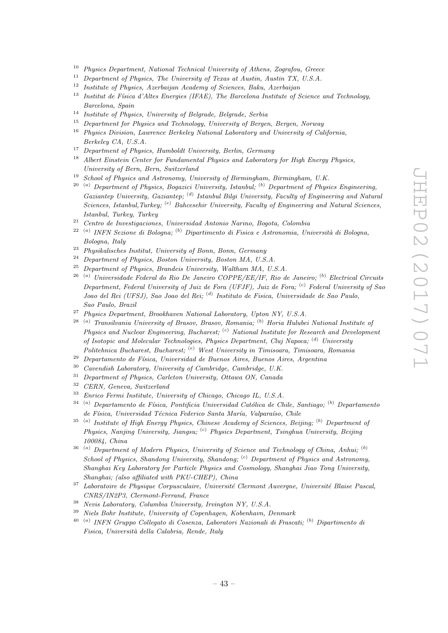- <sup>10</sup> Physics Department, National Technical University of Athens, Zografou, Greece<br><sup>11</sup> Department of Physics, The University of Texas at Austin, Austin, TV, U.S.A.
- <sup>11</sup> Department of Physics, The University of Texas at Austin, Austin TX, U.S.A.<br><sup>12</sup> Institute of Physics, Axerbaian Academy of Sciences, Baky, Axerbaian
- <sup>12</sup> Institute of Physics, Azerbaijan Academy of Sciences, Baku, Azerbaijan
- $13$  Institut de Física d'Altes Energies (IFAE), The Barcelona Institute of Science and Technology, Barcelona, Spain
- $14$  Institute of Physics, University of Belgrade, Belgrade, Serbia
- <sup>15</sup> Department for Physics and Technology, University of Bergen, Bergen, Norway
- $16$  Physics Division, Lawrence Berkeley National Laboratory and University of California, Berkeley CA, U.S.A.
- $17$  Department of Physics, Humboldt University, Berlin, Germany
- <sup>18</sup> Albert Einstein Center for Fundamental Physics and Laboratory for High Energy Physics, University of Bern, Bern, Switzerland
- <sup>19</sup> School of Physics and Astronomy, University of Birmingham, Birmingham, U.K.
- $20$ <sup>(a)</sup> Department of Physics, Bogazici University, Istanbul; <sup>(b)</sup> Department of Physics Engineering, Gaziantep University, Gaziantep; <sup>(d)</sup> Istanbul Bilgi University, Faculty of Engineering and Natural Sciences, Istanbul, Turkey; <sup>(e)</sup> Bahcesehir University, Faculty of Engineering and Natural Sciences, Istanbul, Turkey, Turkey
- <sup>21</sup> Centro de Investigaciones, Universidad Antonio Narino, Bogota, Colombia
- <sup>22 (a</sup>) INFN Sezione di Bologna; <sup>(b</sup>) Dipartimento di Fisica e Astronomia, Università di Bologna, Bologna, Italy
- <sup>23</sup> Physikalisches Institut, University of Bonn, Bonn, Germany<br><sup>24</sup> Department of Physics, Boston University, Boston MA, U.S.
- Department of Physics, Boston University, Boston MA, U.S.A.
- $^{25}$  Department of Physics, Brandeis University, Waltham MA, U.S.A.
- <sup>26 (a)</sup> Universidade Federal do Rio De Janeiro COPPE/EE/IF, Rio de Janeiro; <sup>(b)</sup> Electrical Circuits Department, Federal University of Juiz de Fora (UFJF), Juiz de Fora; <sup>(c)</sup> Federal University of Sao Joao del Rei (UFSJ), Sao Joao del Rei; <sup>(d)</sup> Instituto de Fisica, Universidade de Sao Paulo, Sao Paulo, Brazil
- $27$  Physics Department, Brookhaven National Laboratory, Upton NY, U.S.A.
- <sup>28 (a)</sup> Transilvania University of Brasov, Brasov, Romania; <sup>(b)</sup> Horia Hulubei National Institute of Physics and Nuclear Engineering, Bucharest; <sup>(c)</sup> National Institute for Research and Development of Isotopic and Molecular Technologies, Physics Department, Cluj Napoca;  $^{(d)}$  University Politehnica Bucharest, Bucharest; <sup>(e)</sup> West University in Timisoara, Timisoara, Romania
- <sup>29</sup> Departamento de Física, Universidad de Buenos Aires, Buenos Aires, Argentina<sup>30</sup> Canondish Lehantson, University of Cambridge Cambridge U.K.
- <sup>30</sup> Cavendish Laboratory, University of Cambridge, Cambridge, U.K.
- <sup>31</sup> Department of Physics, Carleton University, Ottawa ON, Canada
- <sup>32</sup> CERN, Geneva, Switzerland
- <sup>33</sup> Enrico Fermi Institute, University of Chicago, Chicago IL, U.S.A.
- $34$ <sup>(a)</sup> Departamento de Física, Pontificia Universidad Católica de Chile, Santiago; <sup>(b)</sup> Departamento de Física, Universidad Técnica Federico Santa María, Valparaíso, Chile
- $35$ <sup>(a)</sup> Institute of High Energy Physics, Chinese Academy of Sciences, Beijing; <sup>(b)</sup> Department of Physics, Nanjing University, Jiangsu; <sup>(c)</sup> Physics Department, Tsinghua University, Beijing 100084, China
- $36$ <sup>(a)</sup> Department of Modern Physics, University of Science and Technology of China, Anhui;<sup>(b)</sup> School of Physics, Shandong University, Shandong;  $(c)$  Department of Physics and Astronomy, Shanghai Key Laboratory for Particle Physics and Cosmology, Shanghai Jiao Tong University, Shanghai; (also affiliated with PKU-CHEP), China
- <sup>37</sup> Laboratoire de Physique Corpusculaire, Université Clermont Auvergne, Université Blaise Pascal, CNRS/IN2P3, Clermont-Ferrand, France
- <sup>38</sup> Nevis Laboratory, Columbia University, Irvington NY, U.S.A.
- <sup>39</sup> Niels Bohr Institute, University of Copenhagen, Kobenhavn, Denmark
- <sup>40</sup> <sup>(a)</sup> INFN Gruppo Collegato di Cosenza, Laboratori Nazionali di Frascati; <sup>(b)</sup> Dipartimento di Fisica, Università della Calabria, Rende, Italy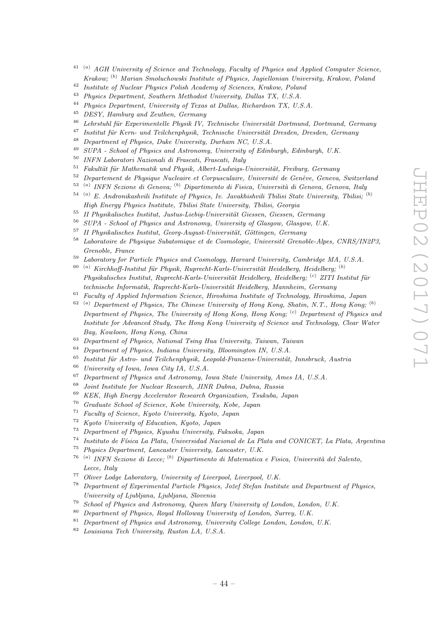- $^{41-(a)}$  AGH University of Science and Technology, Faculty of Physics and Applied Computer Science, Krakow; <sup>(b)</sup> Marian Smoluchowski Institute of Physics, Jagiellonian University, Krakow, Poland
- <sup>42</sup> Institute of Nuclear Physics Polish Academy of Sciences, Krakow, Poland<br><sup>43</sup> Physics Department, Southern Methodist University, Dallas TX, U.S.A.
- <sup>43</sup> Physics Department, Southern Methodist University, Dallas TX, U.S.A.<br><sup>44</sup> Physics Department, University of Teras at Dallas, Bichardson TX, U.S.
- <sup>44</sup> Physics Department, University of Texas at Dallas, Richardson TX, U.S.A.<br><sup>45</sup> DESV, Hamburg and Zouthan, Campany
- <sup>45</sup> DESY, Hamburg and Zeuthen, Germany<br><sup>46</sup> Lehnstukl für Emerinantelle Placik IV
- $^{46}$  Lehrstuhl für Experimentelle Physik IV, Technische Universität Dortmund, Dortmund, Germany
- Institut für Kern- und Teilchenphysik, Technische Universität Dresden, Dresden, Germany
- <sup>48</sup> Department of Physics, Duke University, Durham NC, U.S.A.
- <sup>49</sup> SUPA School of Physics and Astronomy, University of Edinburgh, Edinburgh, U.K.
- <sup>50</sup> INFN Laboratori Nazionali di Frascati, Frascati, Italy<br><sup>51</sup> Eskultit fiin Methematik und Physik, Albert Ludwise
- $Fakultät für Mathematik und Physik, Albert-Ludwigs-Universität, Freiburg, Germany$
- $52$  Departement de Physique Nucleaire et Corpusculaire, Université de Genève, Geneva, Switzerland
- 53 ( <sup>a)</sup> INFN Sezione di Genova; <sup>(b)</sup> Dipartimento di Fisica, Università di Genova, Genova, Italy
- $54$ <sup>(a)</sup> E. Andronikashvili Institute of Physics, Iv. Javakhishvili Tbilisi State University, Tbilisi; <sup>(b)</sup> High Energy Physics Institute, Tbilisi State University, Tbilisi, Georgia
- $^{\rm 55}$  II Physikalisches Institut, Justus-Liebig-Universität Giessen, Giessen, Germany
- <sup>56</sup> SUPA School of Physics and Astronomy, University of Glasgow, Glasgow, U.K.
- $57$  II Physikalisches Institut, Georg-August-Universität, Göttingen, Germany
- $58$  Laboratoire de Physique Subatomique et de Cosmologie, Université Grenoble-Alpes, CNRS/IN2P3, Grenoble, France
- <sup>59</sup> Laboratory for Particle Physics and Cosmology, Harvard University, Cambridge MA, U.S.A.
- $\alpha^{(a)}$  Kirchhoff-Institut für Physik, Ruprecht-Karls-Universität Heidelberg, Heidelberg;  $\alpha^{(b)}$ Physikalisches Institut, Ruprecht-Karls-Universität Heidelberg, Heidelberg; <sup>(c)</sup> ZITI Institut für technische Informatik, Ruprecht-Karls-Universität Heidelberg, Mannheim, Germany
- $\frac{61}{61}$  Faculty of Applied Information Science, Hiroshima Institute of Technology, Hiroshima, Japan
- $62$  (a) Department of Physics, The Chinese University of Hong Kong, Shatin, N.T., Hong Kong;  $(b)$ Department of Physics, The University of Hong Kong, Hong Kong; <sup>(c)</sup> Department of Physics and Institute for Advanced Study, The Hong Kong University of Science and Technology, Clear Water Bay, Kowloon, Hong Kong, China
- <sup>63</sup> Department of Physics, National Tsing Hua University, Taiwan, Taiwan<br><sup>64</sup> Department of Physics, Indians Holomaity, Physics to IN H C A
- <sup>64</sup> Department of Physics, Indiana University, Bloomington IN, U.S.A.
- <sup>65</sup> Institut für Astro- und Teilchenphysik, Leopold-Franzens-Universität, Innsbruck, Austria<br><sup>66</sup> University of Jaug, Jaug City IA, U.S.A
- University of Iowa, Iowa City IA, U.S.A.
- <sup>67</sup> Department of Physics and Astronomy, Iowa State University, Ames IA, U.S.A.
- <sup>68</sup> Joint Institute for Nuclear Research, JINR Dubna, Dubna, Russia
- <sup>69</sup> KEK, High Energy Accelerator Research Organization, Tsukuba, Japan
- <sup>70</sup> Graduate School of Science, Kobe University, Kobe, Japan<br><sup>71</sup> Easylty of Science, Kuote University, Kuote, Japan
- <sup>71</sup> Faculty of Science, Kyoto University, Kyoto, Japan<br><sup>72</sup> Kusta University of Education, Kyota, Japan
- <sup>72</sup> Kyoto University of Education, Kyoto, Japan<br><sup>73</sup> Department of Physics, Kyushu University, E
- <sup>73</sup> Department of Physics, Kyushu University, Fukuoka, Japan<br><sup>74</sup> Institute de Eksiss La Plata, Universidad Nasional de La Pl
- <sup>74</sup> Instituto de Física La Plata, Universidad Nacional de La Plata and CONICET, La Plata, Argentina
- <sup>75</sup> Physics Department, Lancaster University, Lancaster, U.K.
- <sup>76 (a)</sup> INFN Sezione di Lecce; <sup>(b)</sup> Dipartimento di Matematica e Fisica, Università del Salento, Lecce, Italy
- <sup>77</sup> Oliver Lodge Laboratory, University of Liverpool, Liverpool, U.K.
- <sup>78</sup> Department of Experimental Particle Physics, Jožef Stefan Institute and Department of Physics, University of Ljubljana, Ljubljana, Slovenia
- $79$  School of Physics and Astronomy, Queen Mary University of London, London, U.K.
- <sup>80</sup> Department of Physics, Royal Holloway University of London, Surrey, U.K.
- $81$  Department of Physics and Astronomy, University College London, London, U.K.
- <sup>82</sup> Louisiana Tech University, Ruston LA, U.S.A.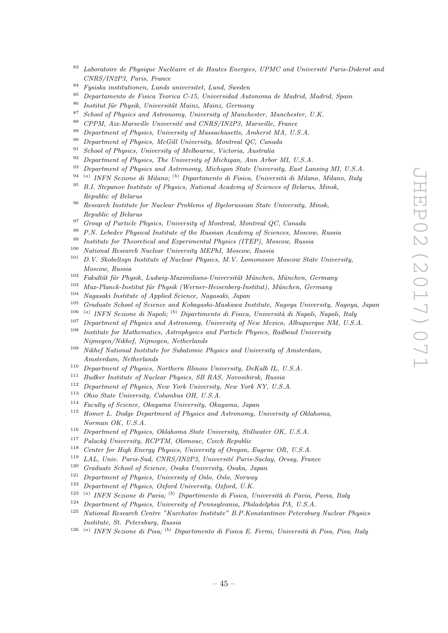- $83$  Laboratoire de Physique Nucléaire et de Hautes Energies, UPMC and Université Paris-Diderot and CNRS/IN2P3, Paris, France
- $84$  Fysiska institutionen, Lunds universitet, Lund, Sweden<br> $85$  Departamento de Fisica Teorica C 15, Universidad Auto
- <sup>85</sup> Departamento de Fisica Teorica C-15, Universidad Autonoma de Madrid, Madrid, Spain<br><sup>86</sup> Institut für Phasik Universität Mainz, Mainz, Germany
- <sup>86</sup> Institut für Physik, Universität Mainz, Mainz, Germany
- <sup>87</sup> School of Physics and Astronomy, University of Manchester, Manchester, U.K.
- <sup>88</sup> CPPM, Aix-Marseille Université and CNRS/IN2P3, Marseille, France<br><sup>89</sup> Penerty ant of Physics University of Marsechaette, Amband MA, U.S.
- <sup>89</sup> Department of Physics, University of Massachusetts, Amherst MA, U.S.A.<br><sup>90</sup> Department of Physics, McCill University, Martyal O.G. Canada
- <sup>90</sup> Department of Physics, McGill University, Montreal QC, Canada
- <sup>91</sup> School of Physics, University of Melbourne, Victoria, Australia
- <sup>92</sup> Department of Physics, The University of Michigan, Ann Arbor MI, U.S.A.<br><sup>93</sup> Department of Physics and Astronomy, Michigan State University, East La
- <sup>93</sup> Department of Physics and Astronomy, Michigan State University, East Lansing MI, U.S.A.
- <sup>94 (a)</sup> INFN Sezione di Milano; <sup>(b)</sup> Dipartimento di Fisica, Università di Milano, Milano, Italy
- $95$  B.I. Stepanov Institute of Physics, National Academy of Sciences of Belarus, Minsk, Republic of Belarus
- <sup>96</sup> Research Institute for Nuclear Problems of Byelorussian State University, Minsk, Republic of Belarus
- <sup>97</sup> Group of Particle Physics, University of Montreal, Montreal QC, Canada<br><sup>98</sup> B.M. Likeline Physical Institute of the Pursian Ased was of Crimera Mac
- <sup>98</sup> P.N. Lebedev Physical Institute of the Russian Academy of Sciences, Moscow, Russia
- <sup>99</sup> Institute for Theoretical and Experimental Physics (ITEP), Moscow, Russia
- <sup>100</sup> National Research Nuclear University MEPhI, Moscow, Russia
- $101$  D.V. Skobeltsyn Institute of Nuclear Physics, M.V. Lomonosov Moscow State University, Moscow, Russia
- $102$  Fakultät für Physik, Ludwig-Maximilians-Universität München, München, Germany
- 103 Max-Planck-Institut für Physik (Werner-Heisenberg-Institut), München, Germany
- <sup>104</sup> Nagasaki Institute of Applied Science, Nagasaki, Japan
- <sup>105</sup> Graduate School of Science and Kobayashi-Maskawa Institute, Nagoya University, Nagoya, Japan
- 106 ( <sup>a)</sup> INFN Sezione di Napoli; <sup>(b)</sup> Dipartimento di Fisica, Università di Napoli, Napoli, Italy
- <sup>107</sup> Department of Physics and Astronomy, University of New Mexico, Albuquerque NM, U.S.A.
- <sup>108</sup> Institute for Mathematics, Astrophysics and Particle Physics, Radboud University Nijmegen/Nikhef, Nijmegen, Netherlands
- <sup>109</sup> Nikhef National Institute for Subatomic Physics and University of Amsterdam, Amsterdam, Netherlands
- <sup>110</sup> Department of Physics, Northern Illinois University, DeKalb IL, U.S.A.<br><sup>111</sup> Bucker Institute of Nuclear Physics, SB RAS, November Buccio
- <sup>111</sup> Budker Institute of Nuclear Physics, SB RAS, Novosibirsk, Russia
- <sup>112</sup> Department of Physics, New York University, New York NY, U.S.A.
- <sup>113</sup> Ohio State University, Columbus OH, U.S.A.
- <sup>114</sup> Faculty of Science, Okayama University, Okayama, Japan
- <sup>115</sup> Homer L. Dodge Department of Physics and Astronomy, University of Oklahoma, Norman OK, U.S.A.
- <sup>116</sup> Department of Physics, Oklahoma State University, Stillwater OK, U.S.A.
- <sup>117</sup> Palacký University, RCPTM, Olomouc, Czech Republic  $\frac{118}{118}$  Curty for *High Republic Holomouth* of Organization
- <sup>118</sup> Center for High Energy Physics, University of Oregon, Eugene OR, U.S.A.<br><sup>119</sup> LAL University Seed, CNDS (INOR), University Perio Sackey Oregon, France
- LAL, Univ. Paris-Sud, CNRS/IN2P3, Université Paris-Saclay, Orsay, France
- <sup>120</sup> Graduate School of Science, Osaka University, Osaka, Japan
- Department of Physics, University of Oslo, Oslo, Norway
- <sup>122</sup> Department of Physics, Oxford University, Oxford, U.K.
- <sup>123 (a)</sup> INFN Sezione di Pavia; <sup>(b)</sup> Dipartimento di Fisica, Università di Pavia, Pavia, Italy
- <sup>124</sup> Department of Physics, University of Pennsylvania, Philadelphia PA, U.S.A.
- <sup>125</sup> National Research Centre "Kurchatov Institute" B.P.Konstantinov Petersburg Nuclear Physics Institute, St. Petersburg, Russia
- <sup>126 (a)</sup> INFN Sezione di Pisa; <sup>(b)</sup> Dipartimento di Fisica E. Fermi, Università di Pisa, Pisa, Italy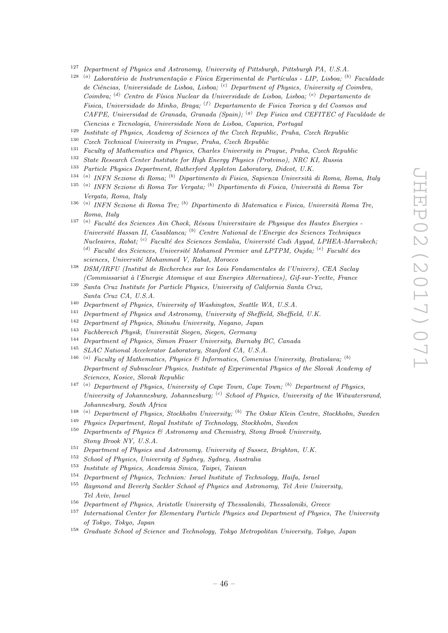- $127$  Department of Physics and Astronomy, University of Pittsburgh, Pittsburgh PA, U.S.A.
- 128 ( <sup>a)</sup> Laboratório de Instrumentação e Física Experimental de Partículas - LIP, Lisboa; <sup>(b)</sup> Faculdade de Ciências, Universidade de Lisboa, Lisboa; <sup>(c)</sup> Department of Physics, University of Coimbra, Coimbra; <sup>(d)</sup> Centro de Física Nuclear da Universidade de Lisboa, Lisboa; <sup>(e)</sup> Departamento de Fisica, Universidade do Minho, Braga; <sup>(f)</sup> Departamento de Fisica Teorica y del Cosmos and CAFPE, Universidad de Granada, Granada (Spain); <sup>(g)</sup> Dep Fisica and CEFITEC of Faculdade de Ciencias e Tecnologia, Universidade Nova de Lisboa, Caparica, Portugal
- <sup>129</sup> Institute of Physics, Academy of Sciences of the Czech Republic, Praha, Czech Republic
- Czech Technical University in Prague, Praha, Czech Republic
- <sup>131</sup> Faculty of Mathematics and Physics, Charles University in Prague, Praha, Czech Republic
- <sup>132</sup> State Research Center Institute for High Energy Physics (Protvino), NRC KI, Russia<br><sup>133</sup> Bertiels Physics Department, Putherford Appleton Lebenstery, Didect, II K
- Particle Physics Department, Rutherford Appleton Laboratory, Didcot, U.K.
- 134 ( <sup>a)</sup> INFN Sezione di Roma; <sup>(b)</sup> Dipartimento di Fisica, Sapienza Università di Roma, Roma, Italy
- <sup>135 (a)</sup> INFN Sezione di Roma Tor Vergata; <sup>(b)</sup> Dipartimento di Fisica, Università di Roma Tor Vergata, Roma, Italy
- 136 ( <sup>a)</sup> INFN Sezione di Roma Tre; <sup>(b)</sup> Dipartimento di Matematica e Fisica, Università Roma Tre, Roma, Italy
- $137$ <sup>(a)</sup> Faculté des Sciences Ain Chock, Réseau Universitaire de Physique des Hautes Energies -Université Hassan II, Casablanca; <sup>(b)</sup> Centre National de l'Energie des Sciences Techniques Nucleaires, Rabat; <sup>(c)</sup> Faculté des Sciences Semlalia, Université Cadi Ayyad, LPHEA-Marrakech; (d) Faculté des Sciences, Université Mohamed Premier and LPTPM, Oujda;  $(e)$  Faculté des sciences, Université Mohammed V, Rabat, Morocco
- <sup>138</sup> DSM/IRFU (Institut de Recherches sur les Lois Fondamentales de l'Univers), CEA Saclay (Commissariat `a l'Energie Atomique et aux Energies Alternatives), Gif-sur-Yvette, France
- <sup>139</sup> Santa Cruz Institute for Particle Physics, University of California Santa Cruz, Santa Cruz CA, U.S.A.
- <sup>140</sup> Department of Physics, University of Washington, Seattle WA, U.S.A.<br><sup>141</sup> Department of Physics and Astronomy, University of Sheffield, Sheffield
- <sup>141</sup> Department of Physics and Astronomy, University of Sheffield, Sheffield, U.K.<br><sup>142</sup> Department of Physics Shipphy University Nassas, Japan
- Department of Physics, Shinshu University, Nagano, Japan
- $143$  Fachbereich Physik, Universität Siegen, Siegen, Germany
- <sup>144</sup> Department of Physics, Simon Fraser University, Burnaby BC, Canada
- <sup>145</sup> SLAC National Accelerator Laboratory, Stanford CA, U.S.A.
- <sup>146</sup><sup>(a)</sup> Faculty of Mathematics, Physics & Informatics, Comenius University, Bratislava; <sup>(b)</sup> Department of Subnuclear Physics, Institute of Experimental Physics of the Slovak Academy of Sciences, Kosice, Slovak Republic
- <sup>147 (a)</sup> Department of Physics, University of Cape Town, Cape Town; <sup>(b)</sup> Department of Physics, University of Johannesburg, Johannesburg;  $\left( \text{c} \right)$  School of Physics, University of the Witwatersrand, Johannesburg, South Africa
- <sup>148 (a)</sup> Department of Physics, Stockholm University; <sup>(b)</sup> The Oskar Klein Centre, Stockholm, Sweden
- <sup>149</sup> Physics Department, Royal Institute of Technology, Stockholm, Sweden<br><sup>150</sup> Departments of Physics & Astronomy and Chemistry, Stony Brook Uni
- Departments of Physics & Astronomy and Chemistry, Stony Brook University, Stony Brook NY, U.S.A.
- <sup>151</sup> Department of Physics and Astronomy, University of Sussex, Brighton, U.K.<br><sup>152</sup> Sebacl of Physics University of Sudney, Sydney, Australia
- <sup>152</sup> School of Physics, University of Sydney, Sydney, Australia<br><sup>153</sup> Institute of Physics, Academia Sinics, Tringi, Trinuan
- <sup>153</sup> Institute of Physics, Academia Sinica, Taipei, Taiwan
- <sup>154</sup> Department of Physics, Technion: Israel Institute of Technology, Haifa, Israel
- <sup>155</sup> Raymond and Beverly Sackler School of Physics and Astronomy, Tel Aviv University, Tel Aviv, Israel
- <sup>156</sup> Department of Physics, Aristotle University of Thessaloniki, Thessaloniki, Greece
- <sup>157</sup> International Center for Elementary Particle Physics and Department of Physics, The University of Tokyo, Tokyo, Japan
- <sup>158</sup> Graduate School of Science and Technology, Tokyo Metropolitan University, Tokyo, Japan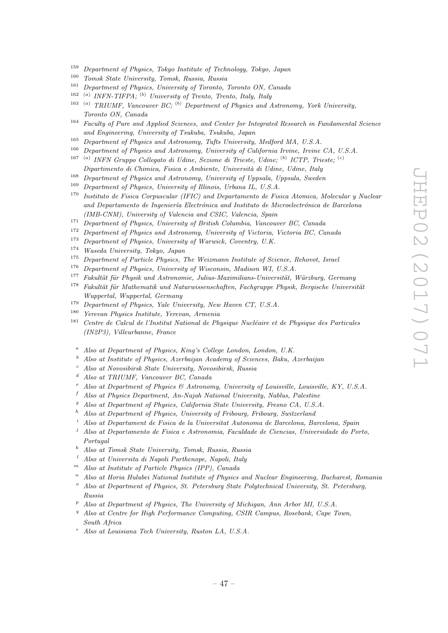- <sup>159</sup> Department of Physics, Tokyo Institute of Technology, Tokyo, Japan<br><sup>160</sup> Tamah State University Tamah Pussia Pussia
- <sup>160</sup> Tomsk State University, Tomsk, Russia, Russia<br><sup>161</sup> Department of Physics, University of Texante
- <sup>161</sup> Department of Physics, University of Toronto, Toronto ON, Canada
- $162$  (a) INFN-TIFPA;  $(b)$  University of Trento, Trento, Italy, Italy
- <sup>163 (a)</sup> TRIUMF, Vancouver BC; <sup>(b)</sup> Department of Physics and Astronomy, York University, Toronto ON, Canada
- <sup>164</sup> Faculty of Pure and Applied Sciences, and Center for Integrated Research in Fundamental Science and Engineering, University of Tsukuba, Tsukuba, Japan
- <sup>165</sup> Department of Physics and Astronomy, Tufts University, Medford MA, U.S.A.
- <sup>166</sup> Department of Physics and Astronomy, University of California Irvine, Irvine CA, U.S.A.
- <sup>167 (a)</sup> INFN Gruppo Collegato di Udine, Sezione di Trieste, Udine; <sup>(b)</sup> ICTP, Trieste; <sup>(c)</sup> Dipartimento di Chimica, Fisica e Ambiente, Università di Udine, Udine, Italy
- <sup>168</sup> Department of Physics and Astronomy, University of Uppsala, Uppsala, Sweden
- <sup>169</sup> Department of Physics, University of Illinois, Urbana IL, U.S.A.<br><sup>170</sup> Institute de Fisice Corpuscular (IEIC) and Departments de Fisi
- <sup>170</sup> Instituto de Fisica Corpuscular (IFIC) and Departamento de Fisica Atomica, Molecular y Nuclear and Departamento de Ingeniería Electrónica and Instituto de Microelectrónica de Barcelona (IMB-CNM), University of Valencia and CSIC, Valencia, Spain
- <sup>171</sup> Department of Physics, University of British Columbia, Vancouver BC, Canada<br><sup>172</sup> Department of Physics and Astronomy, University of Victoria, Victoria BC, Ca
- <sup>172</sup> Department of Physics and Astronomy, University of Victoria, Victoria BC, Canada<br><sup>173</sup> Department of Physics University of Warwick, Coventry II K
- Department of Physics, University of Warwick, Coventry, U.K.
- <sup>174</sup> Waseda University, Tokyo, Japan
- <sup>175</sup> Department of Particle Physics, The Weizmann Institute of Science, Rehovot, Israel
- <sup>176</sup> Department of Physics, University of Wisconsin, Madison WI, U.S.A.
- <sup>177</sup> Fakultät für Physik und Astronomie, Julius-Maximilians-Universität, Würzburg, Germany<br><sup>178</sup> Fakultät für Mathematik und Naturwissenschaften, Facharunne Physik, Bergische Universi
- $Fakultät für Mathematik und Naturwissenschaften, Facharuppe Physik, Bergische Universität$ Wuppertal, Wuppertal, Germany
- <sup>179</sup> Department of Physics, Yale University, New Haven CT, U.S.A.<br><sup>180</sup> Versusa Physics Institute Versusa Armania
- Yerevan Physics Institute, Yerevan, Armenia
- $181$  Centre de Calcul de l'Institut National de Physique Nucléaire et de Physique des Particules (IN2P3), Villeurbanne, France
	- <sup>a</sup> Also at Department of Physics, King's College London, London, U.K.
	- <sup>b</sup> Also at Institute of Physics, Azerbaijan Academy of Sciences, Baku, Azerbaijan
	- <sup>c</sup> Also at Novosibirsk State University, Novosibirsk, Russia
	- <sup>d</sup> Also at TRIUMF, Vancouver BC, Canada
	- Also at Department of Physics & Astronomy, University of Louisville, Louisville, KY, U.S.A.
	- $f$  Also at Physics Department, An-Najah National University, Nablus, Palestine
	- Also at Department of Physics, California State University, Fresno CA, U.S.A.
	- <sup>h</sup> Also at Department of Physics, University of Fribourg, Fribourg, Switzerland
	- <sup>i</sup> Also at Departament de Fisica de la Universitat Autonoma de Barcelona, Barcelona, Spain
	- <sup>j</sup> Also at Departamento de Fisica e Astronomia, Faculdade de Ciencias, Universidade do Porto, Portugal
	- <sup>k</sup> Also at Tomsk State University, Tomsk, Russia, Russia
	- <sup>l</sup> Also at Universita di Napoli Parthenope, Napoli, Italy
- $<sup>m</sup>$  Also at Institute of Particle Physics (IPP), Canada</sup>
- <sup>n</sup> Also at Horia Hulubei National Institute of Physics and Nuclear Engineering, Bucharest, Romania
- Also at Department of Physics, St. Petersburg State Polytechnical University, St. Petersburg, Russia
- <sup>p</sup> Also at Department of Physics, The University of Michigan, Ann Arbor MI, U.S.A.
- Also at Centre for High Performance Computing, CSIR Campus, Rosebank, Cape Town, South Africa
- <sup>r</sup> Also at Louisiana Tech University, Ruston LA, U.S.A.